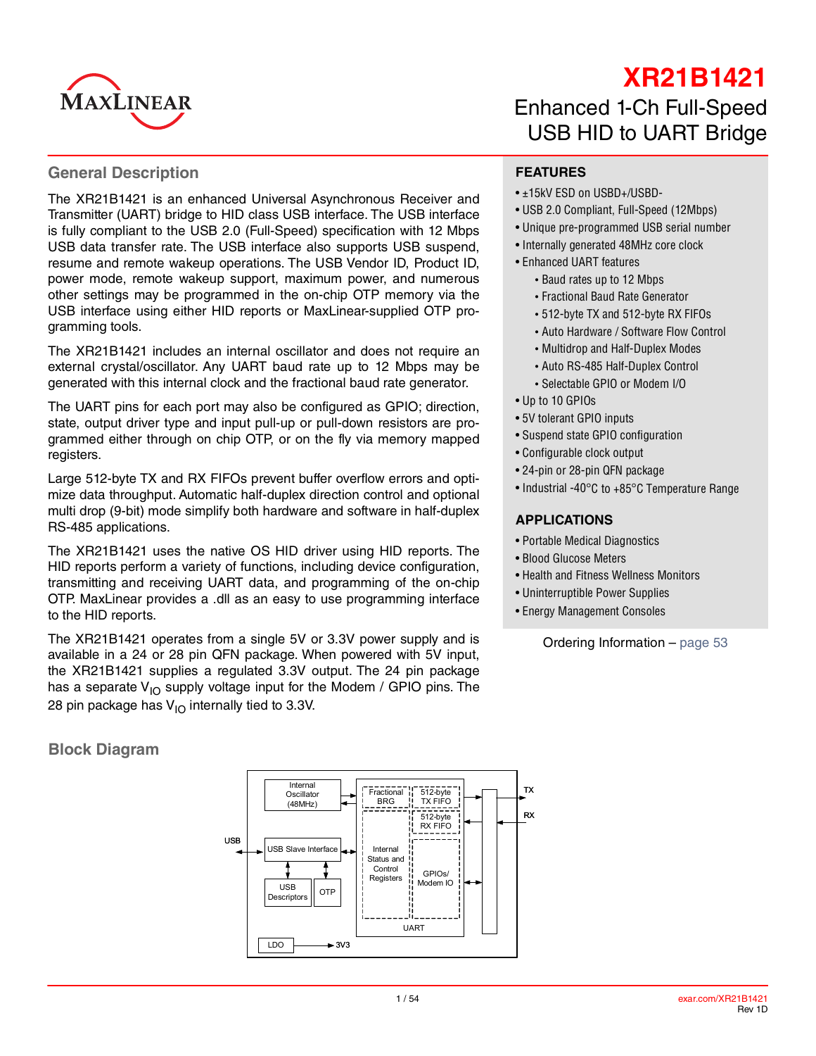

# **XR21B1421**

#### **General Description**

The XR21B1421 is an enhanced Universal Asynchronous Receiver and Transmitter (UART) bridge to HID class USB interface. The USB interface is fully compliant to the USB 2.0 (Full-Speed) specification with 12 Mbps USB data transfer rate. The USB interface also supports USB suspend, resume and remote wakeup operations. The USB Vendor ID, Product ID, power mode, remote wakeup support, maximum power, and numerous other settings may be programmed in the on-chip OTP memory via the USB interface using either HID reports or MaxLinear-supplied OTP programming tools.

The XR21B1421 includes an internal oscillator and does not require an external crystal/oscillator. Any UART baud rate up to 12 Mbps may be generated with this internal clock and the fractional baud rate generator.

The UART pins for each port may also be configured as GPIO; direction, state, output driver type and input pull-up or pull-down resistors are programmed either through on chip OTP, or on the fly via memory mapped registers.

Large 512-byte TX and RX FIFOs prevent buffer overflow errors and optimize data throughput. Automatic half-duplex direction control and optional multi drop (9-bit) mode simplify both hardware and software in half-duplex RS-485 applications.

The XR21B1421 uses the native OS HID driver using HID reports. The HID reports perform a variety of functions, including device configuration, transmitting and receiving UART data, and programming of the on-chip OTP. MaxLinear provides a .dll as an easy to use programming interface to the HID reports.

The XR21B1421 operates from a single 5V or 3.3V power supply and is available in a 24 or 28 pin QFN package. When powered with 5V input, the XR21B1421 supplies a regulated 3.3V output. The 24 pin package has a separate  $V_{1O}$  supply voltage input for the Modem / GPIO pins. The 28 pin package has  $V_{1O}$  internally tied to 3.3V.

**Block Diagram**



# Enhanced 1-Ch Full-Speed USB HID to UART Bridge

#### **FEATURES**

- ±15kV ESD on USBD+/USBD-
- USB 2.0 Compliant, Full-Speed (12Mbps)
- Unique pre-programmed USB serial number
- Internally generated 48MHz core clock
- Enhanced UART features
	- Baud rates up to 12 Mbps
	- Fractional Baud Rate Generator
	- 512-byte TX and 512-byte RX FIFOs
	- Auto Hardware / Software Flow Control
	- Multidrop and Half-Duplex Modes
	- Auto RS-485 Half-Duplex Control
	- Selectable GPIO or Modem I/O
- Up to 10 GPIOs
- 5V tolerant GPIO inputs
- Suspend state GPIO configuration
- Configurable clock output
- 24-pin or 28-pin QFN package
- Industrial -40°C to +85°C Temperature Range

#### **APPLICATIONS**

- Portable Medical Diagnostics
- Blood Glucose Meters
- Health and Fitness Wellness Monitors
- Uninterruptible Power Supplies
- Energy Management Consoles

Ordering Information – [page](#page-52-0) 53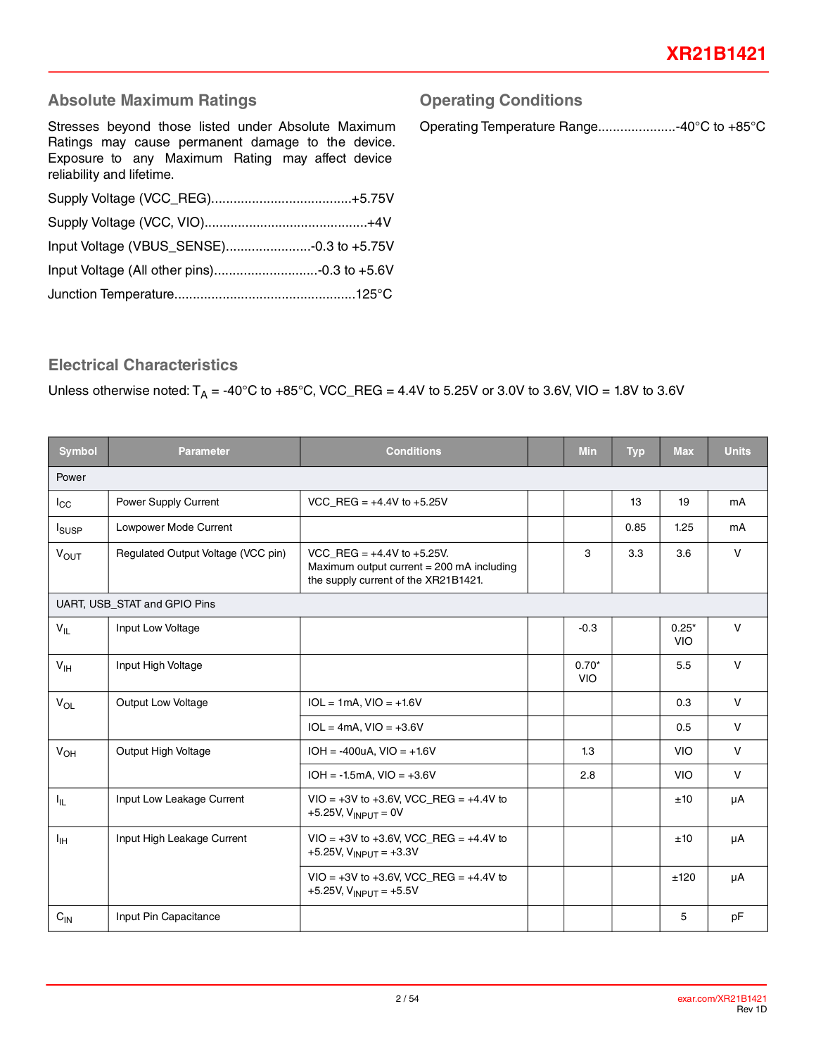## **Absolute Maximum Ratings**

Stresses beyond those listed under Absolute Maximum Ratings may cause permanent damage to the device. Exposure to any Maximum Rating may affect device reliability and lifetime.

## **Operating Conditions**

Operating Temperature Range.....................-40°C to +85°C

## **Electrical Characteristics**

#### Unless otherwise noted:  $T_A = -40^{\circ}C$  to  $+85^{\circ}C$ , VCC\_REG = 4.4V to 5.25V or 3.0V to 3.6V, VIO = 1.8V to 3.6V

| <b>Symbol</b>          | <b>Parameter</b>                   | <b>Conditions</b>                                                                                                      | <b>Min</b>            | <b>Typ</b> | <b>Max</b>            | <b>Units</b> |
|------------------------|------------------------------------|------------------------------------------------------------------------------------------------------------------------|-----------------------|------------|-----------------------|--------------|
| Power                  |                                    |                                                                                                                        |                       |            |                       |              |
| $I_{\rm CC}$           | Power Supply Current               | VCC REG = $+4.4V$ to $+5.25V$                                                                                          |                       | 13         | 19                    | mA           |
| <b>I</b> susp          | Lowpower Mode Current              |                                                                                                                        |                       | 0.85       | 1.25                  | mA           |
| <b>V<sub>OUT</sub></b> | Regulated Output Voltage (VCC pin) | VCC REG = $+4.4V$ to $+5.25V$ .<br>Maximum output current $= 200$ mA including<br>the supply current of the XR21B1421. | 3                     | 3.3        | 3.6                   | $\vee$       |
|                        | UART, USB_STAT and GPIO Pins       |                                                                                                                        |                       |            |                       |              |
| $V_{IL}$               | Input Low Voltage                  |                                                                                                                        | $-0.3$                |            | $0.25*$<br><b>VIO</b> | $\vee$       |
| V <sub>IH</sub>        | Input High Voltage                 |                                                                                                                        | $0.70*$<br><b>VIO</b> |            | 5.5                   | $\mathsf{V}$ |
| $V_{OL}$               | Output Low Voltage                 | $IOL = 1mA, VIO = +1.6V$                                                                                               |                       |            | 0.3                   | $\mathsf{V}$ |
|                        |                                    | $IOL = 4mA, VIO = +3.6V$                                                                                               |                       |            | 0.5                   | $\vee$       |
| V <sub>OH</sub>        | Output High Voltage                | $IOH = -400uA, VIO = +1.6V$                                                                                            | 1.3                   |            | <b>VIO</b>            | $\vee$       |
|                        |                                    | $IOH = -1.5mA$ , $VIO = +3.6V$                                                                                         | 2.8                   |            | <b>VIO</b>            | $\mathsf{V}$ |
| ΙL.                    | Input Low Leakage Current          | $VIO = +3V$ to +3.6V, VCC_REG = +4.4V to<br>+5.25V, $V_{INPUT} = 0V$                                                   |                       |            | ±10                   | μA           |
| ŀщ                     | Input High Leakage Current         | $VIO = +3V$ to +3.6V, VCC REG = +4.4V to<br>+5.25V, $V_{\text{INPUT}}$ = +3.3V                                         |                       |            | ±10                   | μA           |
|                        |                                    | $VIO = +3V$ to $+3.6V$ , VCC_REG = $+4.4V$ to<br>+5.25V, $V_{\text{INPIIT}}$ = +5.5V                                   |                       |            | ±120                  | μA           |
| $C_{IN}$               | Input Pin Capacitance              |                                                                                                                        |                       |            | 5                     | pF           |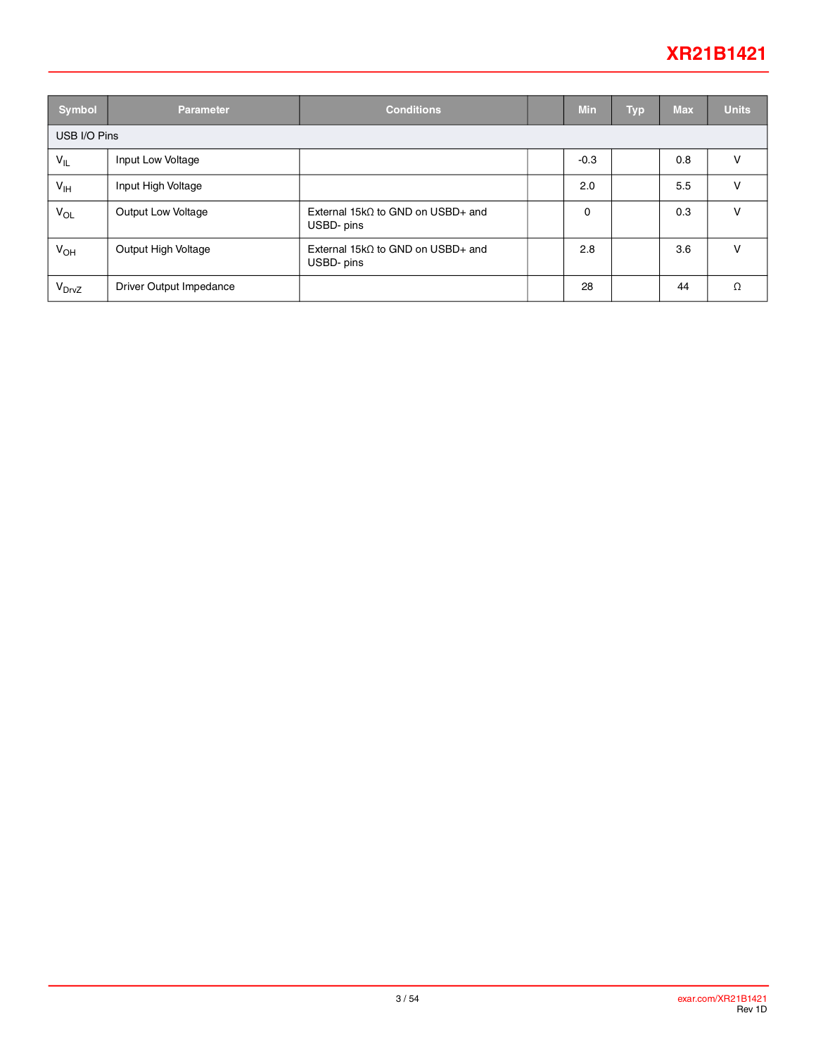## **XR21B1421**

| <b>Symbol</b>     | <b>Parameter</b>        | <b>Conditions</b>                                       |  | <b>Min</b> | <b>Typ</b> | <b>Max</b> | <b>Units</b> |  |
|-------------------|-------------------------|---------------------------------------------------------|--|------------|------------|------------|--------------|--|
| USB I/O Pins      |                         |                                                         |  |            |            |            |              |  |
| $V_{IL}$          | Input Low Voltage       |                                                         |  | $-0.3$     |            | 0.8        | v            |  |
| $V_{\text{IH}}$   | Input High Voltage      |                                                         |  | 2.0        |            | 5.5        | v            |  |
| $V_{OL}$          | Output Low Voltage      | External 15k $\Omega$ to GND on USBD+ and<br>USBD- pins |  | 0          |            | 0.3        | v            |  |
| $V_{OH}$          | Output High Voltage     | External 15k $\Omega$ to GND on USBD+ and<br>USBD- pins |  | 2.8        |            | 3.6        | v            |  |
| V <sub>DrvZ</sub> | Driver Output Impedance |                                                         |  | 28         |            | 44         | Ω            |  |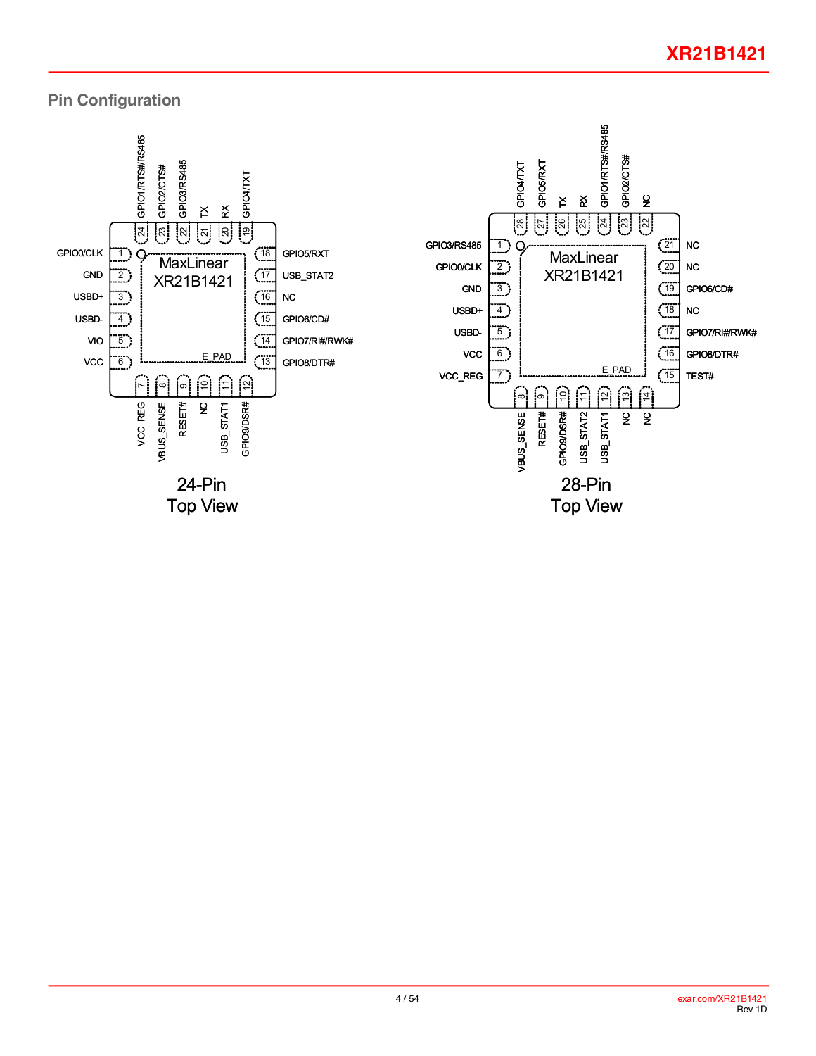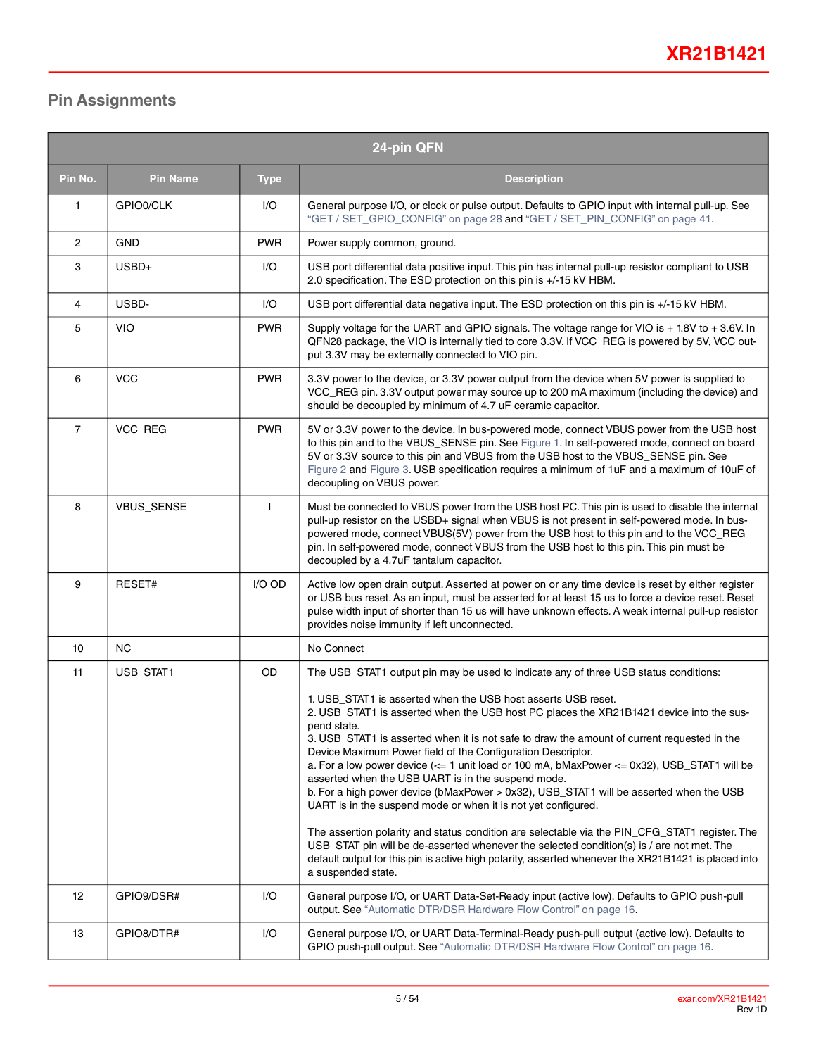## **Pin Assignments**

|                | 24-pin QFN      |              |                                                                                                                                                                                                                                                                                                                                                                                                                                                                                                                                                                                                                                                                            |  |  |  |  |  |
|----------------|-----------------|--------------|----------------------------------------------------------------------------------------------------------------------------------------------------------------------------------------------------------------------------------------------------------------------------------------------------------------------------------------------------------------------------------------------------------------------------------------------------------------------------------------------------------------------------------------------------------------------------------------------------------------------------------------------------------------------------|--|--|--|--|--|
| Pin No.        | <b>Pin Name</b> | <b>Type</b>  | <b>Description</b>                                                                                                                                                                                                                                                                                                                                                                                                                                                                                                                                                                                                                                                         |  |  |  |  |  |
| 1              | GPIO0/CLK       | I/O          | General purpose I/O, or clock or pulse output. Defaults to GPIO input with internal pull-up. See<br>"GET / SET_GPIO_CONFIG" on page 28 and "GET / SET_PIN_CONFIG" on page 41.                                                                                                                                                                                                                                                                                                                                                                                                                                                                                              |  |  |  |  |  |
| $\overline{c}$ | <b>GND</b>      | <b>PWR</b>   | Power supply common, ground.                                                                                                                                                                                                                                                                                                                                                                                                                                                                                                                                                                                                                                               |  |  |  |  |  |
| 3              | USBD+           | I/O          | USB port differential data positive input. This pin has internal pull-up resistor compliant to USB<br>2.0 specification. The ESD protection on this pin is +/-15 kV HBM.                                                                                                                                                                                                                                                                                                                                                                                                                                                                                                   |  |  |  |  |  |
| 4              | USBD-           | I/O          | USB port differential data negative input. The ESD protection on this pin is +/-15 kV HBM.                                                                                                                                                                                                                                                                                                                                                                                                                                                                                                                                                                                 |  |  |  |  |  |
| 5              | VIO             | <b>PWR</b>   | Supply voltage for the UART and GPIO signals. The voltage range for VIO is + 1.8V to + 3.6V. In<br>QFN28 package, the VIO is internally tied to core 3.3V. If VCC_REG is powered by 5V, VCC out-<br>put 3.3V may be externally connected to VIO pin.                                                                                                                                                                                                                                                                                                                                                                                                                       |  |  |  |  |  |
| 6              | <b>VCC</b>      | <b>PWR</b>   | 3.3V power to the device, or 3.3V power output from the device when 5V power is supplied to<br>VCC_REG pin. 3.3V output power may source up to 200 mA maximum (including the device) and<br>should be decoupled by minimum of 4.7 uF ceramic capacitor.                                                                                                                                                                                                                                                                                                                                                                                                                    |  |  |  |  |  |
| $\overline{7}$ | VCC_REG         | <b>PWR</b>   | 5V or 3.3V power to the device. In bus-powered mode, connect VBUS power from the USB host<br>to this pin and to the VBUS_SENSE pin. See Figure 1. In self-powered mode, connect on board<br>5V or 3.3V source to this pin and VBUS from the USB host to the VBUS_SENSE pin. See<br>Figure 2 and Figure 3. USB specification requires a minimum of 1uF and a maximum of 10uF of<br>decoupling on VBUS power.                                                                                                                                                                                                                                                                |  |  |  |  |  |
| 8              | VBUS_SENSE      | $\mathbf{I}$ | Must be connected to VBUS power from the USB host PC. This pin is used to disable the internal<br>pull-up resistor on the USBD+ signal when VBUS is not present in self-powered mode. In bus-<br>powered mode, connect VBUS(5V) power from the USB host to this pin and to the VCC_REG<br>pin. In self-powered mode, connect VBUS from the USB host to this pin. This pin must be<br>decoupled by a 4.7uF tantalum capacitor.                                                                                                                                                                                                                                              |  |  |  |  |  |
| 9              | RESET#          | I/O OD       | Active low open drain output. Asserted at power on or any time device is reset by either register<br>or USB bus reset. As an input, must be asserted for at least 15 us to force a device reset. Reset<br>pulse width input of shorter than 15 us will have unknown effects. A weak internal pull-up resistor<br>provides noise immunity if left unconnected.                                                                                                                                                                                                                                                                                                              |  |  |  |  |  |
| 10             | NC.             |              | No Connect                                                                                                                                                                                                                                                                                                                                                                                                                                                                                                                                                                                                                                                                 |  |  |  |  |  |
| 11             | USB_STAT1       | OD           | The USB_STAT1 output pin may be used to indicate any of three USB status conditions:                                                                                                                                                                                                                                                                                                                                                                                                                                                                                                                                                                                       |  |  |  |  |  |
|                |                 |              | 1. USB_STAT1 is asserted when the USB host asserts USB reset.<br>2. USB_STAT1 is asserted when the USB host PC places the XR21B1421 device into the sus-<br>pend state.<br>3. USB STAT1 is asserted when it is not safe to draw the amount of current requested in the<br>Device Maximum Power field of the Configuration Descriptor.<br>a. For a low power device $\left( \leq 1 \right.$ unit load or 100 mA, bMaxPower $\leq$ 0x32), USB_STAT1 will be<br>asserted when the USB UART is in the suspend mode.<br>b. For a high power device (bMaxPower > 0x32), USB_STAT1 will be asserted when the USB<br>UART is in the suspend mode or when it is not yet configured. |  |  |  |  |  |
|                |                 |              | The assertion polarity and status condition are selectable via the PIN_CFG_STAT1 register. The<br>USB STAT pin will be de-asserted whenever the selected condition(s) is / are not met. The<br>default output for this pin is active high polarity, asserted whenever the XR21B1421 is placed into<br>a suspended state.                                                                                                                                                                                                                                                                                                                                                   |  |  |  |  |  |
| 12             | GPIO9/DSR#      | I/O          | General purpose I/O, or UART Data-Set-Ready input (active low). Defaults to GPIO push-pull<br>output. See "Automatic DTR/DSR Hardware Flow Control" on page 16.                                                                                                                                                                                                                                                                                                                                                                                                                                                                                                            |  |  |  |  |  |
| 13             | GPIO8/DTR#      | I/O          | General purpose I/O, or UART Data-Terminal-Ready push-pull output (active low). Defaults to<br>GPIO push-pull output. See "Automatic DTR/DSR Hardware Flow Control" on page 16.                                                                                                                                                                                                                                                                                                                                                                                                                                                                                            |  |  |  |  |  |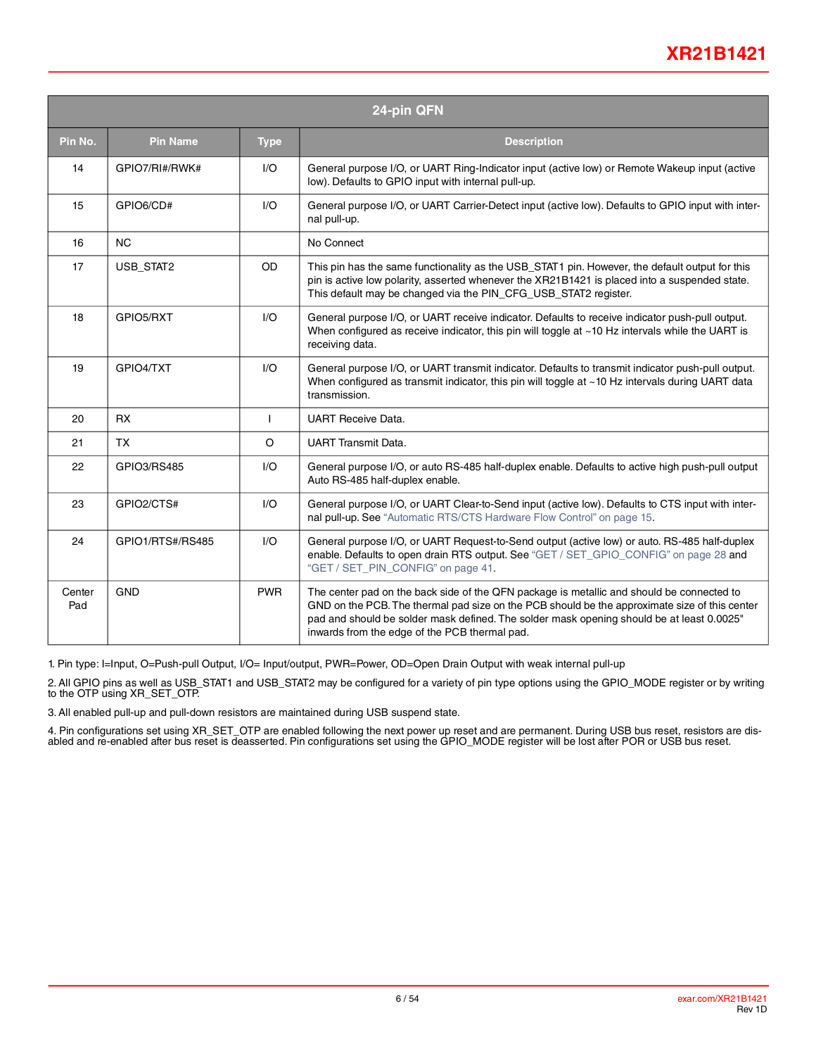|               | 24-pin QFN       |              |                                                                                                                                                                                                                                                                                                                                          |  |  |  |  |  |
|---------------|------------------|--------------|------------------------------------------------------------------------------------------------------------------------------------------------------------------------------------------------------------------------------------------------------------------------------------------------------------------------------------------|--|--|--|--|--|
| Pin No.       | <b>Pin Name</b>  | <b>Type</b>  | <b>Description</b>                                                                                                                                                                                                                                                                                                                       |  |  |  |  |  |
| 14            | GPIO7/RI#/RWK#   | 1/O          | General purpose I/O, or UART Ring-Indicator input (active low) or Remote Wakeup input (active<br>low). Defaults to GPIO input with internal pull-up.                                                                                                                                                                                     |  |  |  |  |  |
| 15            | GPIO6/CD#        | 1/O          | General purpose I/O, or UART Carrier-Detect input (active low). Defaults to GPIO input with inter-<br>nal pull-up.                                                                                                                                                                                                                       |  |  |  |  |  |
| 16            | <b>NC</b>        |              | No Connect                                                                                                                                                                                                                                                                                                                               |  |  |  |  |  |
| 17            | USB_STAT2        | <b>OD</b>    | This pin has the same functionality as the USB_STAT1 pin. However, the default output for this<br>pin is active low polarity, asserted whenever the XR21B1421 is placed into a suspended state.<br>This default may be changed via the PIN_CFG_USB_STAT2 register.                                                                       |  |  |  |  |  |
| 18            | GPIO5/RXT        | I/O          | General purpose I/O, or UART receive indicator. Defaults to receive indicator push-pull output.<br>When configured as receive indicator, this pin will toggle at $~10$ Hz intervals while the UART is<br>receiving data.                                                                                                                 |  |  |  |  |  |
| 19            | GPIO4/TXT        | I/O          | General purpose I/O, or UART transmit indicator. Defaults to transmit indicator push-pull output.<br>When configured as transmit indicator, this pin will toggle at ~10 Hz intervals during UART data<br>transmission.                                                                                                                   |  |  |  |  |  |
| 20            | <b>RX</b>        | $\mathbf{I}$ | <b>UART Receive Data.</b>                                                                                                                                                                                                                                                                                                                |  |  |  |  |  |
| 21            | <b>TX</b>        | $\circ$      | <b>UART Transmit Data.</b>                                                                                                                                                                                                                                                                                                               |  |  |  |  |  |
| 22            | GPIO3/RS485      | 1/O          | General purpose I/O, or auto RS-485 half-duplex enable. Defaults to active high push-pull output<br>Auto RS-485 half-duplex enable.                                                                                                                                                                                                      |  |  |  |  |  |
| 23            | GPIO2/CTS#       | I/O          | General purpose I/O, or UART Clear-to-Send input (active low). Defaults to CTS input with inter-<br>nal pull-up. See "Automatic RTS/CTS Hardware Flow Control" on page 15.                                                                                                                                                               |  |  |  |  |  |
| 24            | GPIO1/RTS#/RS485 | I/O          | General purpose I/O, or UART Request-to-Send output (active low) or auto. RS-485 half-duplex<br>enable. Defaults to open drain RTS output. See "GET / SET_GPIO_CONFIG" on page 28 and<br>"GET / SET_PIN_CONFIG" on page 41.                                                                                                              |  |  |  |  |  |
| Center<br>Pad | <b>GND</b>       | <b>PWR</b>   | The center pad on the back side of the QFN package is metallic and should be connected to<br>GND on the PCB. The thermal pad size on the PCB should be the approximate size of this center<br>pad and should be solder mask defined. The solder mask opening should be at least 0.0025"<br>inwards from the edge of the PCB thermal pad. |  |  |  |  |  |

1. Pin type: I=Input, O=Push-pull Output, I/O= Input/output, PWR=Power, OD=Open Drain Output with weak internal pull-up

2. All GPIO pins as well as USB\_STAT1 and USB\_STAT2 may be configured for a variety of pin type options using the GPIO\_MODE register or by writing to the OTP using XR\_SET\_OTP.

3. All enabled pull-up and pull-down resistors are maintained during USB suspend state.

4. Pin configurations set using XR\_SET\_OTP are enabled following the next power up reset and are permanent. During USB bus reset, resistors are disabled and re-enabled after bus reset is deasserted. Pin configurations set using the GPIO\_MODE register will be lost after POR or USB bus reset.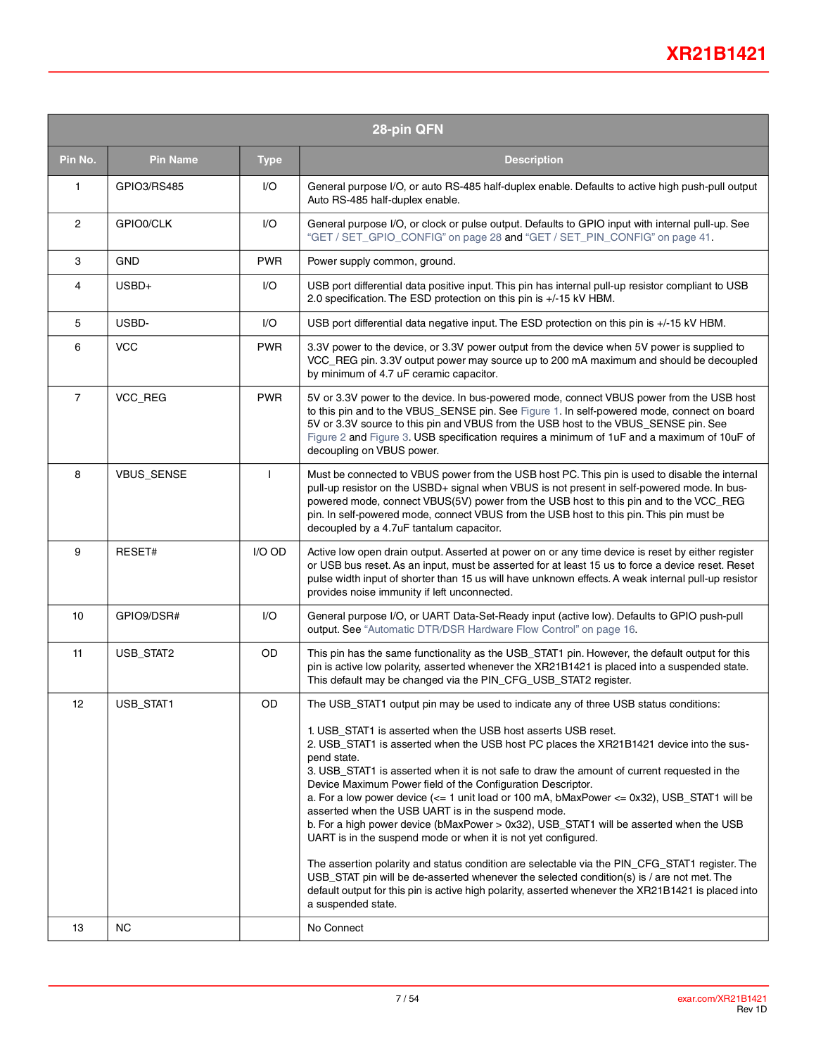|                | 28-pin QFN      |              |                                                                                                                                                                                                                                                                                                                                                                                                                                                                                                                                                                                                                                                                                                                                                                                                                                                                                                                                                                                                                                                                                         |  |  |  |  |  |
|----------------|-----------------|--------------|-----------------------------------------------------------------------------------------------------------------------------------------------------------------------------------------------------------------------------------------------------------------------------------------------------------------------------------------------------------------------------------------------------------------------------------------------------------------------------------------------------------------------------------------------------------------------------------------------------------------------------------------------------------------------------------------------------------------------------------------------------------------------------------------------------------------------------------------------------------------------------------------------------------------------------------------------------------------------------------------------------------------------------------------------------------------------------------------|--|--|--|--|--|
| Pin No.        | <b>Pin Name</b> | <b>Type</b>  | <b>Description</b>                                                                                                                                                                                                                                                                                                                                                                                                                                                                                                                                                                                                                                                                                                                                                                                                                                                                                                                                                                                                                                                                      |  |  |  |  |  |
| 1              | GPIO3/RS485     | I/O          | General purpose I/O, or auto RS-485 half-duplex enable. Defaults to active high push-pull output<br>Auto RS-485 half-duplex enable.                                                                                                                                                                                                                                                                                                                                                                                                                                                                                                                                                                                                                                                                                                                                                                                                                                                                                                                                                     |  |  |  |  |  |
| $\mathbf{2}$   | GPIO0/CLK       | I/O          | General purpose I/O, or clock or pulse output. Defaults to GPIO input with internal pull-up. See<br>"GET / SET_GPIO_CONFIG" on page 28 and "GET / SET_PIN_CONFIG" on page 41.                                                                                                                                                                                                                                                                                                                                                                                                                                                                                                                                                                                                                                                                                                                                                                                                                                                                                                           |  |  |  |  |  |
| 3              | GND             | <b>PWR</b>   | Power supply common, ground.                                                                                                                                                                                                                                                                                                                                                                                                                                                                                                                                                                                                                                                                                                                                                                                                                                                                                                                                                                                                                                                            |  |  |  |  |  |
| 4              | USBD+           | I/O          | USB port differential data positive input. This pin has internal pull-up resistor compliant to USB<br>2.0 specification. The ESD protection on this pin is +/-15 kV HBM.                                                                                                                                                                                                                                                                                                                                                                                                                                                                                                                                                                                                                                                                                                                                                                                                                                                                                                                |  |  |  |  |  |
| 5              | USBD-           | I/O          | USB port differential data negative input. The ESD protection on this pin is +/-15 kV HBM.                                                                                                                                                                                                                                                                                                                                                                                                                                                                                                                                                                                                                                                                                                                                                                                                                                                                                                                                                                                              |  |  |  |  |  |
| 6              | <b>VCC</b>      | <b>PWR</b>   | 3.3V power to the device, or 3.3V power output from the device when 5V power is supplied to<br>VCC_REG pin. 3.3V output power may source up to 200 mA maximum and should be decoupled<br>by minimum of 4.7 uF ceramic capacitor.                                                                                                                                                                                                                                                                                                                                                                                                                                                                                                                                                                                                                                                                                                                                                                                                                                                        |  |  |  |  |  |
| $\overline{7}$ | VCC_REG         | <b>PWR</b>   | 5V or 3.3V power to the device. In bus-powered mode, connect VBUS power from the USB host<br>to this pin and to the VBUS_SENSE pin. See Figure 1. In self-powered mode, connect on board<br>5V or 3.3V source to this pin and VBUS from the USB host to the VBUS_SENSE pin. See<br>Figure 2 and Figure 3. USB specification requires a minimum of 1uF and a maximum of 10uF of<br>decoupling on VBUS power.                                                                                                                                                                                                                                                                                                                                                                                                                                                                                                                                                                                                                                                                             |  |  |  |  |  |
| 8              | VBUS_SENSE      | $\mathbf{I}$ | Must be connected to VBUS power from the USB host PC. This pin is used to disable the internal<br>pull-up resistor on the USBD+ signal when VBUS is not present in self-powered mode. In bus-<br>powered mode, connect VBUS(5V) power from the USB host to this pin and to the VCC_REG<br>pin. In self-powered mode, connect VBUS from the USB host to this pin. This pin must be<br>decoupled by a 4.7uF tantalum capacitor.                                                                                                                                                                                                                                                                                                                                                                                                                                                                                                                                                                                                                                                           |  |  |  |  |  |
| 9              | RESET#          | I/O OD       | Active low open drain output. Asserted at power on or any time device is reset by either register<br>or USB bus reset. As an input, must be asserted for at least 15 us to force a device reset. Reset<br>pulse width input of shorter than 15 us will have unknown effects. A weak internal pull-up resistor<br>provides noise immunity if left unconnected.                                                                                                                                                                                                                                                                                                                                                                                                                                                                                                                                                                                                                                                                                                                           |  |  |  |  |  |
| 10             | GPIO9/DSR#      | I/O          | General purpose I/O, or UART Data-Set-Ready input (active low). Defaults to GPIO push-pull<br>output. See "Automatic DTR/DSR Hardware Flow Control" on page 16.                                                                                                                                                                                                                                                                                                                                                                                                                                                                                                                                                                                                                                                                                                                                                                                                                                                                                                                         |  |  |  |  |  |
| 11             | USB_STAT2       | OD           | This pin has the same functionality as the USB_STAT1 pin. However, the default output for this<br>pin is active low polarity, asserted whenever the XR21B1421 is placed into a suspended state.<br>This default may be changed via the PIN_CFG_USB_STAT2 register.                                                                                                                                                                                                                                                                                                                                                                                                                                                                                                                                                                                                                                                                                                                                                                                                                      |  |  |  |  |  |
| 12             | USB_STAT1       | OD           | The USB_STAT1 output pin may be used to indicate any of three USB status conditions:<br>1. USB_STAT1 is asserted when the USB host asserts USB reset.<br>2. USB_STAT1 is asserted when the USB host PC places the XR21B1421 device into the sus-<br>pend state.<br>3. USB_STAT1 is asserted when it is not safe to draw the amount of current requested in the<br>Device Maximum Power field of the Configuration Descriptor.<br>a. For a low power device $\left(<=1\right)$ unit load or 100 mA, bMaxPower $<=$ 0x32), USB STAT1 will be<br>asserted when the USB UART is in the suspend mode.<br>b. For a high power device (bMaxPower > 0x32), USB_STAT1 will be asserted when the USB<br>UART is in the suspend mode or when it is not yet configured.<br>The assertion polarity and status condition are selectable via the PIN_CFG_STAT1 register. The<br>USB STAT pin will be de-asserted whenever the selected condition(s) is / are not met. The<br>default output for this pin is active high polarity, asserted whenever the XR21B1421 is placed into<br>a suspended state. |  |  |  |  |  |
| 13             | NC              |              | No Connect                                                                                                                                                                                                                                                                                                                                                                                                                                                                                                                                                                                                                                                                                                                                                                                                                                                                                                                                                                                                                                                                              |  |  |  |  |  |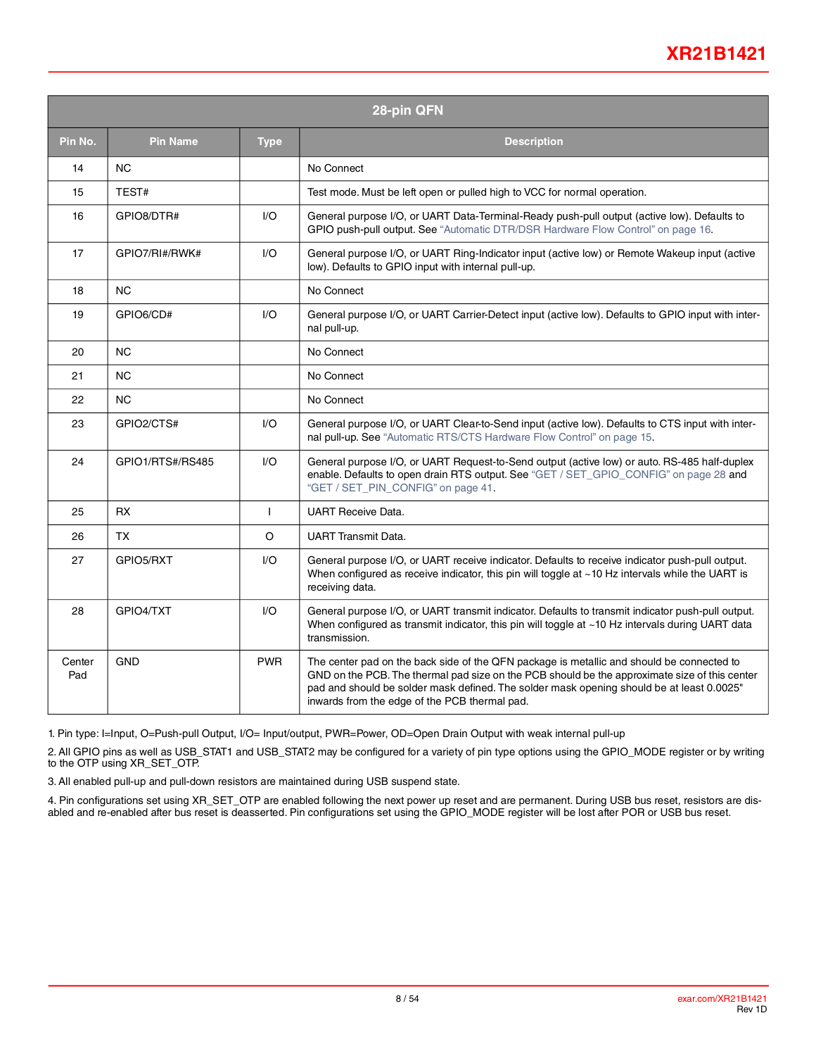## **XR21B1421**

|               | 28-pin QFN       |                         |                                                                                                                                                                                                                                                                                                                                          |  |  |  |  |  |
|---------------|------------------|-------------------------|------------------------------------------------------------------------------------------------------------------------------------------------------------------------------------------------------------------------------------------------------------------------------------------------------------------------------------------|--|--|--|--|--|
| Pin No.       | <b>Pin Name</b>  | <b>Type</b>             | <b>Description</b>                                                                                                                                                                                                                                                                                                                       |  |  |  |  |  |
| 14            | <b>NC</b>        |                         | No Connect                                                                                                                                                                                                                                                                                                                               |  |  |  |  |  |
| 15            | TEST#            |                         | Test mode. Must be left open or pulled high to VCC for normal operation.                                                                                                                                                                                                                                                                 |  |  |  |  |  |
| 16            | GPIO8/DTR#       | $\mathsf{U}\mathsf{O}$  | General purpose I/O, or UART Data-Terminal-Ready push-pull output (active low). Defaults to<br>GPIO push-pull output. See "Automatic DTR/DSR Hardware Flow Control" on page 16.                                                                                                                                                          |  |  |  |  |  |
| 17            | GPIO7/RI#/RWK#   | I/O                     | General purpose I/O, or UART Ring-Indicator input (active low) or Remote Wakeup input (active<br>low). Defaults to GPIO input with internal pull-up.                                                                                                                                                                                     |  |  |  |  |  |
| 18            | <b>NC</b>        |                         | No Connect                                                                                                                                                                                                                                                                                                                               |  |  |  |  |  |
| 19            | GPIO6/CD#        | $\mathsf{I}/\mathsf{O}$ | General purpose I/O, or UART Carrier-Detect input (active low). Defaults to GPIO input with inter-<br>nal pull-up.                                                                                                                                                                                                                       |  |  |  |  |  |
| 20            | <b>NC</b>        |                         | No Connect                                                                                                                                                                                                                                                                                                                               |  |  |  |  |  |
| 21            | <b>NC</b>        |                         | No Connect                                                                                                                                                                                                                                                                                                                               |  |  |  |  |  |
| 22            | <b>NC</b>        |                         | No Connect                                                                                                                                                                                                                                                                                                                               |  |  |  |  |  |
| 23            | GPIO2/CTS#       | $UO$                    | General purpose I/O, or UART Clear-to-Send input (active low). Defaults to CTS input with inter-<br>nal pull-up. See "Automatic RTS/CTS Hardware Flow Control" on page 15.                                                                                                                                                               |  |  |  |  |  |
| 24            | GPIO1/RTS#/RS485 | $\mathsf{I}/\mathsf{O}$ | General purpose I/O, or UART Request-to-Send output (active low) or auto. RS-485 half-duplex<br>enable. Defaults to open drain RTS output. See "GET / SET_GPIO_CONFIG" on page 28 and<br>"GET / SET_PIN_CONFIG" on page 41.                                                                                                              |  |  |  |  |  |
| 25            | <b>RX</b>        | $\mathsf{I}$            | <b>UART Receive Data.</b>                                                                                                                                                                                                                                                                                                                |  |  |  |  |  |
| 26            | <b>TX</b>        | $\circ$                 | <b>UART Transmit Data.</b>                                                                                                                                                                                                                                                                                                               |  |  |  |  |  |
| 27            | GPIO5/RXT        | I/O                     | General purpose I/O, or UART receive indicator. Defaults to receive indicator push-pull output.<br>When configured as receive indicator, this pin will toggle at $~10$ Hz intervals while the UART is<br>receiving data.                                                                                                                 |  |  |  |  |  |
| 28            | GPIO4/TXT        | I/O                     | General purpose I/O, or UART transmit indicator. Defaults to transmit indicator push-pull output.<br>When configured as transmit indicator, this pin will toggle at ~10 Hz intervals during UART data<br>transmission.                                                                                                                   |  |  |  |  |  |
| Center<br>Pad | <b>GND</b>       | <b>PWR</b>              | The center pad on the back side of the QFN package is metallic and should be connected to<br>GND on the PCB. The thermal pad size on the PCB should be the approximate size of this center<br>pad and should be solder mask defined. The solder mask opening should be at least 0.0025"<br>inwards from the edge of the PCB thermal pad. |  |  |  |  |  |

1. Pin type: I=Input, O=Push-pull Output, I/O= Input/output, PWR=Power, OD=Open Drain Output with weak internal pull-up

2. All GPIO pins as well as USB\_STAT1 and USB\_STAT2 may be configured for a variety of pin type options using the GPIO\_MODE register or by writing to the OTP using XR\_SET\_OTP.

3. All enabled pull-up and pull-down resistors are maintained during USB suspend state.

4. Pin configurations set using XR\_SET\_OTP are enabled following the next power up reset and are permanent. During USB bus reset, resistors are disabled and re-enabled after bus reset is deasserted. Pin configurations set using the GPIO\_MODE register will be lost after POR or USB bus reset.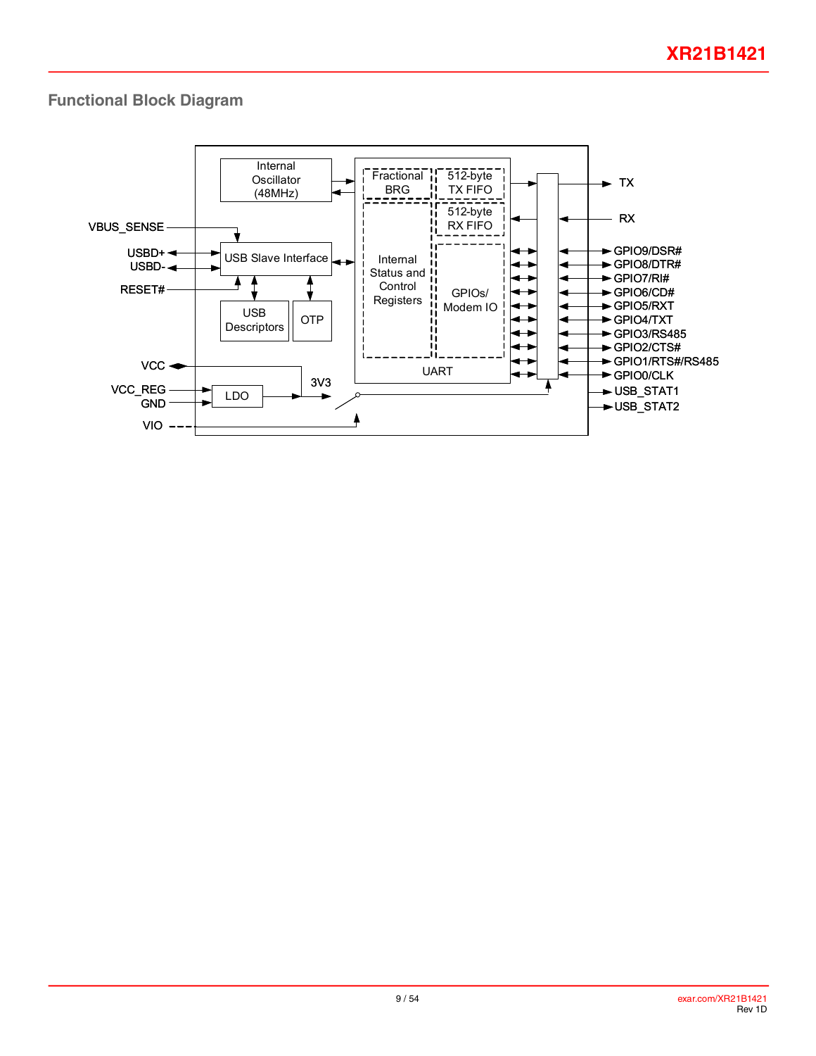## **Functional Block Diagram**

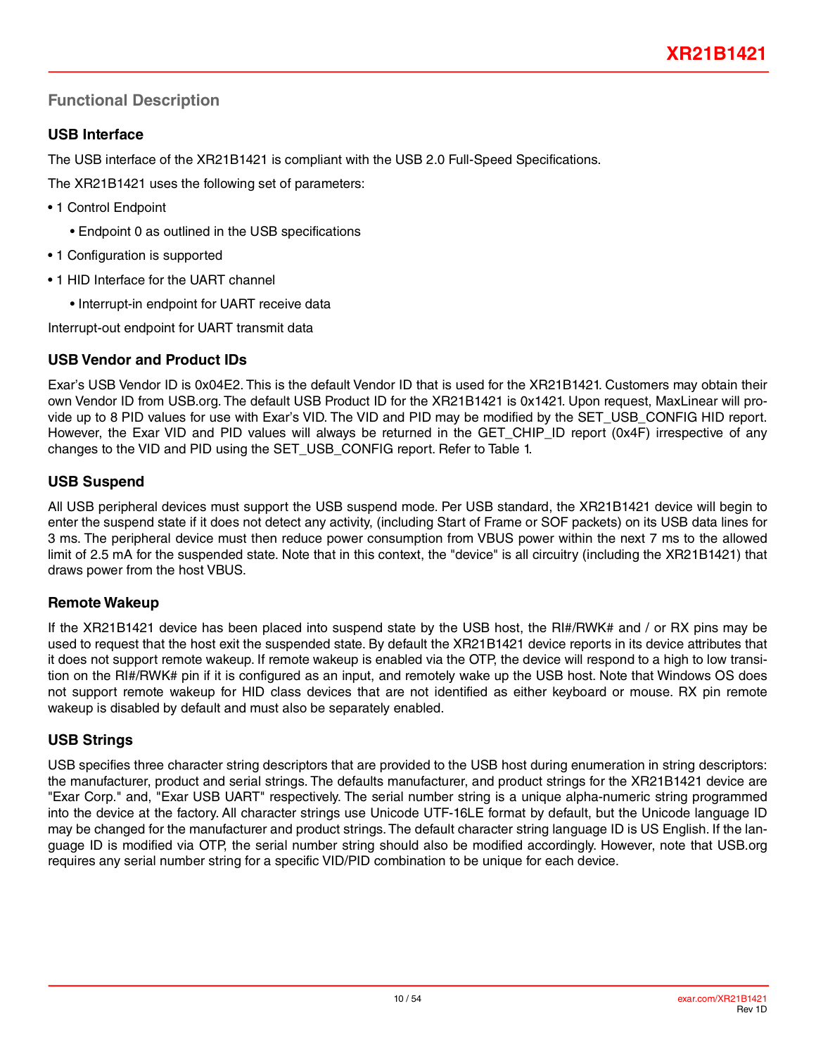## **Functional Description**

## **USB Interface**

The USB interface of the XR21B1421 is compliant with the USB 2.0 Full-Speed Specifications.

The XR21B1421 uses the following set of parameters:

- 1 Control Endpoint
	- Endpoint 0 as outlined in the USB specifications
- 1 Configuration is supported
- 1 HID Interface for the UART channel
	- Interrupt-in endpoint for UART receive data

Interrupt-out endpoint for UART transmit data

## **USB Vendor and Product IDs**

Exar's USB Vendor ID is 0x04E2. This is the default Vendor ID that is used for the XR21B1421. Customers may obtain their own Vendor ID from USB.org. The default USB Product ID for the XR21B1421 is 0x1421. Upon request, MaxLinear will provide up to 8 PID values for use with Exar's VID. The VID and PID may be modified by the SET\_USB\_CONFIG HID report. However, the Exar VID and PID values will always be returned in the GET\_CHIP\_ID report (0x4F) irrespective of any changes to the VID and PID using the SET\_USB\_CONFIG report. Refer to Table 1.

## **USB Suspend**

All USB peripheral devices must support the USB suspend mode. Per USB standard, the XR21B1421 device will begin to enter the suspend state if it does not detect any activity, (including Start of Frame or SOF packets) on its USB data lines for 3 ms. The peripheral device must then reduce power consumption from VBUS power within the next 7 ms to the allowed limit of 2.5 mA for the suspended state. Note that in this context, the "device" is all circuitry (including the XR21B1421) that draws power from the host VBUS.

## **Remote Wakeup**

If the XR21B1421 device has been placed into suspend state by the USB host, the RI#/RWK# and / or RX pins may be used to request that the host exit the suspended state. By default the XR21B1421 device reports in its device attributes that it does not support remote wakeup. If remote wakeup is enabled via the OTP, the device will respond to a high to low transition on the RI#/RWK# pin if it is configured as an input, and remotely wake up the USB host. Note that Windows OS does not support remote wakeup for HID class devices that are not identified as either keyboard or mouse. RX pin remote wakeup is disabled by default and must also be separately enabled.

## **USB Strings**

USB specifies three character string descriptors that are provided to the USB host during enumeration in string descriptors: the manufacturer, product and serial strings. The defaults manufacturer, and product strings for the XR21B1421 device are "Exar Corp." and, "Exar USB UART" respectively. The serial number string is a unique alpha-numeric string programmed into the device at the factory. All character strings use Unicode UTF-16LE format by default, but the Unicode language ID may be changed for the manufacturer and product strings. The default character string language ID is US English. If the language ID is modified via OTP, the serial number string should also be modified accordingly. However, note that USB.org requires any serial number string for a specific VID/PID combination to be unique for each device.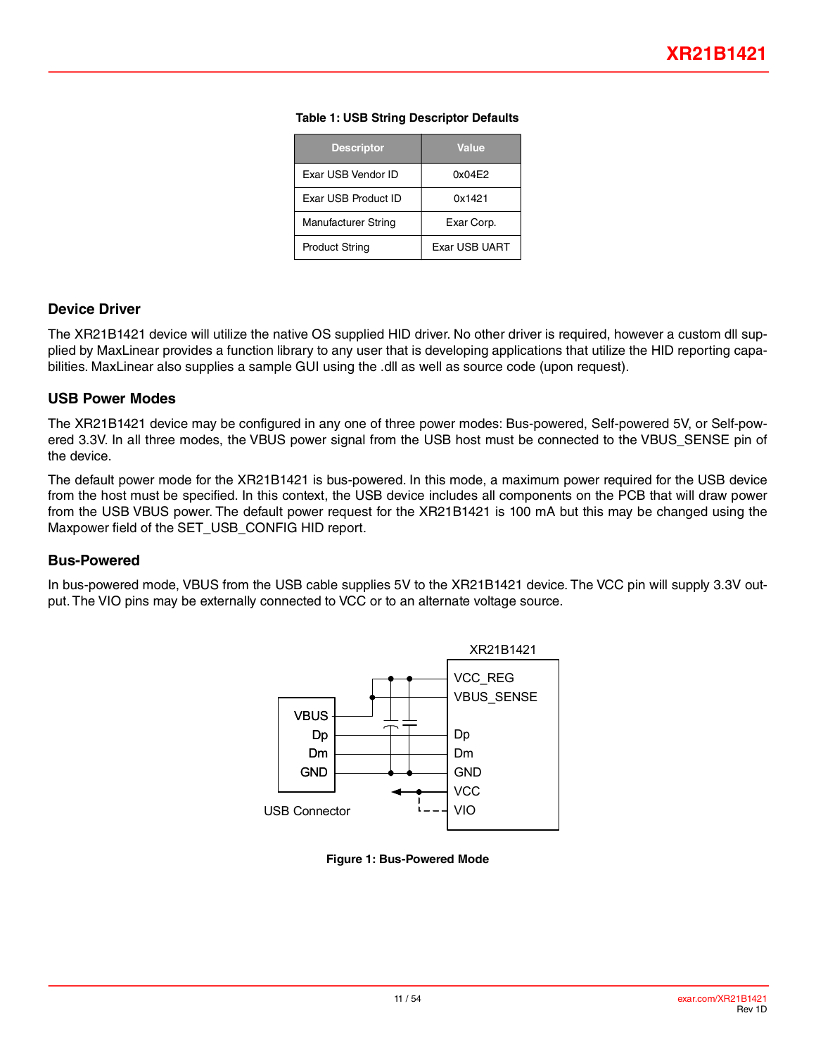| <b>Descriptor</b>   | <b>Value</b>  |
|---------------------|---------------|
| Exar USB Vendor ID  | 0x04E2        |
| Exar USB Product ID | 0x1421        |
| Manufacturer String | Exar Corp.    |
| Product String      | Exar USB UART |

#### **Table 1: USB String Descriptor Defaults**

#### **Device Driver**

The XR21B1421 device will utilize the native OS supplied HID driver. No other driver is required, however a custom dll supplied by MaxLinear provides a function library to any user that is developing applications that utilize the HID reporting capabilities. MaxLinear also supplies a sample GUI using the .dll as well as source code (upon request).

#### **USB Power Modes**

The XR21B1421 device may be configured in any one of three power modes: Bus-powered, Self-powered 5V, or Self-powered 3.3V. In all three modes, the VBUS power signal from the USB host must be connected to the VBUS\_SENSE pin of the device.

The default power mode for the XR21B1421 is bus-powered. In this mode, a maximum power required for the USB device from the host must be specified. In this context, the USB device includes all components on the PCB that will draw power from the USB VBUS power. The default power request for the XR21B1421 is 100 mA but this may be changed using the Maxpower field of the SET\_USB\_CONFIG HID report.

#### **Bus-Powered**

In bus-powered mode, VBUS from the USB cable supplies 5V to the XR21B1421 device. The VCC pin will supply 3.3V output. The VIO pins may be externally connected to VCC or to an alternate voltage source.



<span id="page-10-0"></span>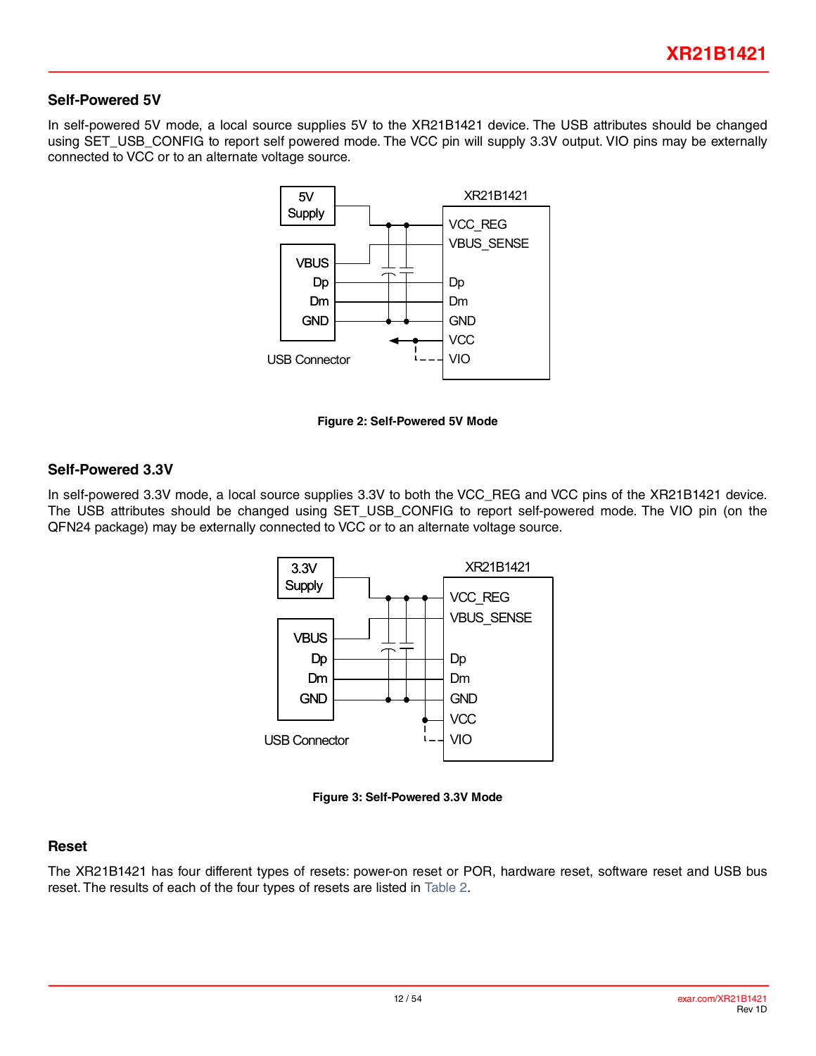#### **Self-Powered 5V**

In self-powered 5V mode, a local source supplies 5V to the XR21B1421 device. The USB attributes should be changed using SET\_USB\_CONFIG to report self powered mode. The VCC pin will supply 3.3V output. VIO pins may be externally connected to VCC or to an alternate voltage source.



**Figure 2: Self-Powered 5V Mode**

#### <span id="page-11-0"></span>**Self-Powered 3.3V**

In self-powered 3.3V mode, a local source supplies 3.3V to both the VCC\_REG and VCC pins of the XR21B1421 device. The USB attributes should be changed using SET\_USB\_CONFIG to report self-powered mode. The VIO pin (on the QFN24 package) may be externally connected to VCC or to an alternate voltage source.



**Figure 3: Self-Powered 3.3V Mode**

#### <span id="page-11-1"></span>**Reset**

The XR21B1421 has four different types of resets: power-on reset or POR, hardware reset, software reset and USB bus reset. The results of each of the four types of resets are listed in [Table](#page-12-0) 2.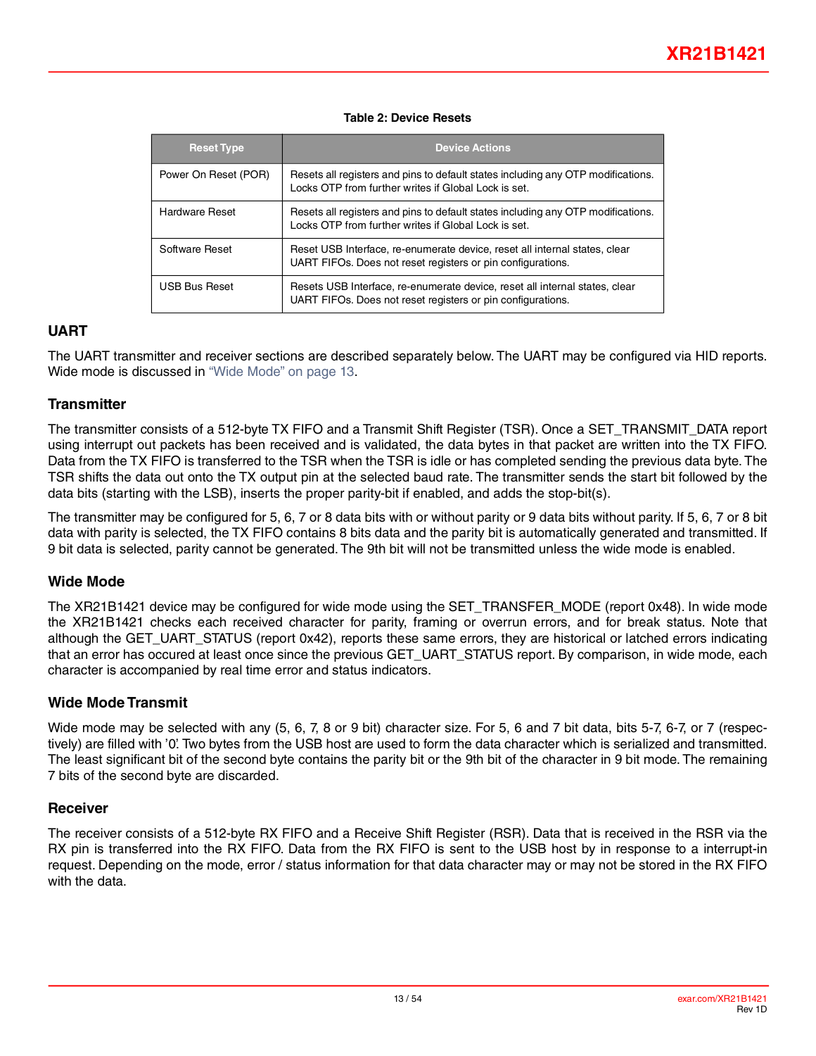#### **Table 2: Device Resets**

<span id="page-12-0"></span>

| <b>Reset Type</b>     | <b>Device Actions</b>                                                                                                                      |
|-----------------------|--------------------------------------------------------------------------------------------------------------------------------------------|
| Power On Reset (POR)  | Resets all registers and pins to default states including any OTP modifications.<br>Locks OTP from further writes if Global Lock is set.   |
| <b>Hardware Reset</b> | Resets all registers and pins to default states including any OTP modifications.<br>Locks OTP from further writes if Global Lock is set.   |
| Software Reset        | Reset USB Interface, re-enumerate device, reset all internal states, clear<br>UART FIFOs. Does not reset registers or pin configurations.  |
| <b>USB Bus Reset</b>  | Resets USB Interface, re-enumerate device, reset all internal states, clear<br>UART FIFOs. Does not reset registers or pin configurations. |

#### **UART**

The UART transmitter and receiver sections are described separately below. The UART may be configured via HID reports. Wide mode is discussed in ["Wide Mode" on page](#page-12-1) 13.

#### **Transmitter**

The transmitter consists of a 512-byte TX FIFO and a Transmit Shift Register (TSR). Once a SET\_TRANSMIT\_DATA report using interrupt out packets has been received and is validated, the data bytes in that packet are written into the TX FIFO. Data from the TX FIFO is transferred to the TSR when the TSR is idle or has completed sending the previous data byte. The TSR shifts the data out onto the TX output pin at the selected baud rate. The transmitter sends the start bit followed by the data bits (starting with the LSB), inserts the proper parity-bit if enabled, and adds the stop-bit(s).

The transmitter may be configured for 5, 6, 7 or 8 data bits with or without parity or 9 data bits without parity. If 5, 6, 7 or 8 bit data with parity is selected, the TX FIFO contains 8 bits data and the parity bit is automatically generated and transmitted. If 9 bit data is selected, parity cannot be generated. The 9th bit will not be transmitted unless the wide mode is enabled.

#### <span id="page-12-1"></span>**Wide Mode**

The XR21B1421 device may be configured for wide mode using the SET\_TRANSFER\_MODE (report 0x48). In wide mode the XR21B1421 checks each received character for parity, framing or overrun errors, and for break status. Note that although the GET\_UART\_STATUS (report 0x42), reports these same errors, they are historical or latched errors indicating that an error has occured at least once since the previous GET\_UART\_STATUS report. By comparison, in wide mode, each character is accompanied by real time error and status indicators.

#### **Wide Mode Transmit**

Wide mode may be selected with any (5, 6, 7, 8 or 9 bit) character size. For 5, 6 and 7 bit data, bits 5-7, 6-7, or 7 (respectively) are filled with '0'. Two bytes from the USB host are used to form the data character which is serialized and transmitted. The least significant bit of the second byte contains the parity bit or the 9th bit of the character in 9 bit mode. The remaining 7 bits of the second byte are discarded.

#### **Receiver**

The receiver consists of a 512-byte RX FIFO and a Receive Shift Register (RSR). Data that is received in the RSR via the RX pin is transferred into the RX FIFO. Data from the RX FIFO is sent to the USB host by in response to a interrupt-in request. Depending on the mode, error / status information for that data character may or may not be stored in the RX FIFO with the data.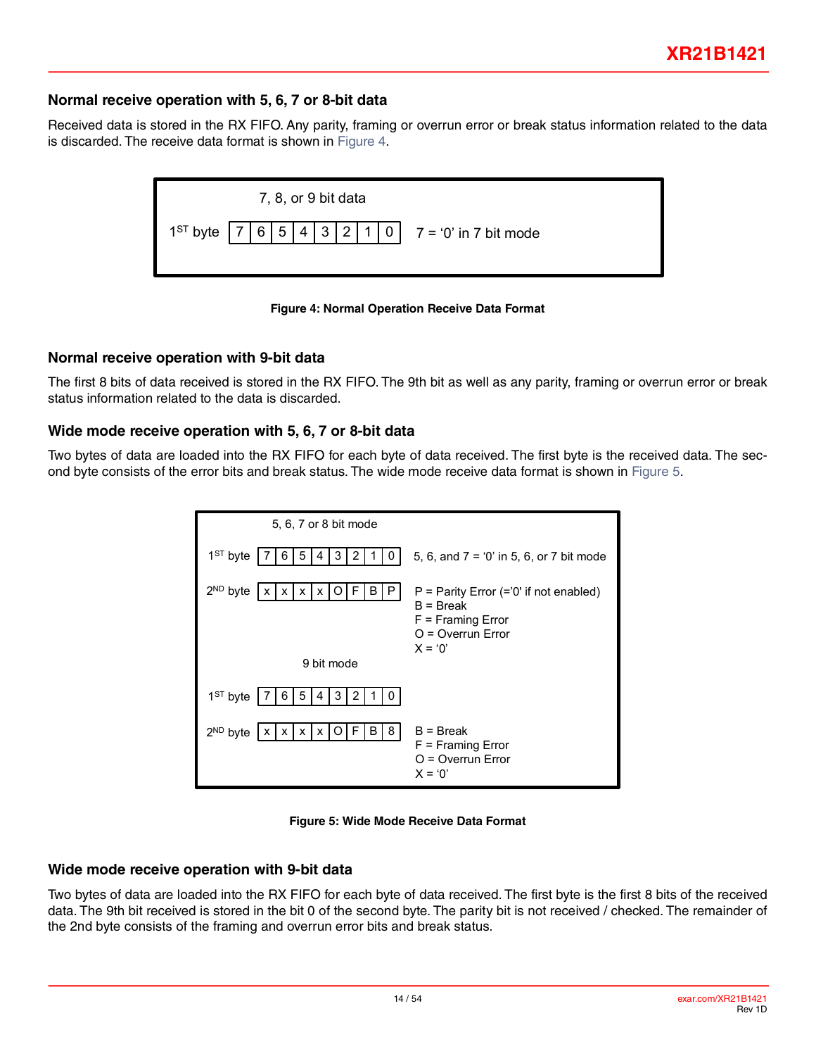#### **Normal receive operation with 5, 6, 7 or 8-bit data**

Received data is stored in the RX FIFO. Any parity, framing or overrun error or break status information related to the data is discarded. The receive data format is shown in [Figure](#page-13-0) 4.





#### <span id="page-13-0"></span>**Normal receive operation with 9-bit data**

The first 8 bits of data received is stored in the RX FIFO. The 9th bit as well as any parity, framing or overrun error or break status information related to the data is discarded.

#### **Wide mode receive operation with 5, 6, 7 or 8-bit data**

Two bytes of data are loaded into the RX FIFO for each byte of data received. The first byte is the received data. The second byte consists of the error bits and break status. The wide mode receive data format is shown in [Figure](#page-13-1) 5.





#### <span id="page-13-1"></span>**Wide mode receive operation with 9-bit data**

Two bytes of data are loaded into the RX FIFO for each byte of data received. The first byte is the first 8 bits of the received data. The 9th bit received is stored in the bit 0 of the second byte. The parity bit is not received / checked. The remainder of the 2nd byte consists of the framing and overrun error bits and break status.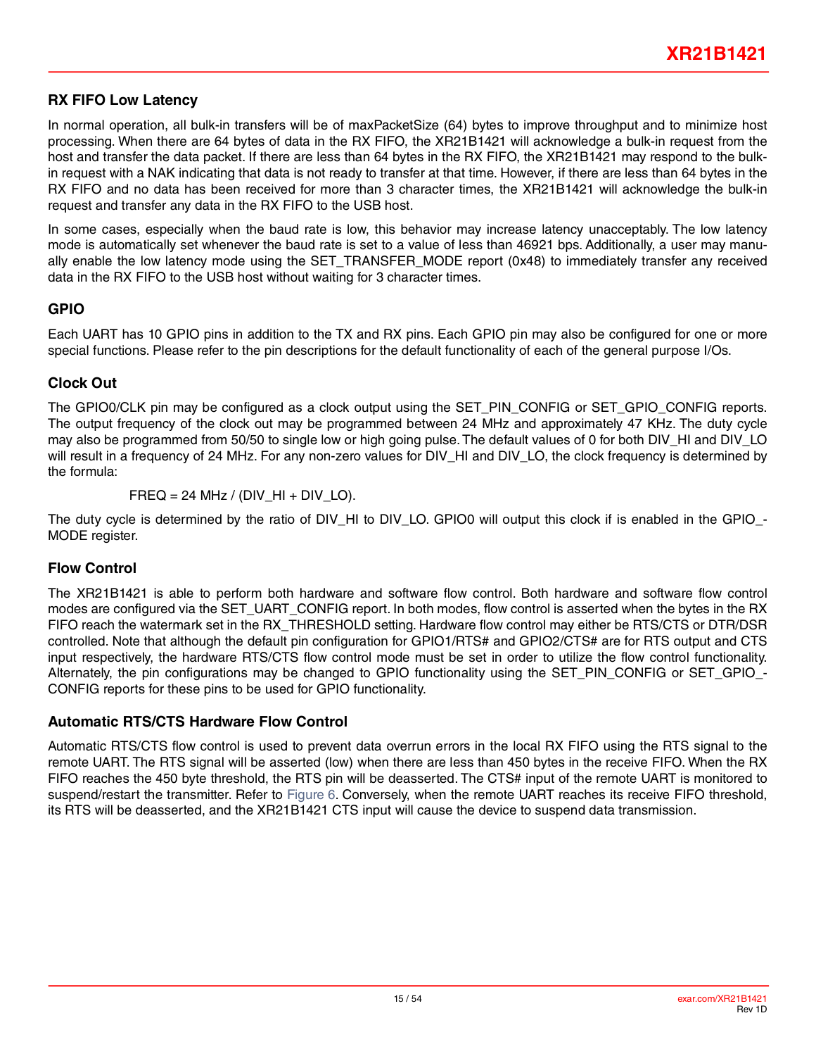### **RX FIFO Low Latency**

In normal operation, all bulk-in transfers will be of maxPacketSize (64) bytes to improve throughput and to minimize host processing. When there are 64 bytes of data in the RX FIFO, the XR21B1421 will acknowledge a bulk-in request from the host and transfer the data packet. If there are less than 64 bytes in the RX FIFO, the XR21B1421 may respond to the bulkin request with a NAK indicating that data is not ready to transfer at that time. However, if there are less than 64 bytes in the RX FIFO and no data has been received for more than 3 character times, the XR21B1421 will acknowledge the bulk-in request and transfer any data in the RX FIFO to the USB host.

In some cases, especially when the baud rate is low, this behavior may increase latency unacceptably. The low latency mode is automatically set whenever the baud rate is set to a value of less than 46921 bps. Additionally, a user may manually enable the low latency mode using the SET\_TRANSFER\_MODE report (0x48) to immediately transfer any received data in the RX FIFO to the USB host without waiting for 3 character times.

#### **GPIO**

Each UART has 10 GPIO pins in addition to the TX and RX pins. Each GPIO pin may also be configured for one or more special functions. Please refer to the pin descriptions for the default functionality of each of the general purpose I/Os.

## **Clock Out**

The GPIO0/CLK pin may be configured as a clock output using the SET\_PIN\_CONFIG or SET\_GPIO\_CONFIG reports. The output frequency of the clock out may be programmed between 24 MHz and approximately 47 KHz. The duty cycle may also be programmed from 50/50 to single low or high going pulse. The default values of 0 for both DIV HI and DIV LO will result in a frequency of 24 MHz. For any non-zero values for DIV\_HI and DIV\_LO, the clock frequency is determined by the formula:

FREQ = 24 MHz / (DIV  $HI + DIV$  LO).

The duty cycle is determined by the ratio of DIV\_HI to DIV\_LO. GPIO0 will output this clock if is enabled in the GPIO\_-MODE register.

#### **Flow Control**

The XR21B1421 is able to perform both hardware and software flow control. Both hardware and software flow control modes are configured via the SET\_UART\_CONFIG report. In both modes, flow control is asserted when the bytes in the RX FIFO reach the watermark set in the RX\_THRESHOLD setting. Hardware flow control may either be RTS/CTS or DTR/DSR controlled. Note that although the default pin configuration for GPIO1/RTS# and GPIO2/CTS# are for RTS output and CTS input respectively, the hardware RTS/CTS flow control mode must be set in order to utilize the flow control functionality. Alternately, the pin configurations may be changed to GPIO functionality using the SET\_PIN\_CONFIG or SET\_GPIO\_-CONFIG reports for these pins to be used for GPIO functionality.

#### <span id="page-14-0"></span>**Automatic RTS/CTS Hardware Flow Control**

Automatic RTS/CTS flow control is used to prevent data overrun errors in the local RX FIFO using the RTS signal to the remote UART. The RTS signal will be asserted (low) when there are less than 450 bytes in the receive FIFO. When the RX FIFO reaches the 450 byte threshold, the RTS pin will be deasserted. The CTS# input of the remote UART is monitored to suspend/restart the transmitter. Refer to [Figure](#page-15-1) 6. Conversely, when the remote UART reaches its receive FIFO threshold, its RTS will be deasserted, and the XR21B1421 CTS input will cause the device to suspend data transmission.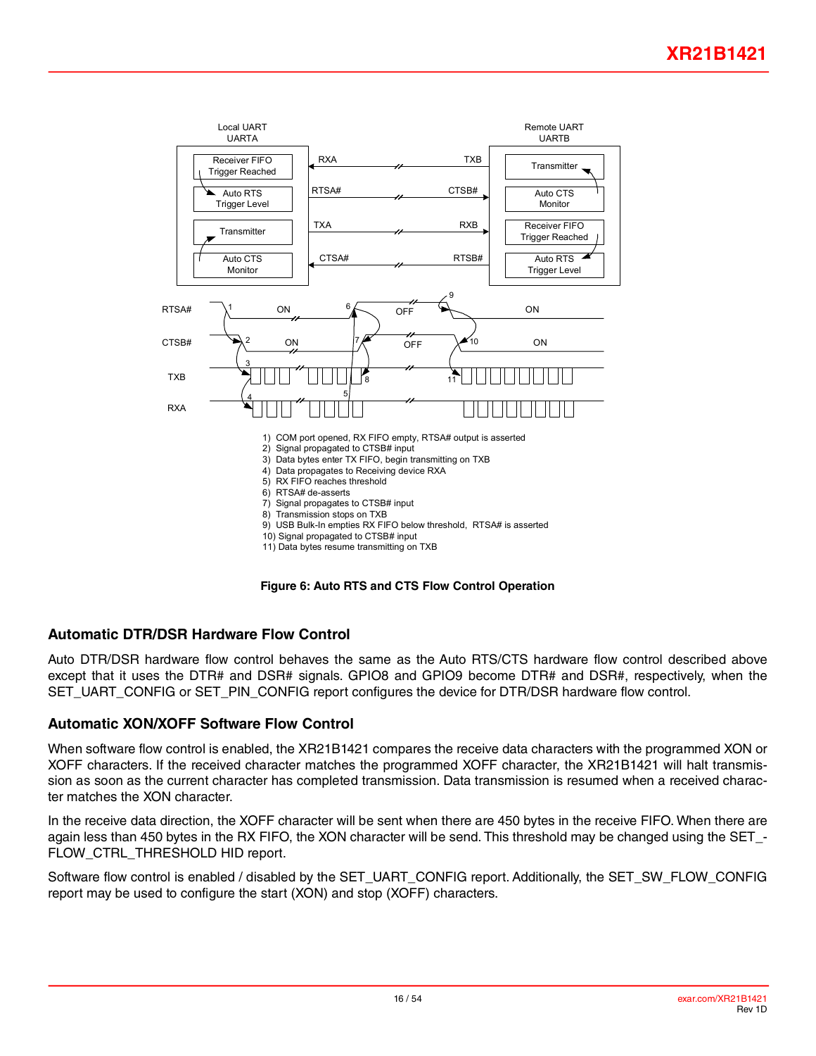

**Figure 6: Auto RTS and CTS Flow Control Operation**

#### <span id="page-15-1"></span><span id="page-15-0"></span>**Automatic DTR/DSR Hardware Flow Control**

Auto DTR/DSR hardware flow control behaves the same as the Auto RTS/CTS hardware flow control described above except that it uses the DTR# and DSR# signals. GPIO8 and GPIO9 become DTR# and DSR#, respectively, when the SET\_UART\_CONFIG or SET\_PIN\_CONFIG report configures the device for DTR/DSR hardware flow control.

#### **Automatic XON/XOFF Software Flow Control**

When software flow control is enabled, the XR21B1421 compares the receive data characters with the programmed XON or XOFF characters. If the received character matches the programmed XOFF character, the XR21B1421 will halt transmission as soon as the current character has completed transmission. Data transmission is resumed when a received character matches the XON character.

In the receive data direction, the XOFF character will be sent when there are 450 bytes in the receive FIFO. When there are again less than 450 bytes in the RX FIFO, the XON character will be send. This threshold may be changed using the SET\_- FLOW\_CTRL\_THRESHOLD HID report.

Software flow control is enabled / disabled by the SET\_UART\_CONFIG report. Additionally, the SET\_SW\_FLOW\_CONFIG report may be used to configure the start (XON) and stop (XOFF) characters.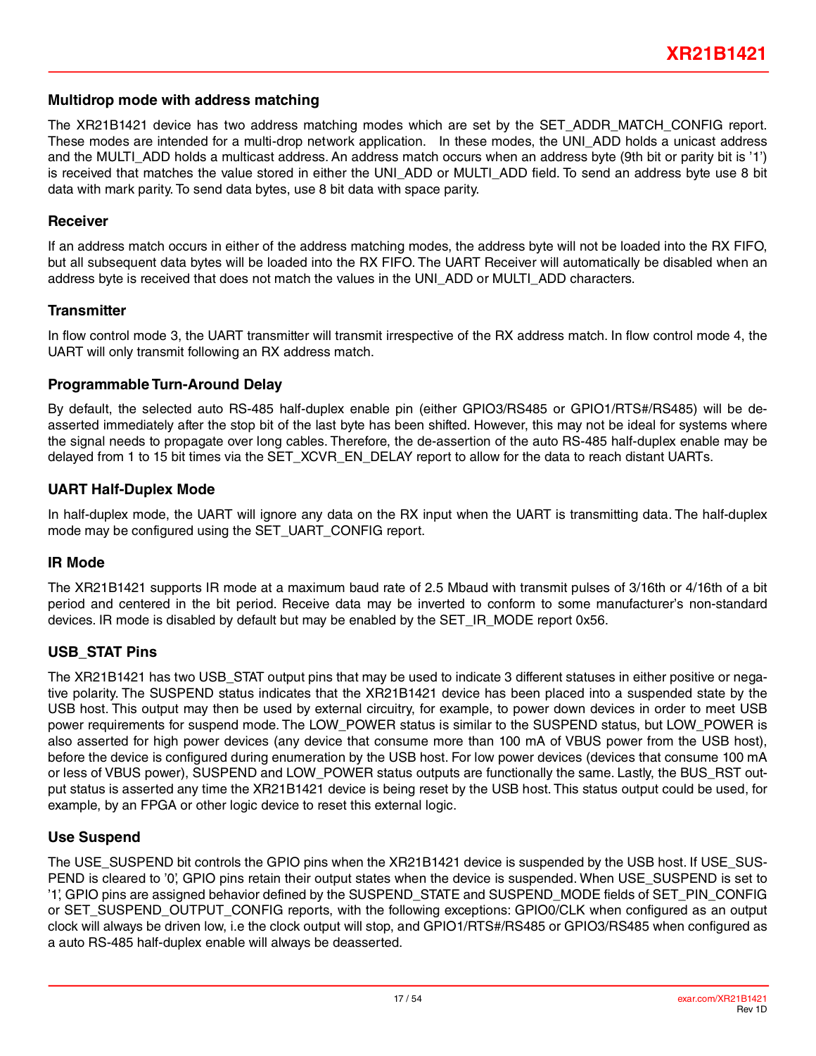#### **Multidrop mode with address matching**

The XR21B1421 device has two address matching modes which are set by the SET\_ADDR\_MATCH\_CONFIG report. These modes are intended for a multi-drop network application. In these modes, the UNI\_ADD holds a unicast address and the MULTI ADD holds a multicast address. An address match occurs when an address byte (9th bit or parity bit is '1') is received that matches the value stored in either the UNI\_ADD or MULTI\_ADD field. To send an address byte use 8 bit data with mark parity. To send data bytes, use 8 bit data with space parity.

#### **Receiver**

If an address match occurs in either of the address matching modes, the address byte will not be loaded into the RX FIFO, but all subsequent data bytes will be loaded into the RX FIFO. The UART Receiver will automatically be disabled when an address byte is received that does not match the values in the UNI\_ADD or MULTI\_ADD characters.

#### **Transmitter**

In flow control mode 3, the UART transmitter will transmit irrespective of the RX address match. In flow control mode 4, the UART will only transmit following an RX address match.

#### **Programmable Turn-Around Delay**

By default, the selected auto RS-485 half-duplex enable pin (either GPIO3/RS485 or GPIO1/RTS#/RS485) will be deasserted immediately after the stop bit of the last byte has been shifted. However, this may not be ideal for systems where the signal needs to propagate over long cables. Therefore, the de-assertion of the auto RS-485 half-duplex enable may be delayed from 1 to 15 bit times via the SET\_XCVR\_EN\_DELAY report to allow for the data to reach distant UARTs.

#### **UART Half-Duplex Mode**

In half-duplex mode, the UART will ignore any data on the RX input when the UART is transmitting data. The half-duplex mode may be configured using the SET\_UART\_CONFIG report.

#### **IR Mode**

The XR21B1421 supports IR mode at a maximum baud rate of 2.5 Mbaud with transmit pulses of 3/16th or 4/16th of a bit period and centered in the bit period. Receive data may be inverted to conform to some manufacturer's non-standard devices. IR mode is disabled by default but may be enabled by the SET\_IR\_MODE report 0x56.

#### **USB\_STAT Pins**

The XR21B1421 has two USB\_STAT output pins that may be used to indicate 3 different statuses in either positive or negative polarity. The SUSPEND status indicates that the XR21B1421 device has been placed into a suspended state by the USB host. This output may then be used by external circuitry, for example, to power down devices in order to meet USB power requirements for suspend mode. The LOW\_POWER status is similar to the SUSPEND status, but LOW\_POWER is also asserted for high power devices (any device that consume more than 100 mA of VBUS power from the USB host), before the device is configured during enumeration by the USB host. For low power devices (devices that consume 100 mA or less of VBUS power), SUSPEND and LOW\_POWER status outputs are functionally the same. Lastly, the BUS\_RST output status is asserted any time the XR21B1421 device is being reset by the USB host. This status output could be used, for example, by an FPGA or other logic device to reset this external logic.

#### **Use Suspend**

The USE\_SUSPEND bit controls the GPIO pins when the XR21B1421 device is suspended by the USB host. If USE\_SUS-PEND is cleared to '0', GPIO pins retain their output states when the device is suspended. When USE\_SUSPEND is set to '1', GPIO pins are assigned behavior defined by the SUSPEND\_STATE and SUSPEND\_MODE fields of SET\_PIN\_CONFIG or SET\_SUSPEND\_OUTPUT\_CONFIG reports, with the following exceptions: GPIO0/CLK when configured as an output clock will always be driven low, i.e the clock output will stop, and GPIO1/RTS#/RS485 or GPIO3/RS485 when configured as a auto RS-485 half-duplex enable will always be deasserted.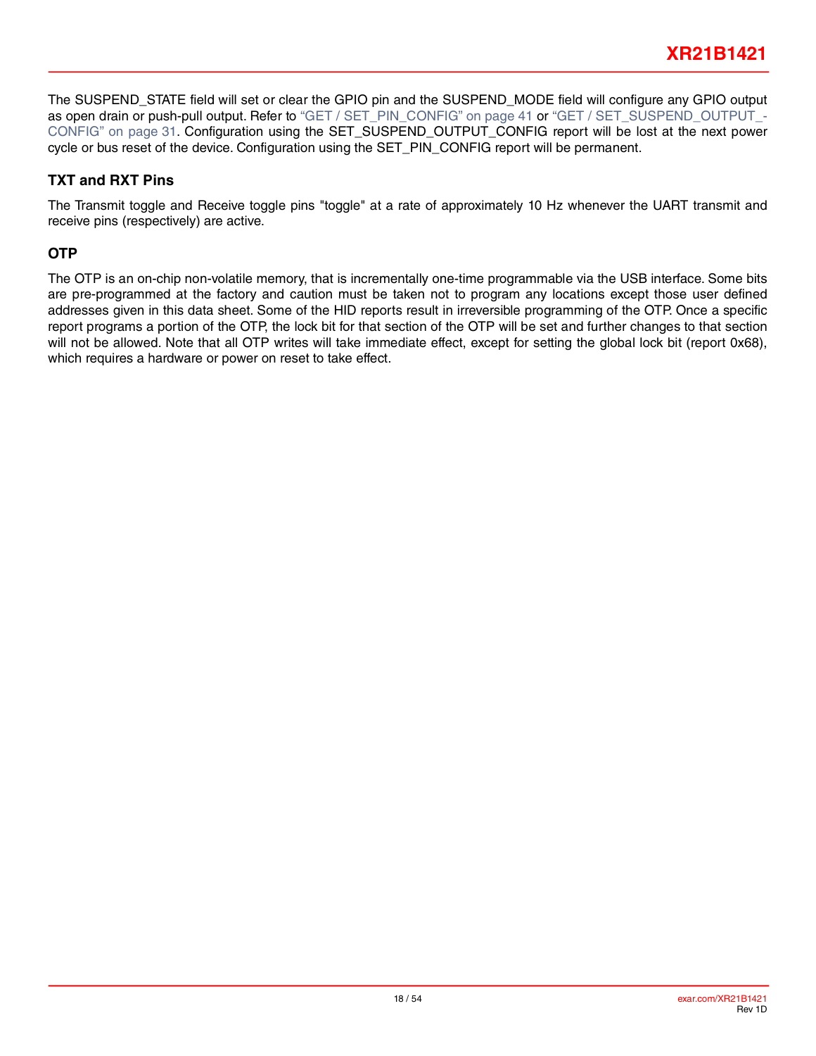The SUSPEND\_STATE field will set or clear the GPIO pin and the SUSPEND\_MODE field will configure any GPIO output as open drain or push-pull output. Refer to ["GET / SET\\_PIN\\_CONFIG" on page](#page-40-0) 41 or ["GET / SET\\_SUSPEND\\_OUTPUT\\_](#page-30-0)-[CONFIG" on page](#page-30-0) 31. Configuration using the SET\_SUSPEND\_OUTPUT\_CONFIG report will be lost at the next power cycle or bus reset of the device. Configuration using the SET\_PIN\_CONFIG report will be permanent.

## **TXT and RXT Pins**

The Transmit toggle and Receive toggle pins "toggle" at a rate of approximately 10 Hz whenever the UART transmit and receive pins (respectively) are active.

## **OTP**

The OTP is an on-chip non-volatile memory, that is incrementally one-time programmable via the USB interface. Some bits are pre-programmed at the factory and caution must be taken not to program any locations except those user defined addresses given in this data sheet. Some of the HID reports result in irreversible programming of the OTP. Once a specific report programs a portion of the OTP, the lock bit for that section of the OTP will be set and further changes to that section will not be allowed. Note that all OTP writes will take immediate effect, except for setting the global lock bit (report 0x68), which requires a hardware or power on reset to take effect.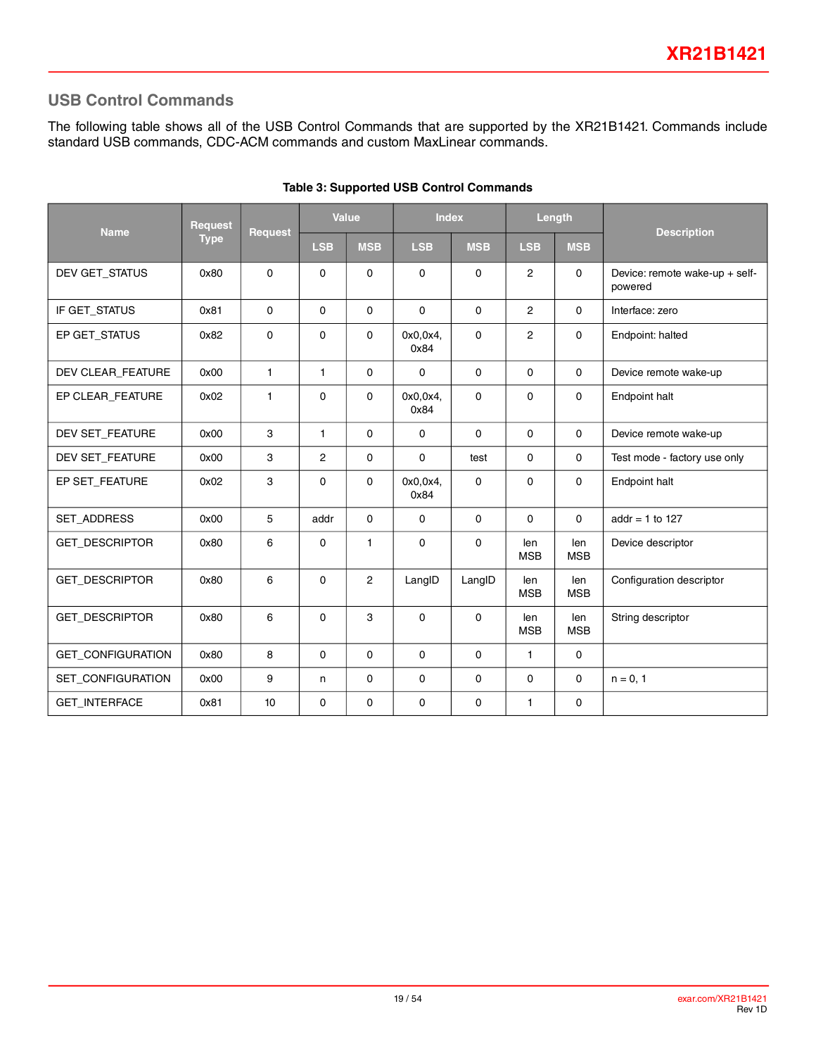## **USB Control Commands**

The following table shows all of the USB Control Commands that are supported by the XR21B1421. Commands include standard USB commands, CDC-ACM commands and custom MaxLinear commands.

| <b>Name</b>           | <b>Request</b> | <b>Request</b> |                | <b>Value</b>   | <b>Index</b>     |             |                   | Length            | <b>Description</b>                        |  |
|-----------------------|----------------|----------------|----------------|----------------|------------------|-------------|-------------------|-------------------|-------------------------------------------|--|
|                       | <b>Type</b>    |                | <b>LSB</b>     | <b>MSB</b>     | <b>LSB</b>       | <b>MSB</b>  | <b>LSB</b>        | <b>MSB</b>        |                                           |  |
| DEV GET_STATUS        | 0x80           | $\Omega$       | $\Omega$       | $\Omega$       | $\Omega$         | $\Omega$    | $\overline{2}$    | $\mathbf{0}$      | Device: remote wake-up + self-<br>powered |  |
| IF GET_STATUS         | 0x81           | $\Omega$       | $\mathbf{0}$   | $\Omega$       | $\Omega$         | $\Omega$    | $\overline{2}$    | $\Omega$          | Interface: zero                           |  |
| EP GET_STATUS         | 0x82           | $\mathbf 0$    | $\Omega$       | $\mathbf{0}$   | 0x0,0x4,<br>0x84 | $\Omega$    | $\overline{2}$    | $\mathbf{0}$      | Endpoint: halted                          |  |
| DEV CLEAR_FEATURE     | 0x00           | $\mathbf{1}$   | $\mathbf{1}$   | $\mathbf{0}$   | 0                | $\Omega$    | $\mathbf 0$       | $\mathbf 0$       | Device remote wake-up                     |  |
| EP CLEAR_FEATURE      | 0x02           | $\mathbf{1}$   | 0              | $\mathbf{0}$   | 0x0.0x4<br>0x84  | $\Omega$    | 0                 | $\mathbf 0$       | Endpoint halt                             |  |
| DEV SET_FEATURE       | 0x00           | 3              | $\mathbf{1}$   | $\Omega$       | $\mathbf 0$      | $\Omega$    | $\mathbf 0$       | $\mathbf 0$       | Device remote wake-up                     |  |
| DEV SET FEATURE       | 0x00           | 3              | $\overline{2}$ | $\Omega$       | $\mathbf 0$      | test        | 0                 | $\mathbf 0$       | Test mode - factory use only              |  |
| EP SET FEATURE        | 0x02           | 3              | $\Omega$       | $\Omega$       | 0x0.0x4<br>0x84  | $\Omega$    | 0                 | $\mathbf 0$       | Endpoint halt                             |  |
| <b>SET ADDRESS</b>    | 0x00           | 5              | addr           | $\Omega$       | $\mathbf 0$      | $\mathbf 0$ | $\Omega$          | $\mathbf{0}$      | addr = $1$ to 127                         |  |
| <b>GET DESCRIPTOR</b> | 0x80           | 6              | 0              | 1              | 0                | 0           | len<br><b>MSB</b> | len<br><b>MSB</b> | Device descriptor                         |  |
| GET_DESCRIPTOR        | 0x80           | 6              | $\Omega$       | $\overline{2}$ | LangID           | LangID      | len<br><b>MSB</b> | len<br><b>MSB</b> | Configuration descriptor                  |  |
| GET_DESCRIPTOR        | 0x80           | 6              | $\Omega$       | 3              | 0                | $\Omega$    | len<br><b>MSB</b> | len<br><b>MSB</b> | String descriptor                         |  |
| GET_CONFIGURATION     | 0x80           | 8              | $\mathbf 0$    | 0              | $\mathbf 0$      | 0           | $\mathbf{1}$      | $\mathbf 0$       |                                           |  |
| SET_CONFIGURATION     | 0x00           | 9              | n              | 0              | 0                | 0           | 0                 | $\mathbf 0$       | $n = 0, 1$                                |  |
| <b>GET INTERFACE</b>  | 0x81           | 10             | 0              | 0              | 0                | 0           | $\mathbf{1}$      | 0                 |                                           |  |

#### **Table 3: Supported USB Control Commands**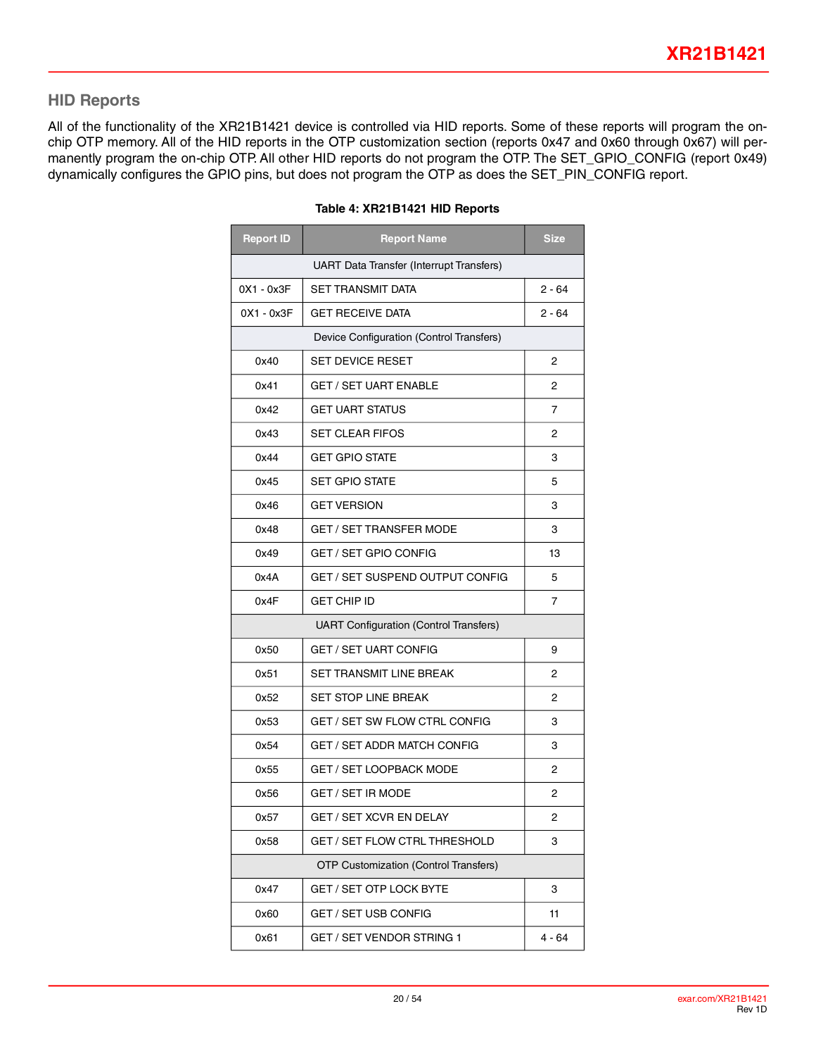## **HID Reports**

All of the functionality of the XR21B1421 device is controlled via HID reports. Some of these reports will program the onchip OTP memory. All of the HID reports in the OTP customization section (reports 0x47 and 0x60 through 0x67) will permanently program the on-chip OTP. All other HID reports do not program the OTP. The SET\_GPIO\_CONFIG (report 0x49) dynamically configures the GPIO pins, but does not program the OTP as does the SET\_PIN\_CONFIG report.

| <b>Report ID</b> | <b>Report Name</b>                              | <b>Size</b> |  |  |  |  |  |  |  |
|------------------|-------------------------------------------------|-------------|--|--|--|--|--|--|--|
|                  | <b>UART Data Transfer (Interrupt Transfers)</b> |             |  |  |  |  |  |  |  |
| 0X1 - 0x3F       | <b>SET TRANSMIT DATA</b>                        | 2 - 64      |  |  |  |  |  |  |  |
| $0X1 - 0x3F$     | <b>GET RECEIVE DATA</b>                         | 2 - 64      |  |  |  |  |  |  |  |
|                  | Device Configuration (Control Transfers)        |             |  |  |  |  |  |  |  |
| 0x40             | <b>SET DEVICE RESET</b>                         | 2           |  |  |  |  |  |  |  |
| 0x41             | <b>GET / SET UART ENABLE</b>                    | 2           |  |  |  |  |  |  |  |
| 0x42             | <b>GET UART STATUS</b>                          | 7           |  |  |  |  |  |  |  |
| 0x43             | <b>SET CLEAR FIFOS</b>                          | 2           |  |  |  |  |  |  |  |
| 0x44             | <b>GET GPIO STATE</b>                           | 3           |  |  |  |  |  |  |  |
| 0x45             | <b>SET GPIO STATE</b>                           | 5           |  |  |  |  |  |  |  |
| 0x46             | <b>GET VERSION</b>                              | 3           |  |  |  |  |  |  |  |
| 0x48             | <b>GET / SET TRANSFER MODE</b>                  | 3           |  |  |  |  |  |  |  |
| 0x49             | <b>GET / SET GPIO CONFIG</b>                    | 13          |  |  |  |  |  |  |  |
| 0x4A             | GET / SET SUSPEND OUTPUT CONFIG                 | 5           |  |  |  |  |  |  |  |
| 0x4F             | GET CHIP ID                                     | 7           |  |  |  |  |  |  |  |
|                  | <b>UART Configuration (Control Transfers)</b>   |             |  |  |  |  |  |  |  |
| 0x50             | <b>GET / SET UART CONFIG</b>                    | 9           |  |  |  |  |  |  |  |
| 0x51             | <b>SET TRANSMIT LINE BREAK</b>                  | 2           |  |  |  |  |  |  |  |
| 0x52             | <b>SET STOP LINE BREAK</b>                      | 2           |  |  |  |  |  |  |  |
| 0x53             | <b>GET / SET SW FLOW CTRL CONFIG</b>            | 3           |  |  |  |  |  |  |  |
| 0x54             | <b>GET / SET ADDR MATCH CONFIG</b>              | 3           |  |  |  |  |  |  |  |
| 0x55             | <b>GET / SET LOOPBACK MODE</b>                  | 2           |  |  |  |  |  |  |  |
| 0x56             | <b>GET / SET IR MODE</b>                        | 2           |  |  |  |  |  |  |  |
| 0x57             | <b>GET / SET XCVR EN DELAY</b>                  | 2           |  |  |  |  |  |  |  |
| 0x58             | GET / SET FLOW CTRL THRESHOLD                   | 3           |  |  |  |  |  |  |  |
|                  | <b>OTP Customization (Control Transfers)</b>    |             |  |  |  |  |  |  |  |
| 0x47             | GET / SET OTP LOCK BYTE                         | 3           |  |  |  |  |  |  |  |
| 0x60             | <b>GET / SET USB CONFIG</b>                     | 11          |  |  |  |  |  |  |  |
| 0x61             | GET / SET VENDOR STRING 1                       | $4 - 64$    |  |  |  |  |  |  |  |

#### **Table 4: XR21B1421 HID Reports**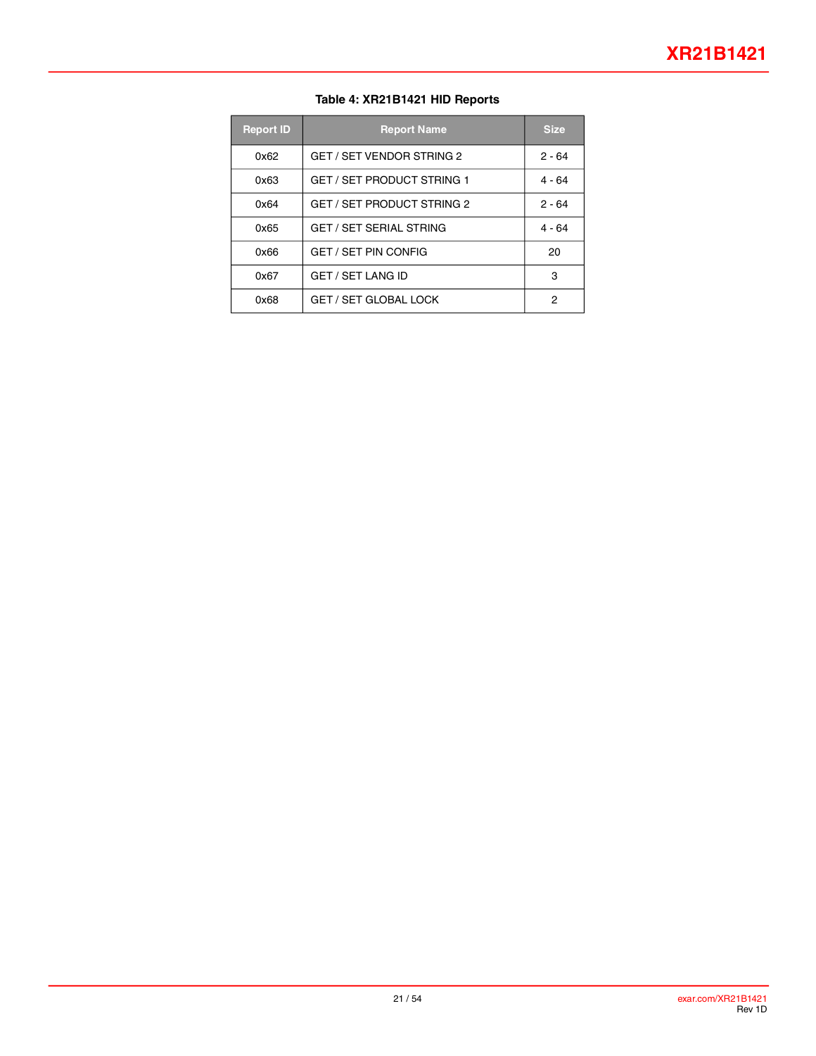#### **Table 4: XR21B1421 HID Reports**

| <b>Report ID</b> | <b>Report Name</b>                | <b>Size</b> |
|------------------|-----------------------------------|-------------|
| 0x62             | GET / SET VENDOR STRING 2         | $2 - 64$    |
| 0x63             | <b>GET / SET PRODUCT STRING 1</b> | $4 - 64$    |
| 0x64             | <b>GET / SET PRODUCT STRING 2</b> | $2 - 64$    |
| 0x65             | <b>GET / SET SERIAL STRING</b>    | $4 - 64$    |
| 0x66             | <b>GET / SET PIN CONFIG</b>       | 20          |
| 0x67             | <b>GET / SET LANG ID</b>          | з           |
| 0x68             | <b>GET / SET GLOBAL LOCK</b>      | 2           |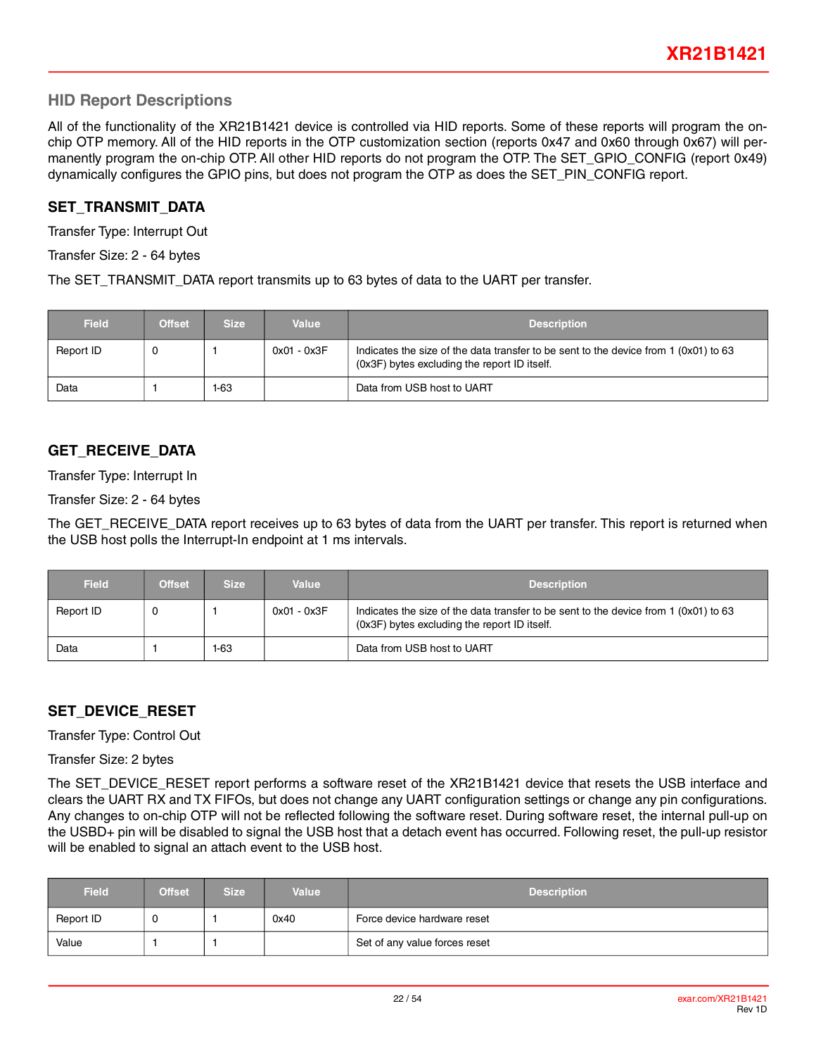### **HID Report Descriptions**

All of the functionality of the XR21B1421 device is controlled via HID reports. Some of these reports will program the onchip OTP memory. All of the HID reports in the OTP customization section (reports 0x47 and 0x60 through 0x67) will permanently program the on-chip OTP. All other HID reports do not program the OTP. The SET GPIO CONFIG (report 0x49) dynamically configures the GPIO pins, but does not program the OTP as does the SET\_PIN\_CONFIG report.

#### **SET\_TRANSMIT\_DATA**

Transfer Type: Interrupt Out

Transfer Size: 2 - 64 bytes

The SET\_TRANSMIT\_DATA report transmits up to 63 bytes of data to the UART per transfer.

| <b>Field</b> | <b>Offset</b> | <b>Size</b> | Value       | <b>Description</b>                                                                                                                   |
|--------------|---------------|-------------|-------------|--------------------------------------------------------------------------------------------------------------------------------------|
| Report ID    |               |             | 0x01 - 0x3F | Indicates the size of the data transfer to be sent to the device from 1 (0x01) to 63<br>(0x3F) bytes excluding the report ID itself. |
| Data         |               | 1-63        |             | Data from USB host to UART                                                                                                           |

#### **GET\_RECEIVE\_DATA**

Transfer Type: Interrupt In

Transfer Size: 2 - 64 bytes

The GET\_RECEIVE\_DATA report receives up to 63 bytes of data from the UART per transfer. This report is returned when the USB host polls the Interrupt-In endpoint at 1 ms intervals.

| <b>Field</b> | <b>Offset</b> | <b>Size</b> | Value         | <b>Description</b>                                                                                                                   |
|--------------|---------------|-------------|---------------|--------------------------------------------------------------------------------------------------------------------------------------|
| Report ID    | - ധ           |             | $0x01 - 0x3F$ | Indicates the size of the data transfer to be sent to the device from 1 (0x01) to 63<br>(0x3F) bytes excluding the report ID itself. |
| Data         |               | 1-63        |               | Data from USB host to UART                                                                                                           |

#### **SET\_DEVICE\_RESET**

Transfer Type: Control Out

Transfer Size: 2 bytes

The SET\_DEVICE\_RESET report performs a software reset of the XR21B1421 device that resets the USB interface and clears the UART RX and TX FIFOs, but does not change any UART configuration settings or change any pin configurations. Any changes to on-chip OTP will not be reflected following the software reset. During software reset, the internal pull-up on the USBD+ pin will be disabled to signal the USB host that a detach event has occurred. Following reset, the pull-up resistor will be enabled to signal an attach event to the USB host.

| <b>Field</b> | <b>Offset</b> | <b>Size</b> | Value | <b>Description</b>            |
|--------------|---------------|-------------|-------|-------------------------------|
| Report ID    |               |             | 0x40  | Force device hardware reset   |
| Value        |               |             |       | Set of any value forces reset |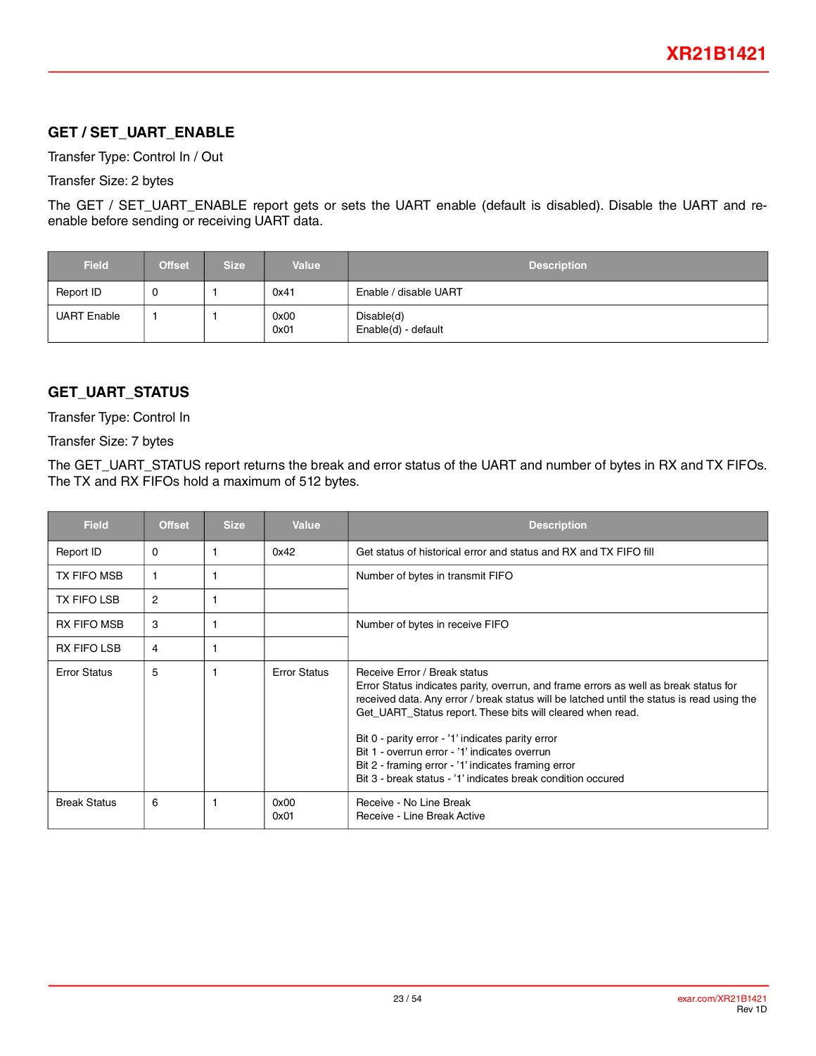## **GET / SET\_UART\_ENABLE**

Transfer Type: Control In / Out

Transfer Size: 2 bytes

The GET / SET\_UART\_ENABLE report gets or sets the UART enable (default is disabled). Disable the UART and reenable before sending or receiving UART data.

| <b>Field</b>       | <b>Offset</b> | <b>Size</b> | <b>Value</b> | <b>Description</b>                |
|--------------------|---------------|-------------|--------------|-----------------------------------|
| Report ID          | 0             |             | 0x41         | Enable / disable UART             |
| <b>UART Enable</b> |               |             | 0x00<br>0x01 | Disable(d)<br>Enable(d) - default |

## **GET\_UART\_STATUS**

Transfer Type: Control In

Transfer Size: 7 bytes

The GET\_UART\_STATUS report returns the break and error status of the UART and number of bytes in RX and TX FIFOs. The TX and RX FIFOs hold a maximum of 512 bytes.

| <b>Field</b>        | <b>Offset</b>  | <b>Size</b> | <b>Value</b>        | <b>Description</b>                                                                                                                                                                                                                                                                                                                                                                                                                                                                                            |
|---------------------|----------------|-------------|---------------------|---------------------------------------------------------------------------------------------------------------------------------------------------------------------------------------------------------------------------------------------------------------------------------------------------------------------------------------------------------------------------------------------------------------------------------------------------------------------------------------------------------------|
| Report ID           | 0              |             | 0x42                | Get status of historical error and status and RX and TX FIFO fill                                                                                                                                                                                                                                                                                                                                                                                                                                             |
| TX FIFO MSB         |                |             |                     | Number of bytes in transmit FIFO                                                                                                                                                                                                                                                                                                                                                                                                                                                                              |
| <b>TX FIFO LSB</b>  | $\overline{2}$ |             |                     |                                                                                                                                                                                                                                                                                                                                                                                                                                                                                                               |
| <b>RX FIFO MSB</b>  | 3              |             |                     | Number of bytes in receive FIFO                                                                                                                                                                                                                                                                                                                                                                                                                                                                               |
| <b>RX FIFO LSB</b>  | 4              |             |                     |                                                                                                                                                                                                                                                                                                                                                                                                                                                                                                               |
| <b>Error Status</b> | 5              |             | <b>Error Status</b> | Receive Error / Break status<br>Error Status indicates parity, overrun, and frame errors as well as break status for<br>received data. Any error / break status will be latched until the status is read using the<br>Get_UART_Status report. These bits will cleared when read.<br>Bit 0 - parity error - '1' indicates parity error<br>Bit 1 - overrun error - '1' indicates overrun<br>Bit 2 - framing error - '1' indicates framing error<br>Bit 3 - break status - '1' indicates break condition occured |
| <b>Break Status</b> | 6              |             | 0x00<br>0x01        | Receive - No Line Break<br>Receive - Line Break Active                                                                                                                                                                                                                                                                                                                                                                                                                                                        |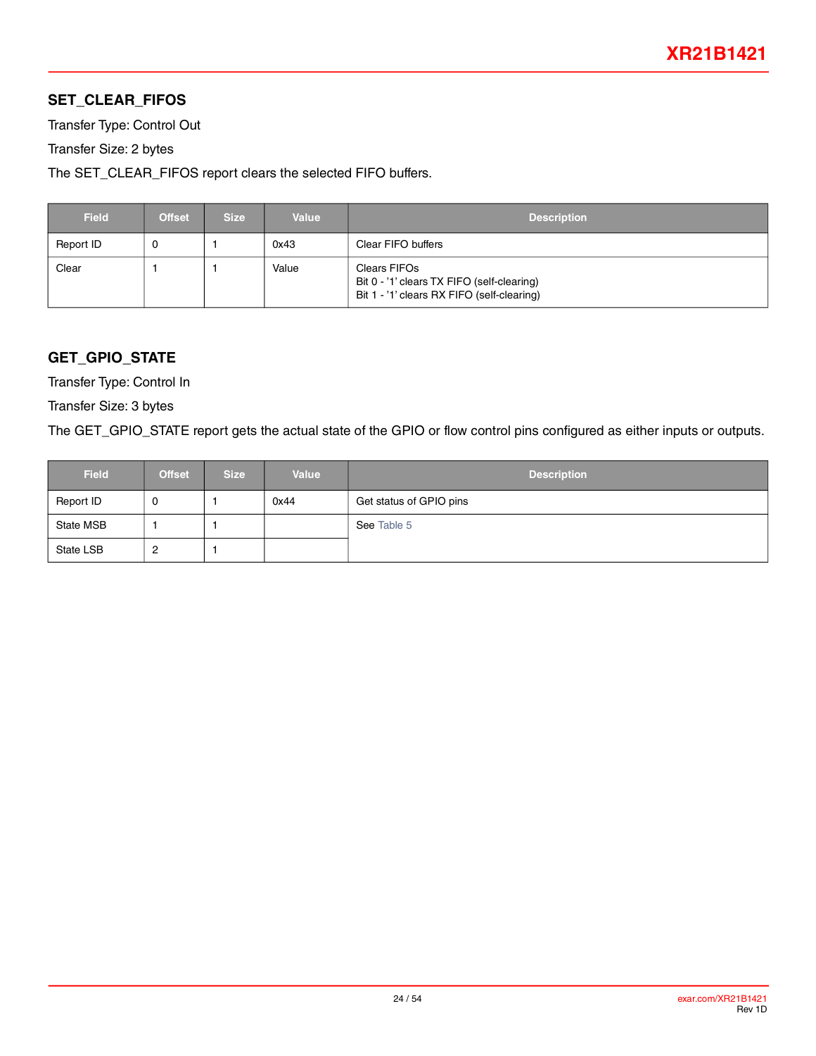## **SET\_CLEAR\_FIFOS**

Transfer Type: Control Out

Transfer Size: 2 bytes

The SET\_CLEAR\_FIFOS report clears the selected FIFO buffers.

| <b>Field</b> | <b>Offset</b> | <b>Size</b> | <b>Value</b> | <b>Description</b>                                                                                       |
|--------------|---------------|-------------|--------------|----------------------------------------------------------------------------------------------------------|
| Report ID    |               |             | 0x43         | Clear FIFO buffers                                                                                       |
| Clear        |               |             | Value        | Clears FIFOs<br>Bit 0 - '1' clears TX FIFO (self-clearing)<br>Bit 1 - '1' clears RX FIFO (self-clearing) |

## **GET\_GPIO\_STATE**

Transfer Type: Control In

Transfer Size: 3 bytes

The GET\_GPIO\_STATE report gets the actual state of the GPIO or flow control pins configured as either inputs or outputs.

| <b>Field</b> | <b>Offset</b> | <b>Size</b> | <b>Value</b> | <b>Description</b>      |
|--------------|---------------|-------------|--------------|-------------------------|
| Report ID    | U             |             | 0x44         | Get status of GPIO pins |
| State MSB    |               |             |              | See Table 5             |
| State LSB    | 2             |             |              |                         |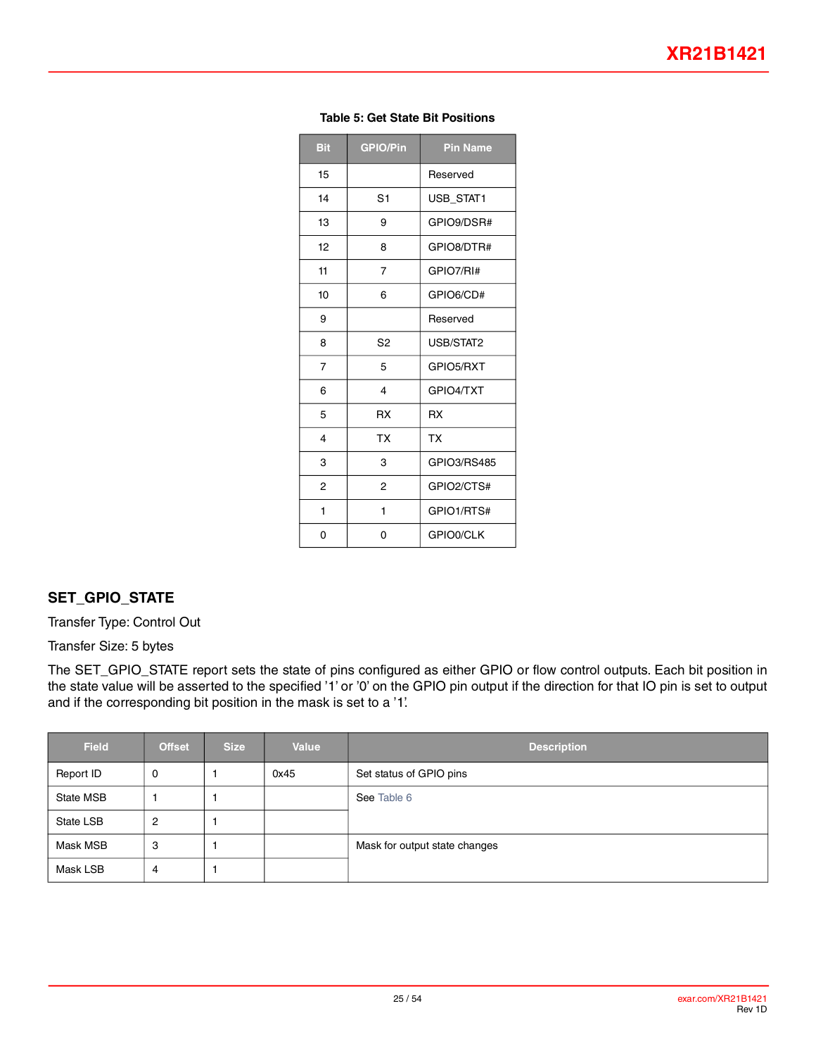<span id="page-24-0"></span>

| <b>Bit</b>     | <b>GPIO/Pin</b> | <b>Pin Name</b> |
|----------------|-----------------|-----------------|
| 15             |                 | Reserved        |
| 14             | S <sub>1</sub>  | USB STAT1       |
| 13             | 9               | GPIO9/DSR#      |
| 12             | 8               | GPIO8/DTR#      |
| 11             | 7               | GPIO7/RI#       |
| 10             | 6               | GPIO6/CD#       |
| 9              |                 | Reserved        |
| 8              | S <sub>2</sub>  | USB/STAT2       |
| $\overline{7}$ | 5               | GPIO5/RXT       |
| 6              | 4               | GPIO4/TXT       |
| 5              | <b>RX</b>       | <b>RX</b>       |
| 4              | <b>TX</b>       | TX              |
| 3              | 3               | GPIO3/RS485     |
| $\overline{2}$ | $\overline{2}$  | GPIO2/CTS#      |
| 1              | 1               | GPIO1/RTS#      |
| 0              | 0               | GPIO0/CLK       |

#### **Table 5: Get State Bit Positions**

### **SET\_GPIO\_STATE**

Transfer Type: Control Out

Transfer Size: 5 bytes

The SET\_GPIO\_STATE report sets the state of pins configured as either GPIO or flow control outputs. Each bit position in the state value will be asserted to the specified '1' or '0' on the GPIO pin output if the direction for that IO pin is set to output and if the corresponding bit position in the mask is set to a '1'.

| <b>Field</b> | <b>Offset</b> | <b>Size</b> | Value | <b>Description</b>            |
|--------------|---------------|-------------|-------|-------------------------------|
| Report ID    | 0             |             | 0x45  | Set status of GPIO pins       |
| State MSB    |               |             |       | See Table 6                   |
| State LSB    | 2             |             |       |                               |
| Mask MSB     | 3             |             |       | Mask for output state changes |
| Mask LSB     | 4             |             |       |                               |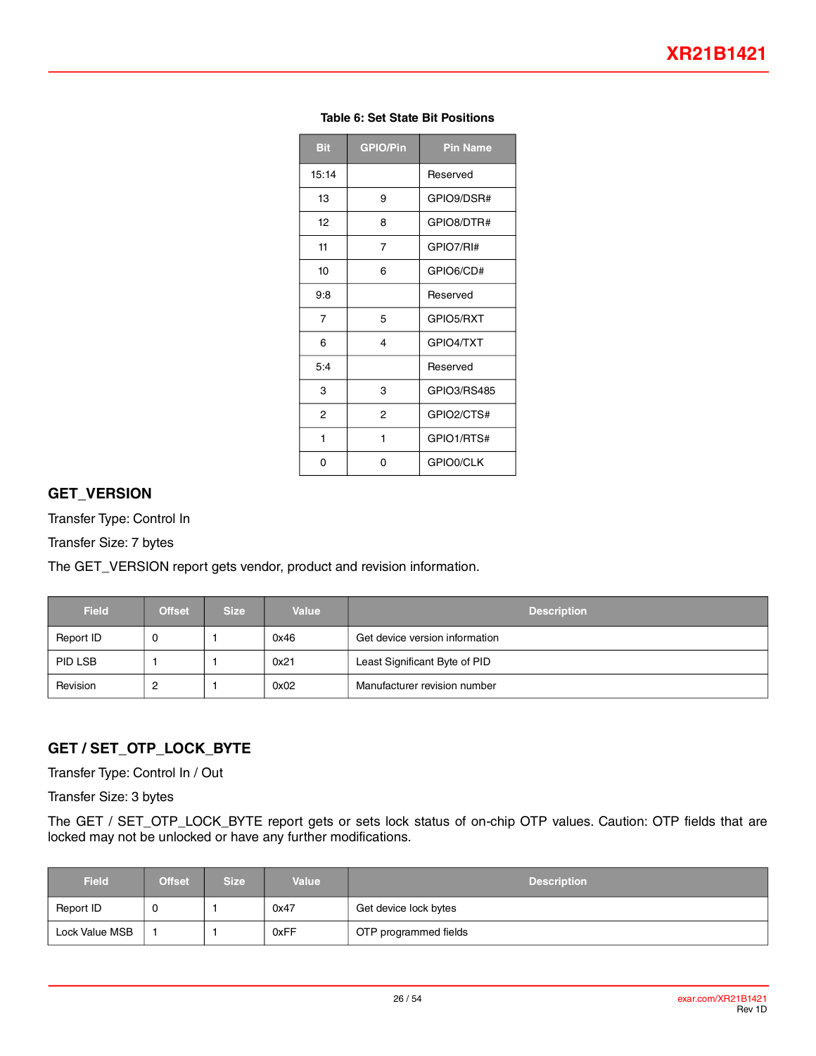<span id="page-25-0"></span>

| <b>Bit</b> | <b>GPIO/Pin</b>         | <b>Pin Name</b> |
|------------|-------------------------|-----------------|
| 15:14      |                         | Reserved        |
| 13         | 9                       | GPIO9/DSR#      |
| 12         | 8                       | GPIO8/DTR#      |
| 11         | 7                       | GPIO7/RI#       |
| 10         | 6                       | GPIO6/CD#       |
| 9:8        |                         | Reserved        |
| 7          | 5                       | GPIO5/RXT       |
| 6          | $\overline{\mathbf{4}}$ | GPIO4/TXT       |
| 5:4        |                         | Reserved        |
| 3          | 3                       | GPIO3/RS485     |
| 2          | $\overline{2}$          | GPIO2/CTS#      |
| 1          | 1                       | GPIO1/RTS#      |
| ი          | 0                       | GPIO0/CLK       |

#### **Table 6: Set State Bit Positions**

#### **GET\_VERSION**

Transfer Type: Control In

Transfer Size: 7 bytes

The GET\_VERSION report gets vendor, product and revision information.

| <b>Field</b> | <b>Offset</b> | <b>Size</b> | <b>Value</b> | <b>Description</b>             |
|--------------|---------------|-------------|--------------|--------------------------------|
| Report ID    |               |             | 0x46         | Get device version information |
| PID LSB      |               |             | 0x21         | Least Significant Byte of PID  |
| Revision     |               |             | 0x02         | Manufacturer revision number   |

## **GET / SET\_OTP\_LOCK\_BYTE**

Transfer Type: Control In / Out

Transfer Size: 3 bytes

The GET / SET\_OTP\_LOCK\_BYTE report gets or sets lock status of on-chip OTP values. Caution: OTP fields that are locked may not be unlocked or have any further modifications.

| <b>Field</b>   | <b>Offset</b> | <b>Size</b> | <b>Value</b> | <b>Description</b>    |
|----------------|---------------|-------------|--------------|-----------------------|
| Report ID      | U             |             | 0x47         | Get device lock bytes |
| Lock Value MSB |               |             | 0xFF         | OTP programmed fields |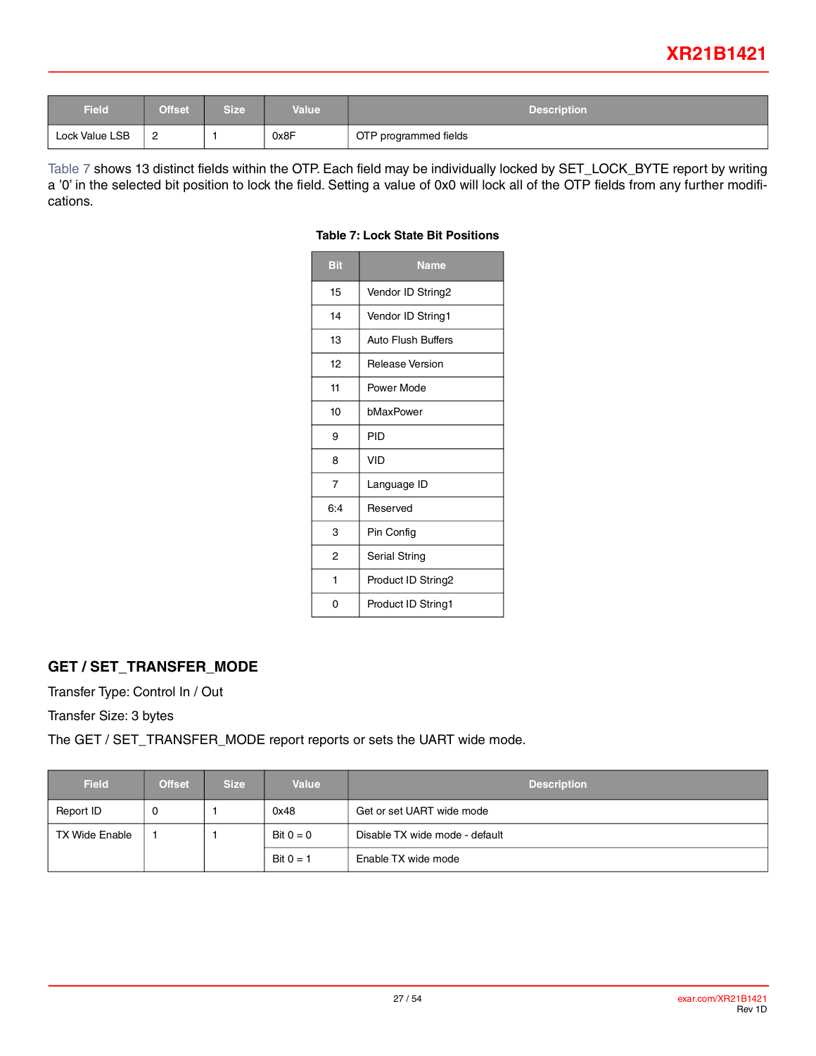## **XR21B1421**

| Field          | <b>Offset</b> | <b>Size</b> | Value | <b>Description</b>    |
|----------------|---------------|-------------|-------|-----------------------|
| Lock Value LSB | <u>.</u>      |             | 0x8F  | OTP programmed fields |

<span id="page-26-0"></span>[Table](#page-26-0) 7 shows 13 distinct fields within the OTP. Each field may be individually locked by SET\_LOCK\_BYTE report by writing a '0' in the selected bit position to lock the field. Setting a value of 0x0 will lock all of the OTP fields from any further modifications.

| <b>Bit</b>     | Name                      |  |
|----------------|---------------------------|--|
| 15             | Vendor ID String2         |  |
| 14             | Vendor ID String1         |  |
| 13             | <b>Auto Flush Buffers</b> |  |
| 12             | Release Version           |  |
| 11             | Power Mode                |  |
| 10             | bMaxPower                 |  |
| 9              | PID                       |  |
| 8              | VID                       |  |
| $\overline{7}$ | Language ID               |  |
| 6:4            | Reserved                  |  |
| 3              | Pin Config                |  |
| 2              | <b>Serial String</b>      |  |
| 1              | Product ID String2        |  |
| 0              | Product ID String1        |  |

#### **Table 7: Lock State Bit Positions**

## **GET / SET\_TRANSFER\_MODE**

Transfer Type: Control In / Out

Transfer Size: 3 bytes

The GET / SET\_TRANSFER\_MODE report reports or sets the UART wide mode.

| <b>Field</b>   | <b>Offset</b> | <b>Size</b> | <b>Value</b> | <b>Description</b>             |  |
|----------------|---------------|-------------|--------------|--------------------------------|--|
| Report ID      |               |             | 0x48         | Get or set UART wide mode      |  |
| TX Wide Enable |               |             | Bit $0 = 0$  | Disable TX wide mode - default |  |
|                |               |             | Bit $0 = 1$  | Enable TX wide mode            |  |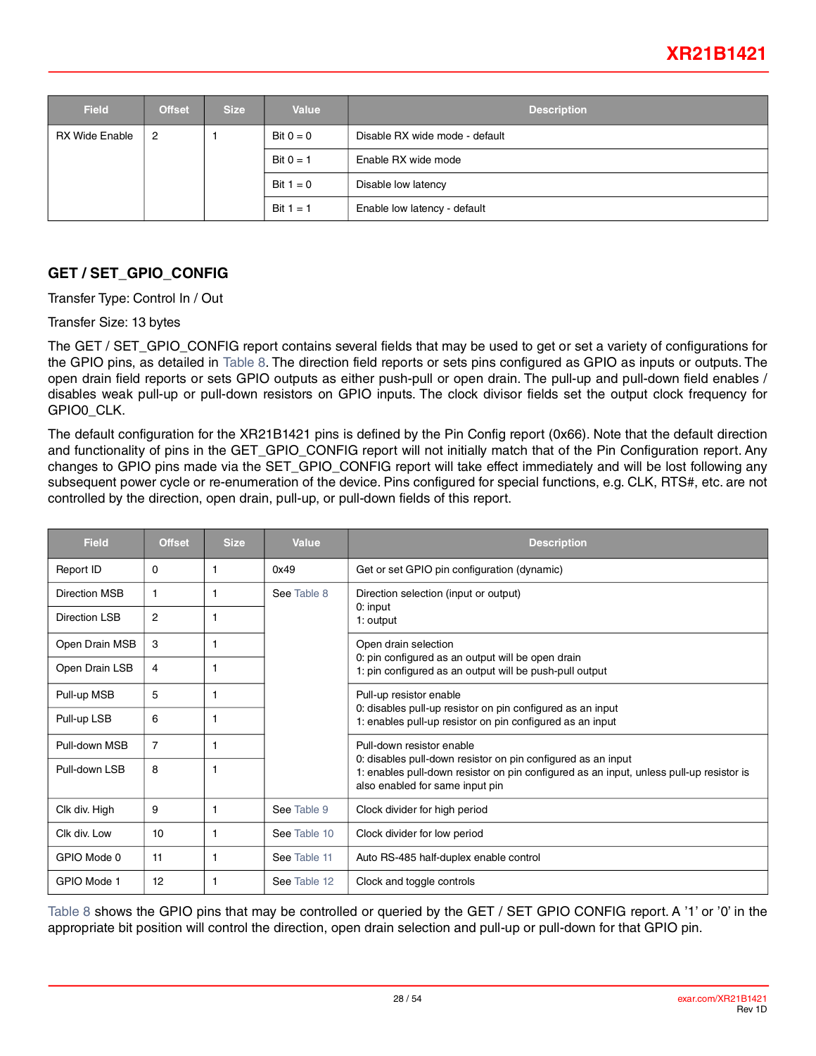## **XR21B1421**

| Field                 | <b>Offset</b>  | <b>Size</b> | <b>Value</b> | <b>Description</b>             |  |
|-----------------------|----------------|-------------|--------------|--------------------------------|--|
| <b>RX Wide Enable</b> | $\overline{2}$ |             | Bit $0 = 0$  | Disable RX wide mode - default |  |
|                       |                |             | Bit $0 = 1$  | Enable RX wide mode            |  |
|                       |                |             | Bit $1 = 0$  | Disable low latency            |  |
|                       |                |             | Bit $1 = 1$  | Enable low latency - default   |  |

## <span id="page-27-0"></span>**GET / SET\_GPIO\_CONFIG**

Transfer Type: Control In / Out

Transfer Size: 13 bytes

The GET / SET\_GPIO\_CONFIG report contains several fields that may be used to get or set a variety of configurations for the GPIO pins, as detailed in [Table](#page-28-0) 8. The direction field reports or sets pins configured as GPIO as inputs or outputs. The open drain field reports or sets GPIO outputs as either push-pull or open drain. The pull-up and pull-down field enables / disables weak pull-up or pull-down resistors on GPIO inputs. The clock divisor fields set the output clock frequency for GPIO0\_CLK.

The default configuration for the XR21B1421 pins is defined by the Pin Config report (0x66). Note that the default direction and functionality of pins in the GET\_GPIO\_CONFIG report will not initially match that of the Pin Configuration report. Any changes to GPIO pins made via the SET\_GPIO\_CONFIG report will take effect immediately and will be lost following any subsequent power cycle or re-enumeration of the device. Pins configured for special functions, e.g. CLK, RTS#, etc. are not controlled by the direction, open drain, pull-up, or pull-down fields of this report.

| <b>Field</b>   | <b>Offset</b>  | <b>Size</b> | Value        | <b>Description</b>                                                                                                                                                                         |  |
|----------------|----------------|-------------|--------------|--------------------------------------------------------------------------------------------------------------------------------------------------------------------------------------------|--|
| Report ID      | 0              | 1           | 0x49         | Get or set GPIO pin configuration (dynamic)                                                                                                                                                |  |
| Direction MSB  | 1              |             | See Table 8  | Direction selection (input or output)                                                                                                                                                      |  |
| Direction LSB  | 2              | 1           |              | 0: input<br>1: output                                                                                                                                                                      |  |
| Open Drain MSB | 3              | 1           |              | Open drain selection                                                                                                                                                                       |  |
| Open Drain LSB | 4              | 1           |              | 0: pin configured as an output will be open drain<br>1: pin configured as an output will be push-pull output                                                                               |  |
| Pull-up MSB    | 5              | 1           |              | Pull-up resistor enable<br>0: disables pull-up resistor on pin configured as an input<br>1: enables pull-up resistor on pin configured as an input<br>Pull-down resistor enable            |  |
| Pull-up LSB    | 6              | 1           |              |                                                                                                                                                                                            |  |
| Pull-down MSB  | $\overline{7}$ | 1           |              |                                                                                                                                                                                            |  |
| Pull-down LSB  | 8              | 1           |              | 0: disables pull-down resistor on pin configured as an input<br>1: enables pull-down resistor on pin configured as an input, unless pull-up resistor is<br>also enabled for same input pin |  |
| Clk div. High  | 9              | 1           | See Table 9  | Clock divider for high period                                                                                                                                                              |  |
| Clk div. Low   | 10             | 1           | See Table 10 | Clock divider for low period                                                                                                                                                               |  |
| GPIO Mode 0    | 11             | 1           | See Table 11 | Auto RS-485 half-duplex enable control                                                                                                                                                     |  |
| GPIO Mode 1    | 12             |             | See Table 12 | Clock and toggle controls                                                                                                                                                                  |  |

[Table](#page-28-0) 8 shows the GPIO pins that may be controlled or queried by the GET / SET GPIO CONFIG report. A '1' or '0' in the appropriate bit position will control the direction, open drain selection and pull-up or pull-down for that GPIO pin.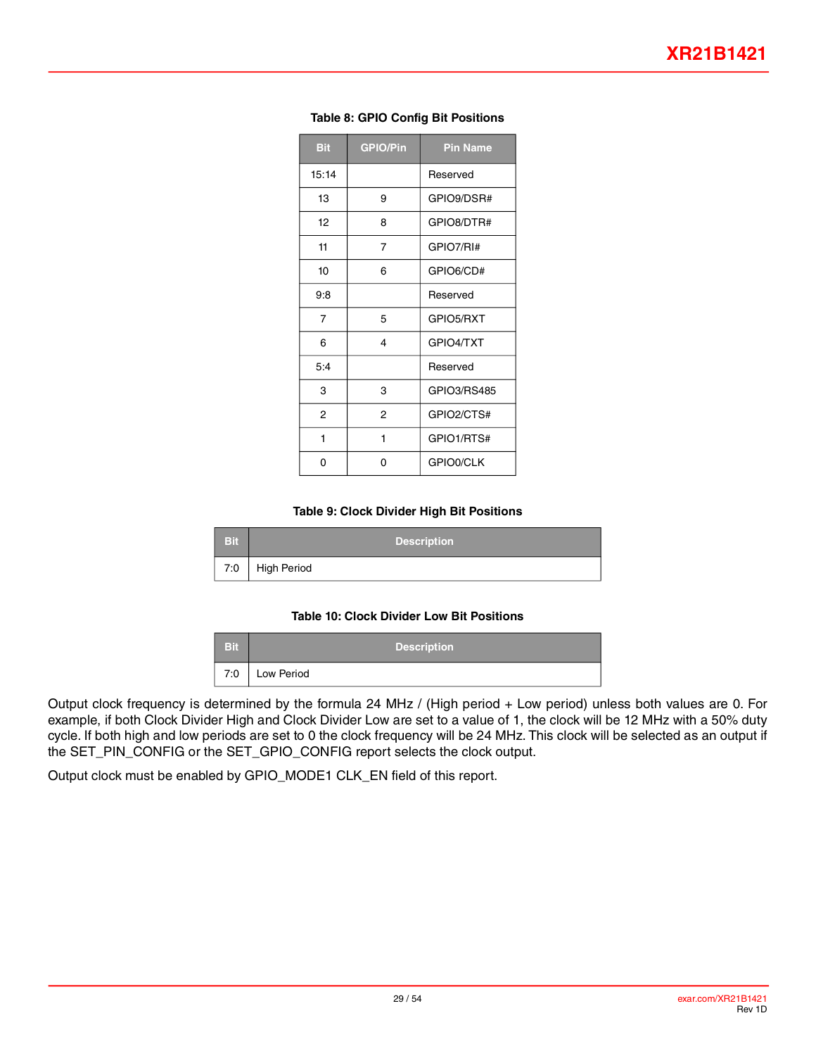<span id="page-28-0"></span>

| <b>Bit</b>     | <b>GPIO/Pin</b> | <b>Pin Name</b> |
|----------------|-----------------|-----------------|
| 15:14          |                 | Reserved        |
| 13             | 9               | GPIO9/DSR#      |
| 12             | 8               | GPIO8/DTR#      |
| 11             | 7               | GPIO7/RI#       |
| 10             | 6               | GPIO6/CD#       |
| 9:8            |                 | Reserved        |
| $\overline{7}$ | 5               | GPIO5/RXT       |
| 6              | 4               | GPIO4/TXT       |
| 5:4            |                 | Reserved        |
| 3              | 3               | GPIO3/RS485     |
| $\overline{2}$ | $\overline{2}$  | GPIO2/CTS#      |
| 1              | 1               | GPIO1/RTS#      |
| 0              | 0               | GPIO0/CLK       |

#### **Table 8: GPIO Config Bit Positions**

#### **Table 9: Clock Divider High Bit Positions**

<span id="page-28-1"></span>

| <b>Bit</b> | <b>Description</b> |
|------------|--------------------|
| 7:0        | High Period        |

#### **Table 10: Clock Divider Low Bit Positions**

| <b>Bit</b> | <b>Description</b> |
|------------|--------------------|
| 7:0        | Low Period         |

<span id="page-28-2"></span>Output clock frequency is determined by the formula 24 MHz / (High period + Low period) unless both values are 0. For example, if both Clock Divider High and Clock Divider Low are set to a value of 1, the clock will be 12 MHz with a 50% duty cycle. If both high and low periods are set to 0 the clock frequency will be 24 MHz. This clock will be selected as an output if the SET\_PIN\_CONFIG or the SET\_GPIO\_CONFIG report selects the clock output.

Output clock must be enabled by GPIO\_MODE1 CLK\_EN field of this report.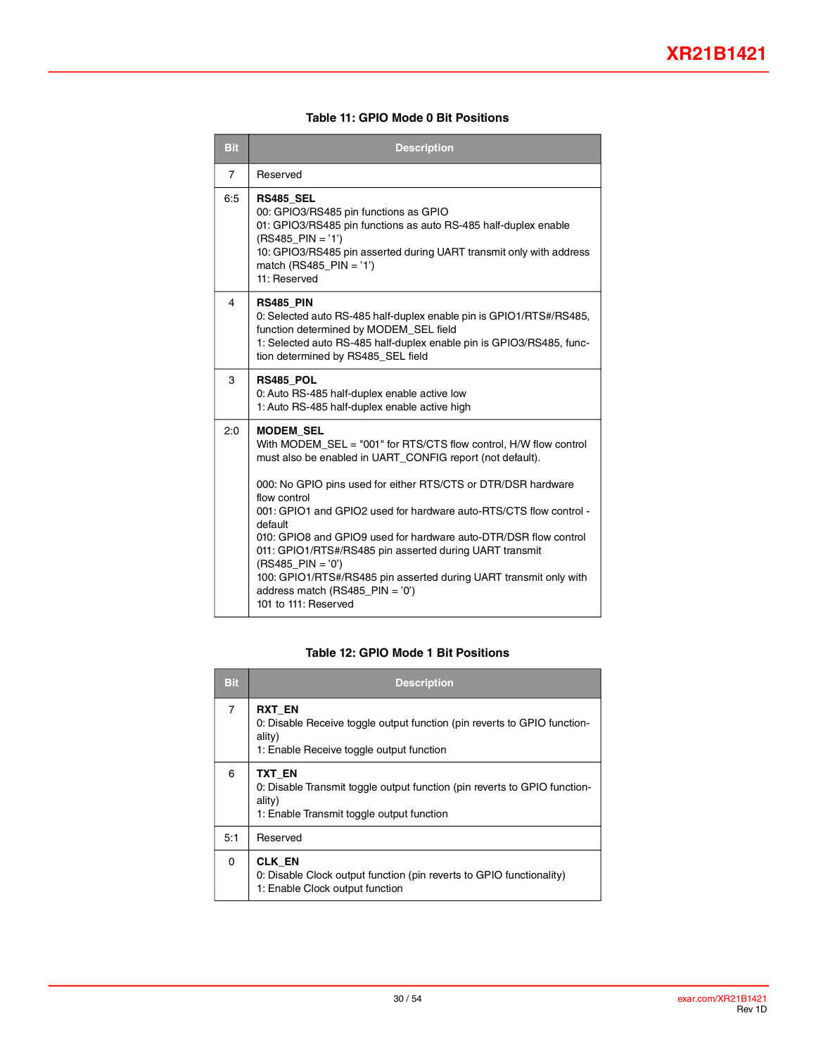#### **Table 11: GPIO Mode 0 Bit Positions**

<span id="page-29-0"></span>

| <b>Bit</b>     | <b>Description</b>                                                                                                                                                                                                                                                                                                                                                                                                                                                                                                                                                                                            |
|----------------|---------------------------------------------------------------------------------------------------------------------------------------------------------------------------------------------------------------------------------------------------------------------------------------------------------------------------------------------------------------------------------------------------------------------------------------------------------------------------------------------------------------------------------------------------------------------------------------------------------------|
| 7              | Reserved                                                                                                                                                                                                                                                                                                                                                                                                                                                                                                                                                                                                      |
| 6:5            | <b>RS485 SEL</b><br>00: GPIO3/RS485 pin functions as GPIO<br>01: GPIO3/RS485 pin functions as auto RS-485 half-duplex enable<br>$(RS485$ PIN = '1')<br>10: GPIO3/RS485 pin asserted during UART transmit only with address<br>match (RS485 PIN = $'1'$ )<br>11: Reserved                                                                                                                                                                                                                                                                                                                                      |
| $\overline{4}$ | <b>RS485 PIN</b><br>0: Selected auto RS-485 half-duplex enable pin is GPIO1/RTS#/RS485,<br>function determined by MODEM SEL field<br>1: Selected auto RS-485 half-duplex enable pin is GPIO3/RS485, func-<br>tion determined by RS485_SEL field                                                                                                                                                                                                                                                                                                                                                               |
| 3              | RS485 POL<br>0: Auto RS-485 half-duplex enable active low<br>1: Auto RS-485 half-duplex enable active high                                                                                                                                                                                                                                                                                                                                                                                                                                                                                                    |
| 2:0            | <b>MODEM SEL</b><br>With MODEM SEL = "001" for RTS/CTS flow control, H/W flow control<br>must also be enabled in UART_CONFIG report (not default).<br>000: No GPIO pins used for either RTS/CTS or DTR/DSR hardware<br>flow control<br>001: GPIO1 and GPIO2 used for hardware auto-RTS/CTS flow control -<br>default<br>010: GPIO8 and GPIO9 used for hardware auto-DTR/DSR flow control<br>011: GPIO1/RTS#/RS485 pin asserted during UART transmit<br>$(RS485$ PIN = '0')<br>100: GPIO1/RTS#/RS485 pin asserted during UART transmit only with<br>address match (RS485_PIN = $'0'$ )<br>101 to 111: Reserved |

#### **Table 12: GPIO Mode 1 Bit Positions**

<span id="page-29-1"></span>

| <b>Bit</b> | <b>Description</b>                                                                                                                              |  |  |  |
|------------|-------------------------------------------------------------------------------------------------------------------------------------------------|--|--|--|
| 7          | <b>RXT EN</b><br>0: Disable Receive toggle output function (pin reverts to GPIO function-<br>ality)<br>1: Enable Receive toggle output function |  |  |  |
| 6          | TXT EN<br>0: Disable Transmit toggle output function (pin reverts to GPIO function-<br>ality)<br>1: Enable Transmit toggle output function      |  |  |  |
| 5:1        | Reserved                                                                                                                                        |  |  |  |
| 0          | <b>CLK EN</b><br>0: Disable Clock output function (pin reverts to GPIO functionality)<br>1: Enable Clock output function                        |  |  |  |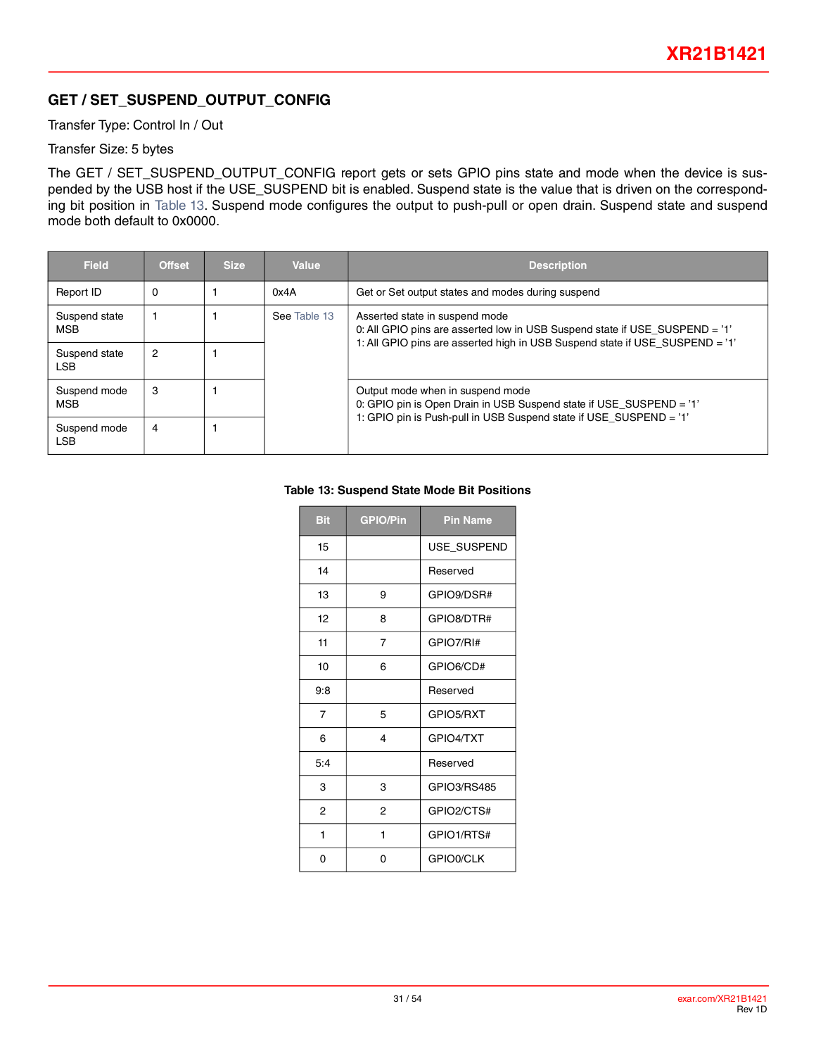## <span id="page-30-0"></span>**GET / SET\_SUSPEND\_OUTPUT\_CONFIG**

Transfer Type: Control In / Out

#### Transfer Size: 5 bytes

The GET / SET\_SUSPEND\_OUTPUT\_CONFIG report gets or sets GPIO pins state and mode when the device is suspended by the USB host if the USE\_SUSPEND bit is enabled. Suspend state is the value that is driven on the corresponding bit position in [Table](#page-30-1) 13. Suspend mode configures the output to push-pull or open drain. Suspend state and suspend mode both default to 0x0000.

<span id="page-30-1"></span>

| <b>Field</b>                | <b>Offset</b> | <b>Size</b> | Value        | <b>Description</b>                                                                                                                                                                            |  |
|-----------------------------|---------------|-------------|--------------|-----------------------------------------------------------------------------------------------------------------------------------------------------------------------------------------------|--|
| Report ID                   | 0             |             | 0x4A         | Get or Set output states and modes during suspend                                                                                                                                             |  |
| Suspend state<br><b>MSB</b> |               |             | See Table 13 | Asserted state in suspend mode<br>0: All GPIO pins are asserted low in USB Suspend state if USE_SUSPEND = '1'<br>1: All GPIO pins are asserted high in USB Suspend state if USE SUSPEND = '1' |  |
| Suspend state<br>LSB        | 2             |             |              |                                                                                                                                                                                               |  |
| Suspend mode<br><b>MSB</b>  | 3             |             |              | Output mode when in suspend mode<br>0: GPIO pin is Open Drain in USB Suspend state if USE_SUSPEND = '1'                                                                                       |  |
| Suspend mode<br>LSB         | 4             |             |              | 1: GPIO pin is Push-pull in USB Suspend state if USE SUSPEND = '1'                                                                                                                            |  |

#### **Table 13: Suspend State Mode Bit Positions**

| <b>Bit</b> | <b>GPIO/Pin</b> | <b>Pin Name</b> |
|------------|-----------------|-----------------|
| 15         |                 | USE_SUSPEND     |
| 14         |                 | Reserved        |
| 13         | 9               | GPIO9/DSR#      |
| 12         | 8               | GPIO8/DTR#      |
| 11         | 7               | GPIO7/RI#       |
| 10         | 6               | GPIO6/CD#       |
| 9:8        |                 | Reserved        |
| 7          | 5               | GPIO5/RXT       |
| 6          | 4               | GPIO4/TXT       |
| 5:4        |                 | Reserved        |
| 3          | 3               | GPIO3/RS485     |
| 2          | 2               | GPIO2/CTS#      |
| 1          | 1               | GPIO1/RTS#      |
| 0          | 0               | GPIO0/CLK       |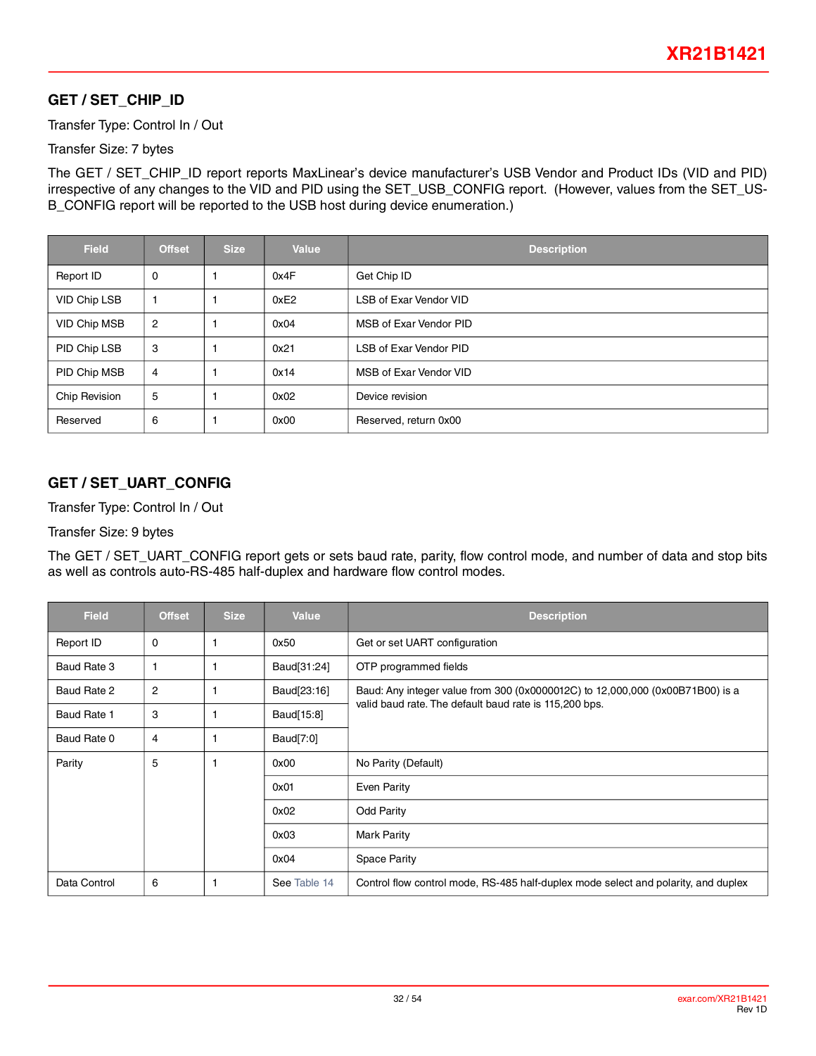## **GET / SET\_CHIP\_ID**

Transfer Type: Control In / Out

#### Transfer Size: 7 bytes

The GET / SET\_CHIP\_ID report reports MaxLinear's device manufacturer's USB Vendor and Product IDs (VID and PID) irrespective of any changes to the VID and PID using the SET\_USB\_CONFIG report. (However, values from the SET\_US-B\_CONFIG report will be reported to the USB host during device enumeration.)

| <b>Field</b>  | <b>Offset</b> | <b>Size</b> | <b>Value</b> | <b>Description</b>            |
|---------------|---------------|-------------|--------------|-------------------------------|
| Report ID     | 0             |             | 0x4F         | Get Chip ID                   |
| VID Chip LSB  |               |             | 0xE2         | <b>LSB of Exar Vendor VID</b> |
| VID Chip MSB  | 2             |             | 0x04         | MSB of Exar Vendor PID        |
| PID Chip LSB  | 3             |             | 0x21         | <b>LSB of Exar Vendor PID</b> |
| PID Chip MSB  | 4             |             | 0x14         | MSB of Exar Vendor VID        |
| Chip Revision | 5             |             | 0x02         | Device revision               |
| Reserved      | 6             |             | 0x00         | Reserved, return 0x00         |

## **GET / SET\_UART\_CONFIG**

Transfer Type: Control In / Out

#### Transfer Size: 9 bytes

The GET / SET\_UART\_CONFIG report gets or sets baud rate, parity, flow control mode, and number of data and stop bits as well as controls auto-RS-485 half-duplex and hardware flow control modes.

| <b>Field</b> | <b>Offset</b> | <b>Size</b> | <b>Value</b> | <b>Description</b>                                                                 |
|--------------|---------------|-------------|--------------|------------------------------------------------------------------------------------|
| Report ID    | 0             |             | 0x50         | Get or set UART configuration                                                      |
| Baud Rate 3  |               |             | Baud[31:24]  | OTP programmed fields                                                              |
| Baud Rate 2  | 2             |             | Baud[23:16]  | Baud: Any integer value from 300 (0x0000012C) to 12,000,000 (0x00B71B00) is a      |
| Baud Rate 1  | 3             |             | Baud[15:8]   | valid baud rate. The default baud rate is 115,200 bps.                             |
| Baud Rate 0  | 4             |             | Baud[7:0]    |                                                                                    |
| Parity       | 5             | -1          | 0x00         | No Parity (Default)                                                                |
|              |               |             | 0x01         | Even Parity                                                                        |
|              |               |             | 0x02         | <b>Odd Parity</b>                                                                  |
|              |               |             | 0x03         | <b>Mark Parity</b>                                                                 |
|              |               |             | 0x04         | <b>Space Parity</b>                                                                |
| Data Control | 6             | 1           | See Table 14 | Control flow control mode, RS-485 half-duplex mode select and polarity, and duplex |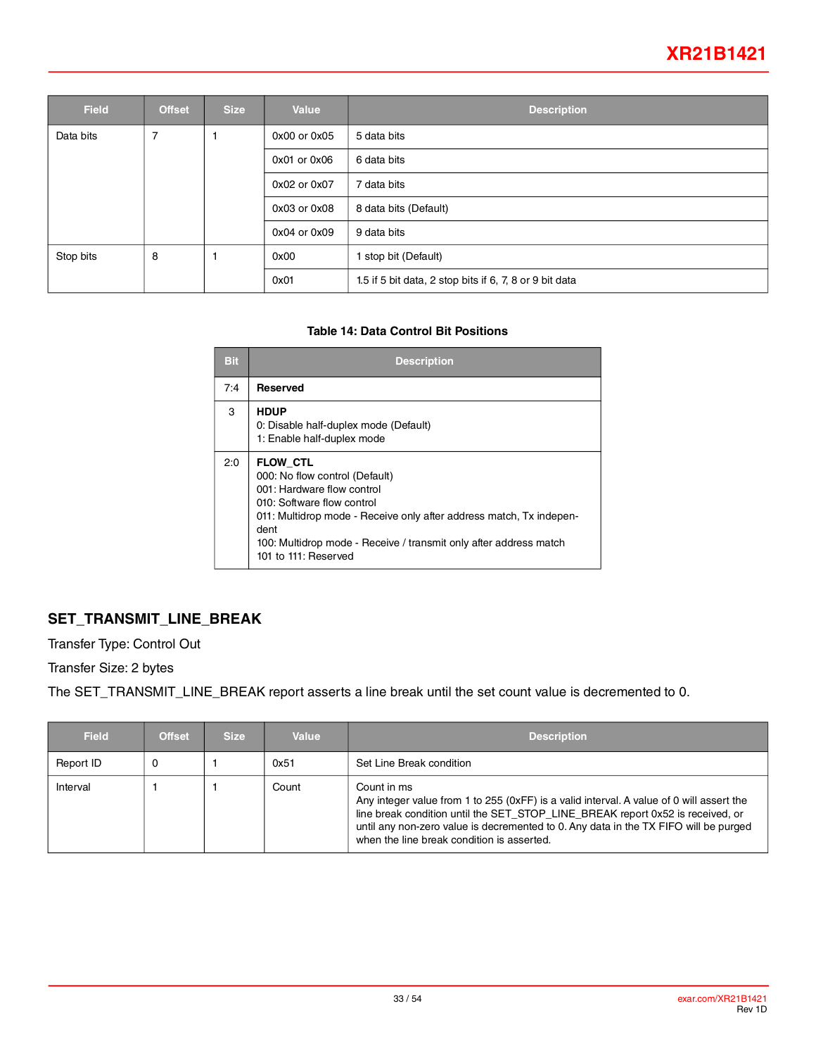## **XR21B1421**

| <b>Field</b> | <b>Offset</b> | <b>Size</b> | <b>Value</b>     | <b>Description</b>                                      |
|--------------|---------------|-------------|------------------|---------------------------------------------------------|
| Data bits    | 7             |             | 0x00 or 0x05     | 5 data bits                                             |
|              |               |             | $0x01$ or $0x06$ | 6 data bits                                             |
|              |               |             | 0x02 or 0x07     | 7 data bits                                             |
|              |               |             | 0x03 or 0x08     | 8 data bits (Default)                                   |
|              |               |             | 0x04 or 0x09     | 9 data bits                                             |
| Stop bits    | 8             |             | 0x00             | stop bit (Default)                                      |
|              |               |             | 0x01             | 1.5 if 5 bit data, 2 stop bits if 6, 7, 8 or 9 bit data |

#### **Table 14: Data Control Bit Positions**

<span id="page-32-0"></span>

| <b>Bit</b> | <b>Description</b>                                                                                                                                                                                                                                                                        |
|------------|-------------------------------------------------------------------------------------------------------------------------------------------------------------------------------------------------------------------------------------------------------------------------------------------|
| 7:4        | <b>Reserved</b>                                                                                                                                                                                                                                                                           |
| 3          | <b>HDUP</b><br>0: Disable half-duplex mode (Default)<br>1: Enable half-duplex mode                                                                                                                                                                                                        |
| 2:0        | <b>FLOW CTL</b><br>000: No flow control (Default)<br>001: Hardware flow control<br>010: Software flow control<br>011: Multidrop mode - Receive only after address match, Tx indepen-<br>dent<br>100: Multidrop mode - Receive / transmit only after address match<br>101 to 111: Reserved |

## **SET\_TRANSMIT\_LINE\_BREAK**

Transfer Type: Control Out

Transfer Size: 2 bytes

The SET\_TRANSMIT\_LINE\_BREAK report asserts a line break until the set count value is decremented to 0.

| <b>Field</b> | <b>Offset</b> | <b>Size</b> | Value | <b>Description</b>                                                                                                                                                                                                                                                                                                              |
|--------------|---------------|-------------|-------|---------------------------------------------------------------------------------------------------------------------------------------------------------------------------------------------------------------------------------------------------------------------------------------------------------------------------------|
| Report ID    |               |             | 0x51  | Set Line Break condition                                                                                                                                                                                                                                                                                                        |
| Interval     |               |             | Count | Count in ms<br>Any integer value from 1 to 255 (0xFF) is a valid interval. A value of 0 will assert the<br>line break condition until the SET STOP LINE BREAK report 0x52 is received, or<br>until any non-zero value is decremented to 0. Any data in the TX FIFO will be purged<br>when the line break condition is asserted. |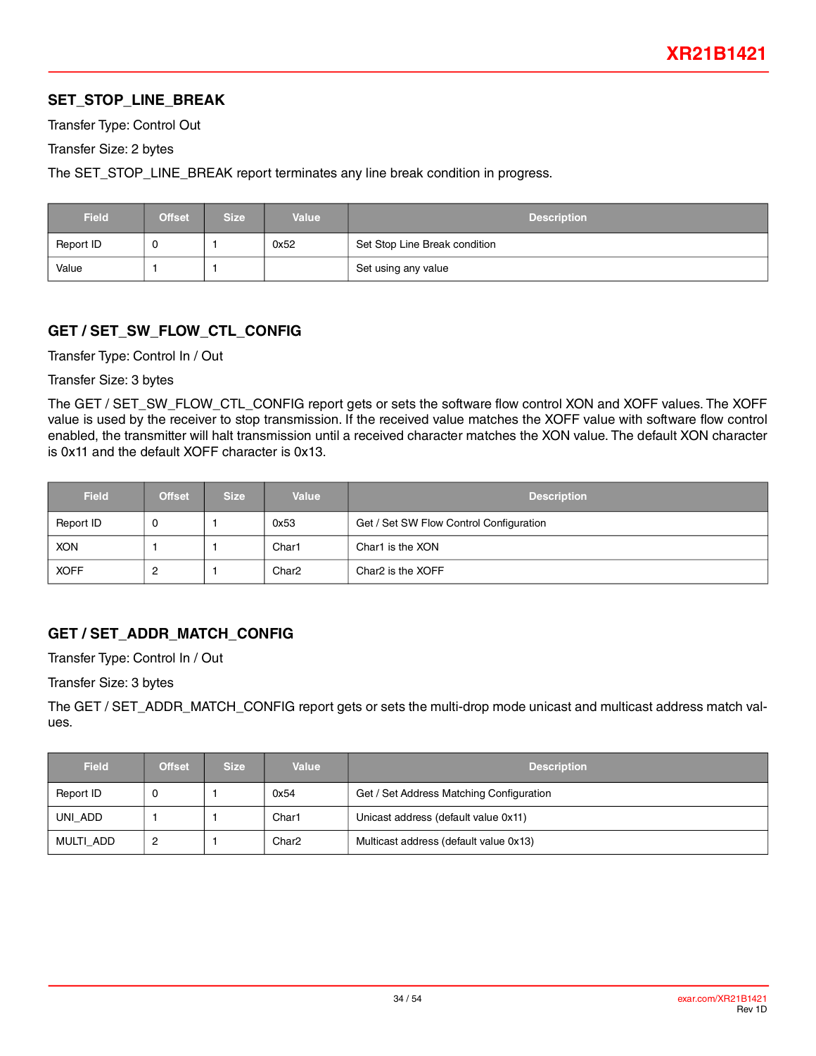## **SET\_STOP\_LINE\_BREAK**

Transfer Type: Control Out

Transfer Size: 2 bytes

The SET\_STOP\_LINE\_BREAK report terminates any line break condition in progress.

| <b>Field</b> | <b>Offset</b> | Size i | <b>Value</b> | <b>Description</b>            |
|--------------|---------------|--------|--------------|-------------------------------|
| Report ID    |               |        | 0x52         | Set Stop Line Break condition |
| Value        |               |        |              | Set using any value           |

## **GET / SET\_SW\_FLOW\_CTL\_CONFIG**

Transfer Type: Control In / Out

Transfer Size: 3 bytes

The GET / SET\_SW\_FLOW\_CTL\_CONFIG report gets or sets the software flow control XON and XOFF values. The XOFF value is used by the receiver to stop transmission. If the received value matches the XOFF value with software flow control enabled, the transmitter will halt transmission until a received character matches the XON value. The default XON character is 0x11 and the default XOFF character is 0x13.

| <b>Field</b> | <b>Offset</b> | <b>Size</b> | <b>Value</b>      | <b>Description</b>                      |
|--------------|---------------|-------------|-------------------|-----------------------------------------|
| Report ID    | ັບ            |             | 0x53              | Get / Set SW Flow Control Configuration |
| <b>XON</b>   |               |             | Char1             | Char1 is the XON                        |
| <b>XOFF</b>  | _             |             | Char <sub>2</sub> | Char2 is the XOFF                       |

## **GET / SET\_ADDR\_MATCH\_CONFIG**

Transfer Type: Control In / Out

Transfer Size: 3 bytes

The GET / SET\_ADDR\_MATCH\_CONFIG report gets or sets the multi-drop mode unicast and multicast address match values.

| <b>Field</b> | <b>Offset</b> | <b>Size</b> | <b>Value</b>      | <b>Description</b>                       |
|--------------|---------------|-------------|-------------------|------------------------------------------|
| Report ID    |               |             | 0x54              | Get / Set Address Matching Configuration |
| UNI ADD      |               |             | Char1             | Unicast address (default value 0x11)     |
| MULTI ADD    | 2             |             | Char <sub>2</sub> | Multicast address (default value 0x13)   |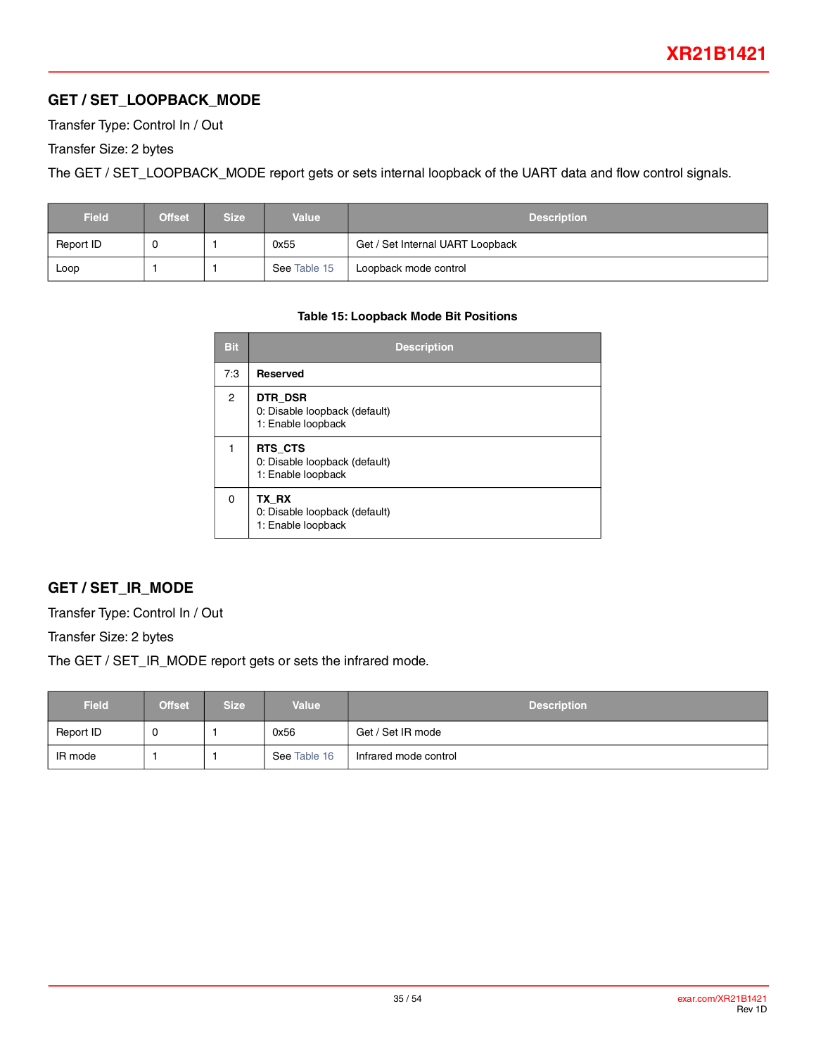## **GET / SET\_LOOPBACK\_MODE**

Transfer Type: Control In / Out

Transfer Size: 2 bytes

The GET / SET\_LOOPBACK\_MODE report gets or sets internal loopback of the UART data and flow control signals.

<span id="page-34-0"></span>

| <b>Field</b> | <b>Offset</b> | <b>Size</b> | <b>Value</b> | <b>Description</b>               |
|--------------|---------------|-------------|--------------|----------------------------------|
| Report ID    |               |             | 0x55         | Get / Set Internal UART Loopback |
| Loop         |               |             | See Table 15 | Loopback mode control            |

#### **Table 15: Loopback Mode Bit Positions**

| <b>Bit</b>     | <b>Description</b>                                             |
|----------------|----------------------------------------------------------------|
| 7:3            | <b>Reserved</b>                                                |
| $\overline{2}$ | DTR DSR<br>0: Disable loopback (default)<br>1: Enable loopback |
|                | RTS CTS<br>0: Disable loopback (default)<br>1: Enable loopback |
| $\Omega$       | TX RX<br>0: Disable loopback (default)<br>1: Enable loopback   |

#### **GET / SET\_IR\_MODE**

Transfer Type: Control In / Out

Transfer Size: 2 bytes

The GET / SET\_IR\_MODE report gets or sets the infrared mode.

| <b>Field</b> | <b>Offset</b> | <b>Size</b> | <b>Value</b> | <b>Description</b>    |
|--------------|---------------|-------------|--------------|-----------------------|
| Report ID    |               |             | 0x56         | Get / Set IR mode     |
| IR mode      |               |             | See Table 16 | Infrared mode control |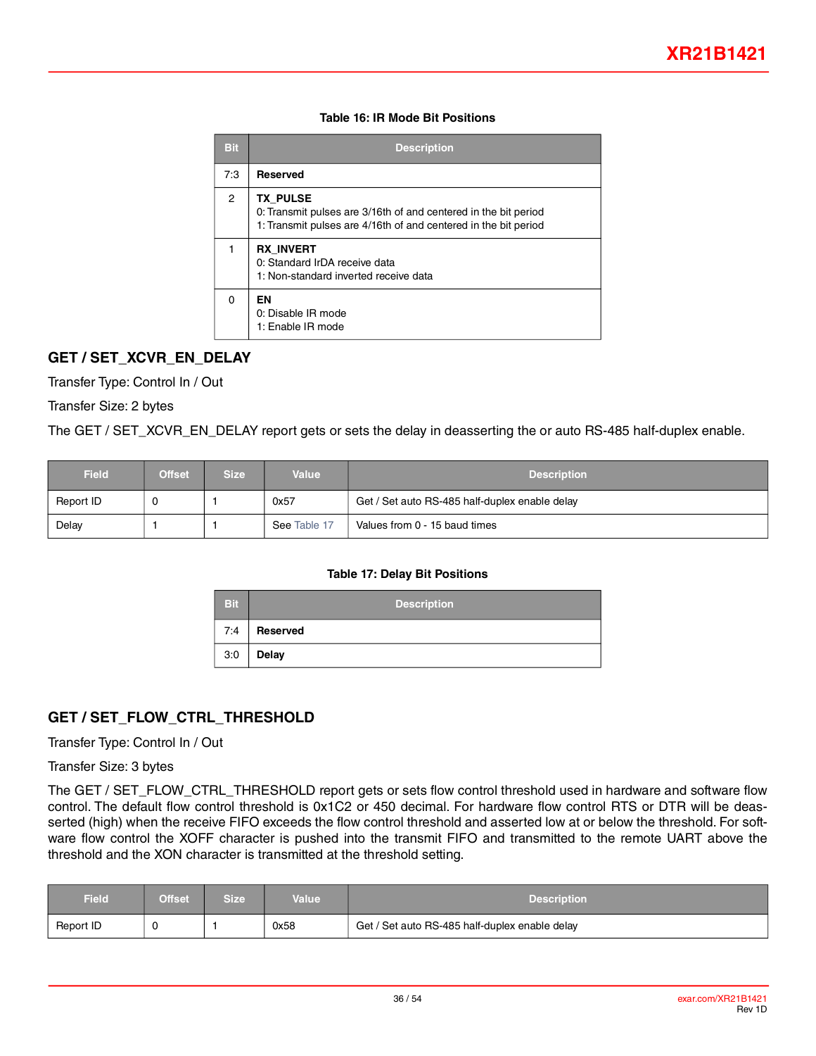#### **Table 16: IR Mode Bit Positions**

<span id="page-35-0"></span>

| Bit            | <b>Description</b>                                                                                                                                    |
|----------------|-------------------------------------------------------------------------------------------------------------------------------------------------------|
| 7:3            | <b>Reserved</b>                                                                                                                                       |
| $\overline{2}$ | <b>TX PULSE</b><br>0: Transmit pulses are 3/16th of and centered in the bit period<br>1: Transmit pulses are 4/16th of and centered in the bit period |
| 1              | <b>RX INVERT</b><br>0: Standard IrDA receive data<br>1: Non-standard inverted receive data                                                            |
| 0              | ΕN<br>0: Disable IR mode<br>1: Enable IR mode                                                                                                         |

## **GET / SET\_XCVR\_EN\_DELAY**

Transfer Type: Control In / Out

Transfer Size: 2 bytes

The GET / SET\_XCVR\_EN\_DELAY report gets or sets the delay in deasserting the or auto RS-485 half-duplex enable.

<span id="page-35-1"></span>

| <b>Field</b> | <b>Offset</b> | Size ' | <b>Value</b> | <b>Description</b>                             |
|--------------|---------------|--------|--------------|------------------------------------------------|
| Report ID    |               |        | 0x57         | Get / Set auto RS-485 half-duplex enable delay |
| Delay        |               |        | See Table 17 | Values from 0 - 15 baud times                  |

#### **Table 17: Delay Bit Positions**

| <b>Bit</b> | <b>Description</b> |
|------------|--------------------|
| 7:4        | Reserved           |
| 3:0        | <b>Delay</b>       |

## **GET / SET\_FLOW\_CTRL\_THRESHOLD**

Transfer Type: Control In / Out

Transfer Size: 3 bytes

The GET / SET\_FLOW\_CTRL\_THRESHOLD report gets or sets flow control threshold used in hardware and software flow control. The default flow control threshold is 0x1C2 or 450 decimal. For hardware flow control RTS or DTR will be deasserted (high) when the receive FIFO exceeds the flow control threshold and asserted low at or below the threshold. For software flow control the XOFF character is pushed into the transmit FIFO and transmitted to the remote UART above the threshold and the XON character is transmitted at the threshold setting.

| <b>Field</b> | <b>Offset</b> | Size' | Value | <b>Description</b>                             |
|--------------|---------------|-------|-------|------------------------------------------------|
| Report ID    | - 6           |       | 0x58  | Get / Set auto RS-485 half-duplex enable delay |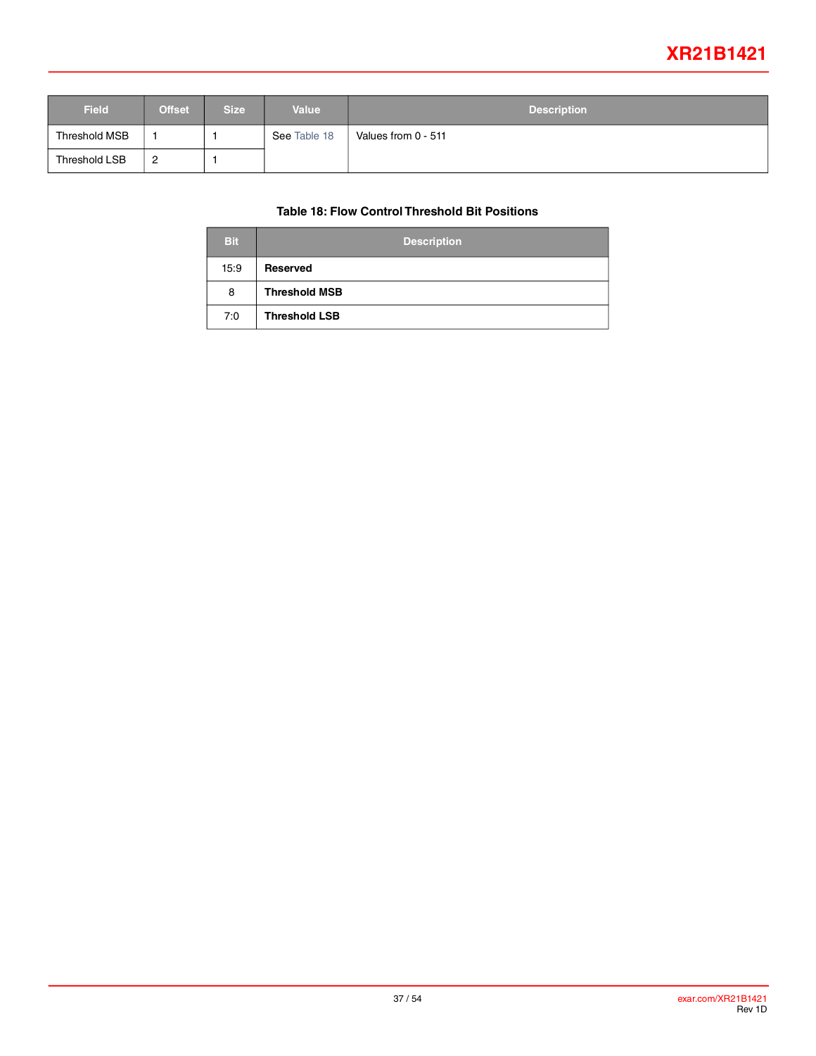## **XR21B1421**

<span id="page-36-0"></span>

| <b>Field</b>  | <b>Offset</b> | <b>Size</b> | <b>Value</b> | <b>Description</b>  |
|---------------|---------------|-------------|--------------|---------------------|
| Threshold MSB |               |             | See Table 18 | Values from 0 - 511 |
| Threshold LSB | 2<br><u>_</u> |             |              |                     |

#### **Table 18: Flow Control Threshold Bit Positions**

| <b>Bit</b> | <b>Description</b>   |
|------------|----------------------|
| 15:9       | Reserved             |
| 8          | <b>Threshold MSB</b> |
| 7:0        | <b>Threshold LSB</b> |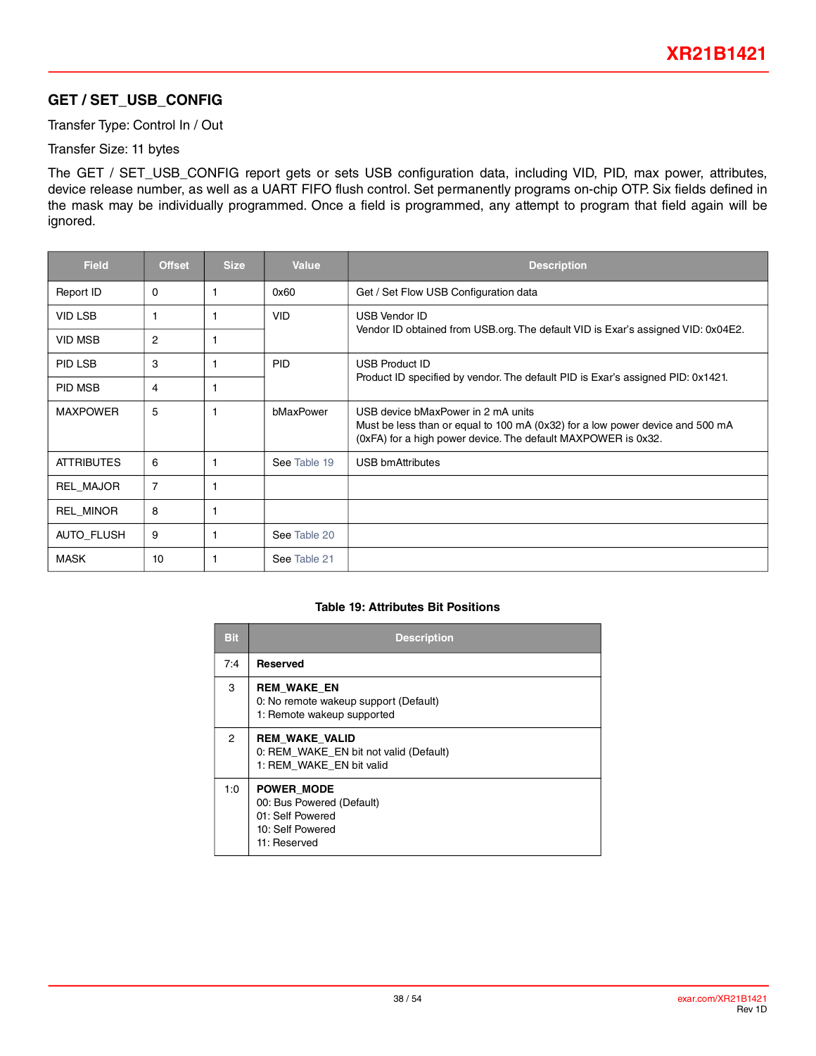## **GET / SET\_USB\_CONFIG**

Transfer Type: Control In / Out

Transfer Size: 11 bytes

The GET / SET\_USB\_CONFIG report gets or sets USB configuration data, including VID, PID, max power, attributes, device release number, as well as a UART FIFO flush control. Set permanently programs on-chip OTP. Six fields defined in the mask may be individually programmed. Once a field is programmed, any attempt to program that field again will be ignored.

| <b>Field</b>      | <b>Offset</b>  | <b>Size</b> | <b>Value</b> | <b>Description</b>                                                                                                                                                                   |
|-------------------|----------------|-------------|--------------|--------------------------------------------------------------------------------------------------------------------------------------------------------------------------------------|
| Report ID         | 0              |             | 0x60         | Get / Set Flow USB Configuration data                                                                                                                                                |
| <b>VID LSB</b>    |                |             | <b>VID</b>   | <b>USB Vendor ID</b>                                                                                                                                                                 |
| <b>VID MSB</b>    | $\overline{2}$ | 1           |              | Vendor ID obtained from USB org. The default VID is Exar's assigned VID: 0x04E2.                                                                                                     |
| PID LSB           | 3              | 1           | <b>PID</b>   | <b>USB Product ID</b>                                                                                                                                                                |
| <b>PID MSB</b>    | 4              | 1           |              | Product ID specified by vendor. The default PID is Exar's assigned PID: 0x1421.                                                                                                      |
| <b>MAXPOWER</b>   | 5              | 1           | bMaxPower    | USB device bMaxPower in 2 mA units<br>Must be less than or equal to 100 mA (0x32) for a low power device and 500 mA<br>(0xFA) for a high power device. The default MAXPOWER is 0x32. |
| <b>ATTRIBUTES</b> | 6              | 1           | See Table 19 | <b>USB bmAttributes</b>                                                                                                                                                              |
| REL MAJOR         | $\overline{7}$ | 1           |              |                                                                                                                                                                                      |
| <b>REL MINOR</b>  | 8              | 1           |              |                                                                                                                                                                                      |
| <b>AUTO FLUSH</b> | 9              | 1           | See Table 20 |                                                                                                                                                                                      |
| <b>MASK</b>       | 10             | 1           | See Table 21 |                                                                                                                                                                                      |

#### **Table 19: Attributes Bit Positions**

<span id="page-37-0"></span>

| <b>Bit</b> | <b>Description</b>                                                                                     |
|------------|--------------------------------------------------------------------------------------------------------|
| 7:4        | <b>Reserved</b>                                                                                        |
| 3          | <b>REM WAKE EN</b><br>0: No remote wakeup support (Default)<br>1: Remote wakeup supported              |
| 2          | <b>REM WAKE VALID</b><br>0: REM WAKE EN bit not valid (Default)<br>1: REM WAKE EN bit valid            |
| 1:0        | <b>POWER MODE</b><br>00: Bus Powered (Default)<br>01: Self Powered<br>10: Self Powered<br>11: Reserved |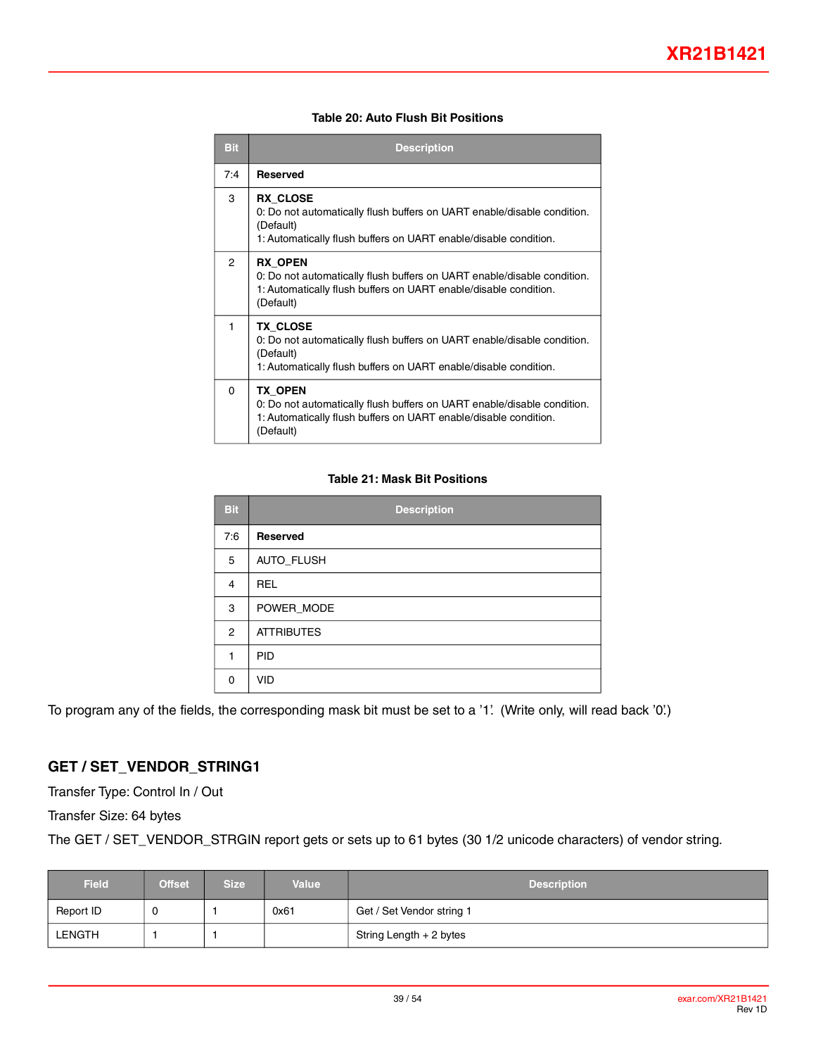| Table 20: Auto Flush Bit Positions |  |  |
|------------------------------------|--|--|
|------------------------------------|--|--|

<span id="page-38-0"></span>

| <b>Bit</b>     | <b>Description</b>                                                                                                                                                          |
|----------------|-----------------------------------------------------------------------------------------------------------------------------------------------------------------------------|
| 7:4            | <b>Reserved</b>                                                                                                                                                             |
| 3              | RX CLOSE<br>0: Do not automatically flush buffers on UART enable/disable condition.<br>(Default)<br>1: Automatically flush buffers on UART enable/disable condition.        |
| $\overline{2}$ | <b>RX OPEN</b><br>0: Do not automatically flush buffers on UART enable/disable condition.<br>1: Automatically flush buffers on UART enable/disable condition.<br>(Default)  |
| 1              | <b>TX CLOSE</b><br>0: Do not automatically flush buffers on UART enable/disable condition.<br>(Default)<br>1: Automatically flush buffers on UART enable/disable condition. |
| $\Omega$       | TX OPEN<br>0: Do not automatically flush buffers on UART enable/disable condition.<br>1: Automatically flush buffers on UART enable/disable condition.<br>(Default)         |

#### **Table 21: Mask Bit Positions**

<span id="page-38-1"></span>

| <b>Bit</b>     | <b>Description</b> |
|----------------|--------------------|
| 7:6            | Reserved           |
| 5              | AUTO_FLUSH         |
| $\overline{4}$ | <b>REL</b>         |
| 3              | POWER_MODE         |
| $\overline{2}$ | <b>ATTRIBUTES</b>  |
| 1              | <b>PID</b>         |
| $\Omega$       | <b>VID</b>         |

To program any of the fields, the corresponding mask bit must be set to a '1'. (Write only, will read back '0'.)

## **GET / SET\_VENDOR\_STRING1**

Transfer Type: Control In / Out

Transfer Size: 64 bytes

The GET / SET\_VENDOR\_STRGIN report gets or sets up to 61 bytes (30 1/2 unicode characters) of vendor string.

| <b>Field</b> | <b>Offset</b> | <b>Size</b> | <b>Value</b> | <b>Description</b>        |
|--------------|---------------|-------------|--------------|---------------------------|
| Report ID    | 0             |             | 0x61         | Get / Set Vendor string 1 |
| LENGTH       |               |             |              | String Length + 2 bytes   |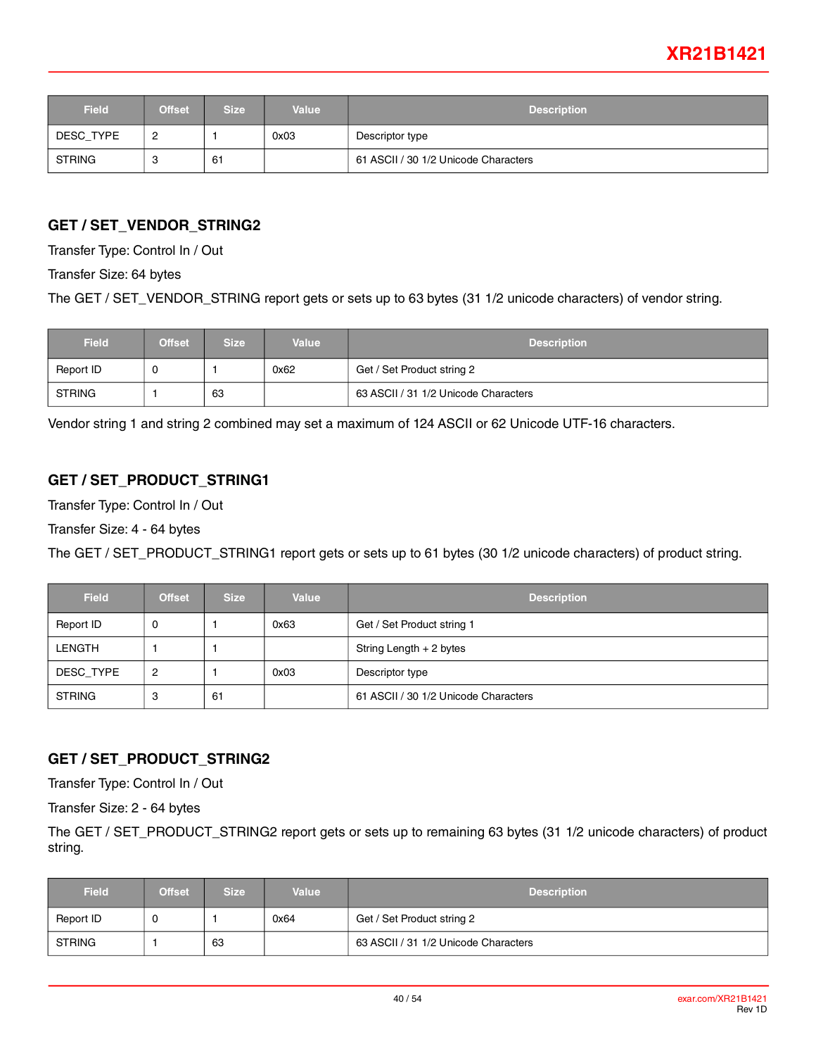## **XR21B1421**

| <b>Field</b>  | <b>Offset</b> | <b>Size</b> | <b>Value</b> | <b>Description</b>                   |
|---------------|---------------|-------------|--------------|--------------------------------------|
| DESC_TYPE     |               |             | 0x03         | Descriptor type                      |
| <b>STRING</b> | u             | 61          |              | 61 ASCII / 30 1/2 Unicode Characters |

### **GET / SET\_VENDOR\_STRING2**

Transfer Type: Control In / Out

Transfer Size: 64 bytes

The GET / SET\_VENDOR\_STRING report gets or sets up to 63 bytes (31 1/2 unicode characters) of vendor string.

| <b>Field</b>  | <b>Offset</b> | <b>Size</b><br><b>Value</b> |      | <b>Description</b>                   |  |
|---------------|---------------|-----------------------------|------|--------------------------------------|--|
| Report ID     | U             |                             | 0x62 | Get / Set Product string 2           |  |
| <b>STRING</b> |               | 63                          |      | 63 ASCII / 31 1/2 Unicode Characters |  |

Vendor string 1 and string 2 combined may set a maximum of 124 ASCII or 62 Unicode UTF-16 characters.

### **GET / SET\_PRODUCT\_STRING1**

Transfer Type: Control In / Out

Transfer Size: 4 - 64 bytes

The GET / SET\_PRODUCT\_STRING1 report gets or sets up to 61 bytes (30 1/2 unicode characters) of product string.

| <b>Field</b>  | <b>Offset</b> | <b>Size</b> | <b>Value</b> | <b>Description</b>                   |  |
|---------------|---------------|-------------|--------------|--------------------------------------|--|
| Report ID     | ັບ            |             | 0x63         | Get / Set Product string 1           |  |
| <b>LENGTH</b> |               |             |              | String Length + 2 bytes              |  |
| DESC_TYPE     | 2             |             | 0x03         | Descriptor type                      |  |
| <b>STRING</b> | 3             | 61          |              | 61 ASCII / 30 1/2 Unicode Characters |  |

#### **GET / SET\_PRODUCT\_STRING2**

Transfer Type: Control In / Out

Transfer Size: 2 - 64 bytes

The GET / SET\_PRODUCT\_STRING2 report gets or sets up to remaining 63 bytes (31 1/2 unicode characters) of product string.

| <b>Field</b>  | <b>Offset</b> | <b>Size</b><br><b>Value</b> |  | <b>Description</b>                   |
|---------------|---------------|-----------------------------|--|--------------------------------------|
| Report ID     | U             | 0x64                        |  | Get / Set Product string 2           |
| <b>STRING</b> |               | 63                          |  | 63 ASCII / 31 1/2 Unicode Characters |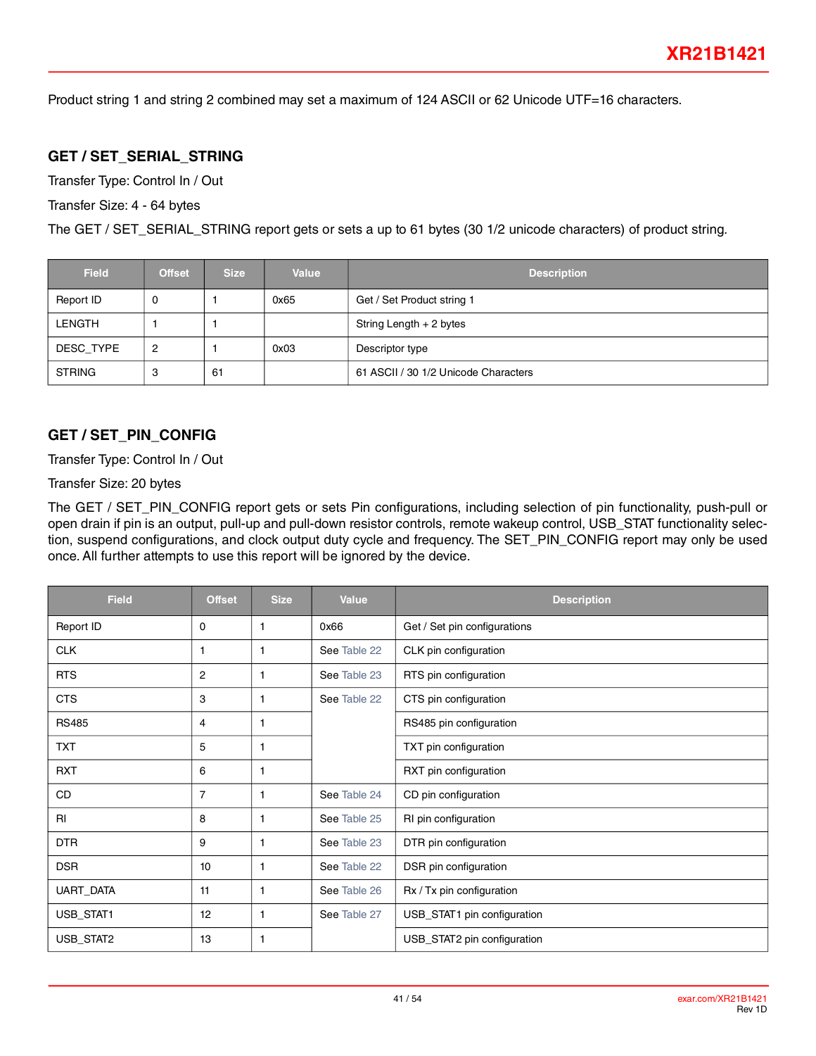Product string 1 and string 2 combined may set a maximum of 124 ASCII or 62 Unicode UTF=16 characters.

#### **GET / SET\_SERIAL\_STRING**

Transfer Type: Control In / Out

Transfer Size: 4 - 64 bytes

The GET / SET\_SERIAL\_STRING report gets or sets a up to 61 bytes (30 1/2 unicode characters) of product string.

| <b>Field</b>  | <b>Offset</b> | <b>Size</b> | <b>Value</b> | <b>Description</b>                   |  |
|---------------|---------------|-------------|--------------|--------------------------------------|--|
| Report ID     | U             |             | 0x65         | Get / Set Product string 1           |  |
| LENGTH        |               |             |              | String Length + 2 bytes              |  |
| DESC TYPE     | 2             |             | 0x03         | Descriptor type                      |  |
| <b>STRING</b> | 3             | 61          |              | 61 ASCII / 30 1/2 Unicode Characters |  |

#### <span id="page-40-0"></span>**GET / SET\_PIN\_CONFIG**

Transfer Type: Control In / Out

Transfer Size: 20 bytes

The GET / SET\_PIN\_CONFIG report gets or sets Pin configurations, including selection of pin functionality, push-pull or open drain if pin is an output, pull-up and pull-down resistor controls, remote wakeup control, USB\_STAT functionality selection, suspend configurations, and clock output duty cycle and frequency. The SET\_PIN\_CONFIG report may only be used once. All further attempts to use this report will be ignored by the device.

| <b>Field</b> | <b>Offset</b>  | <b>Size</b> | Value        | <b>Description</b>           |
|--------------|----------------|-------------|--------------|------------------------------|
| Report ID    | 0              | 1           | 0x66         | Get / Set pin configurations |
| <b>CLK</b>   | 1              | 1           | See Table 22 | CLK pin configuration        |
| <b>RTS</b>   | $\overline{2}$ | 1           | See Table 23 | RTS pin configuration        |
| <b>CTS</b>   | 3              | 1           | See Table 22 | CTS pin configuration        |
| <b>RS485</b> | 4              | 1           |              | RS485 pin configuration      |
| <b>TXT</b>   | 5              | 1           |              | TXT pin configuration        |
| <b>RXT</b>   | 6              | 1           |              | RXT pin configuration        |
| CD           | $\overline{7}$ | 1           | See Table 24 | CD pin configuration         |
| RI           | 8              | 1           | See Table 25 | RI pin configuration         |
| <b>DTR</b>   | 9              | 1           | See Table 23 | DTR pin configuration        |
| <b>DSR</b>   | 10             | 1           | See Table 22 | DSR pin configuration        |
| UART_DATA    | 11             | 1           | See Table 26 | Rx / Tx pin configuration    |
| USB_STAT1    | 12             | 1           | See Table 27 | USB_STAT1 pin configuration  |
| USB_STAT2    | 13             | 1           |              | USB_STAT2 pin configuration  |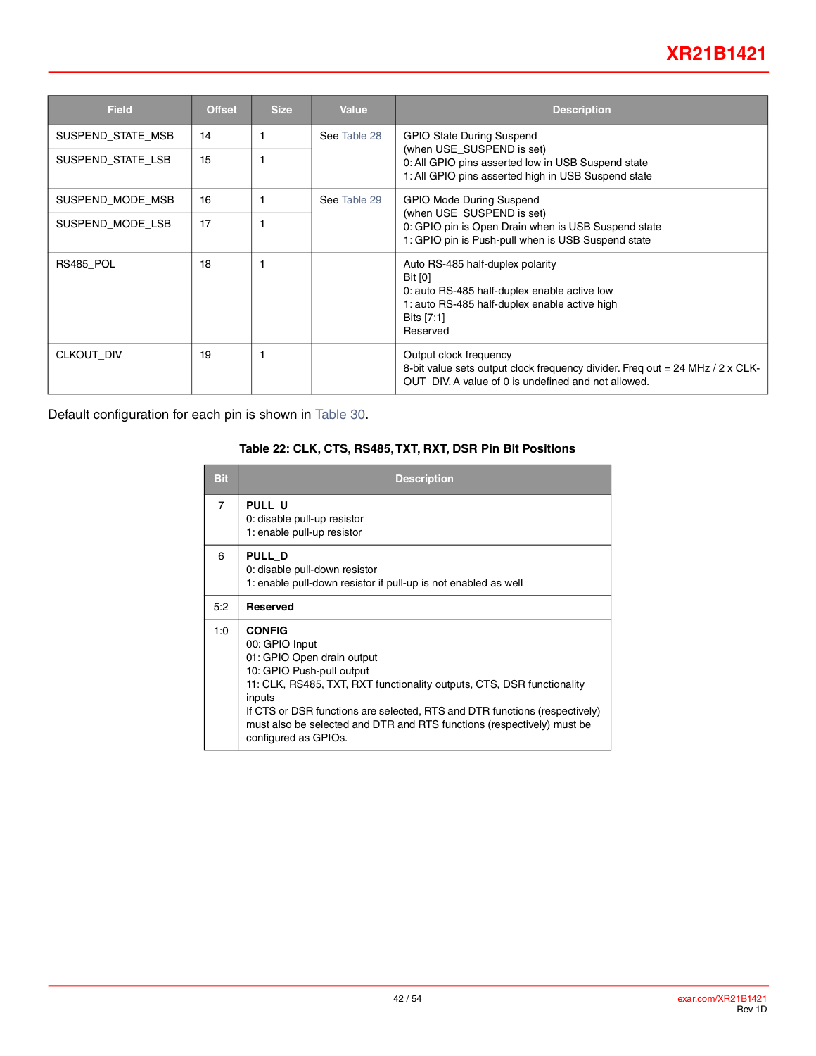| <b>Field</b>      | <b>Offset</b> | <b>Size</b> | <b>Value</b> | <b>Description</b>                                                                                                                                                            |
|-------------------|---------------|-------------|--------------|-------------------------------------------------------------------------------------------------------------------------------------------------------------------------------|
| SUSPEND_STATE_MSB | 14            |             | See Table 28 | <b>GPIO State During Suspend</b>                                                                                                                                              |
| SUSPEND_STATE_LSB | 15            |             |              | (when USE SUSPEND is set)<br>0: All GPIO pins asserted low in USB Suspend state<br>1: All GPIO pins asserted high in USB Suspend state                                        |
| SUSPEND_MODE_MSB  | 16            |             | See Table 29 | <b>GPIO Mode During Suspend</b>                                                                                                                                               |
| SUSPEND MODE LSB  | 17            |             |              | (when USE SUSPEND is set)<br>0: GPIO pin is Open Drain when is USB Suspend state<br>1: GPIO pin is Push-pull when is USB Suspend state                                        |
| RS485 POL         | 18            |             |              | Auto RS-485 half-duplex polarity<br><b>Bit [0]</b><br>0: auto RS-485 half-duplex enable active low<br>1: auto RS-485 half-duplex enable active high<br>Bits [7:1]<br>Reserved |
| CLKOUT DIV        | 19            |             |              | Output clock frequency<br>8-bit value sets output clock frequency divider. Freq out = 24 MHz / 2 x CLK-<br>OUT DIV. A value of 0 is undefined and not allowed.                |

<span id="page-41-0"></span>Default configuration for each pin is shown in [Table](#page-46-0) 30.

#### **Table 22: CLK, CTS, RS485, TXT, RXT, DSR Pin Bit Positions**

| <b>Bit</b>     | <b>Description</b>                                                                                                                                                                                                                                                                                                                                             |
|----------------|----------------------------------------------------------------------------------------------------------------------------------------------------------------------------------------------------------------------------------------------------------------------------------------------------------------------------------------------------------------|
| $\overline{7}$ | PULL_U<br>0: disable pull-up resistor<br>1: enable pull-up resistor                                                                                                                                                                                                                                                                                            |
| 6              | PULL D<br>0: disable pull-down resistor<br>1: enable pull-down resistor if pull-up is not enabled as well                                                                                                                                                                                                                                                      |
| 5:2            | <b>Reserved</b>                                                                                                                                                                                                                                                                                                                                                |
| 1:0            | <b>CONFIG</b><br>00: GPIO Input<br>01: GPIO Open drain output<br>10: GPIO Push-pull output<br>11: CLK, RS485, TXT, RXT functionality outputs, CTS, DSR functionality<br>inputs<br>If CTS or DSR functions are selected, RTS and DTR functions (respectively)<br>must also be selected and DTR and RTS functions (respectively) must be<br>configured as GPIOs. |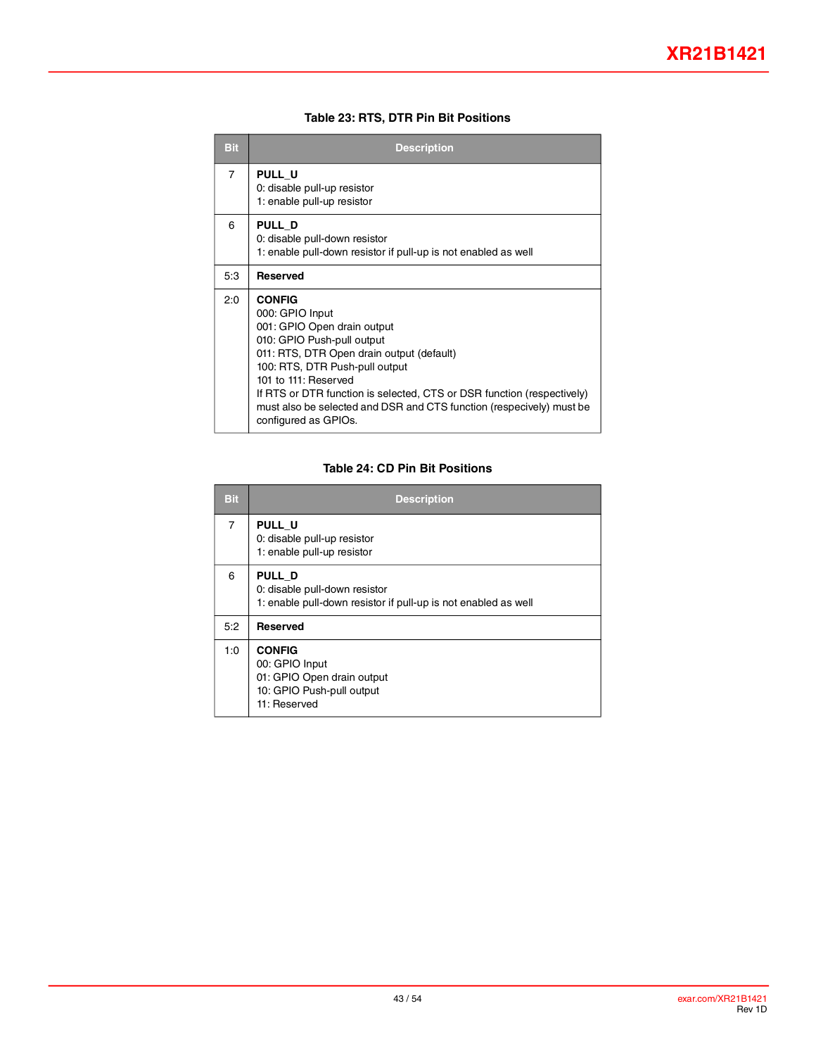#### **Table 23: RTS, DTR Pin Bit Positions**

<span id="page-42-0"></span>

| <b>Bit</b> | <b>Description</b>                                                                                                                                                                                                                                                                                                                                                             |
|------------|--------------------------------------------------------------------------------------------------------------------------------------------------------------------------------------------------------------------------------------------------------------------------------------------------------------------------------------------------------------------------------|
| 7          | PULL U<br>0: disable pull-up resistor<br>1: enable pull-up resistor                                                                                                                                                                                                                                                                                                            |
| 6          | PULL D<br>0: disable pull-down resistor<br>1: enable pull-down resistor if pull-up is not enabled as well                                                                                                                                                                                                                                                                      |
| 5:3        | <b>Reserved</b>                                                                                                                                                                                                                                                                                                                                                                |
| 2:0        | <b>CONFIG</b><br>000: GPIO Input<br>001: GPIO Open drain output<br>010: GPIO Push-pull output<br>011: RTS, DTR Open drain output (default)<br>100: RTS, DTR Push-pull output<br>101 to 111: Reserved<br>If RTS or DTR function is selected, CTS or DSR function (respectively)<br>must also be selected and DSR and CTS function (respecively) must be<br>configured as GPIOs. |

#### **Table 24: CD Pin Bit Positions**

<span id="page-42-1"></span>

| <b>Bit</b> | <b>Description</b>                                                                                         |
|------------|------------------------------------------------------------------------------------------------------------|
| 7          | PULL U<br>0: disable pull-up resistor<br>1: enable pull-up resistor                                        |
| 6          | PULL D<br>0: disable pull-down resistor<br>1: enable pull-down resistor if pull-up is not enabled as well  |
| 5:2        | <b>Reserved</b>                                                                                            |
| 1:0        | <b>CONFIG</b><br>00: GPIO Input<br>01: GPIO Open drain output<br>10: GPIO Push-pull output<br>11: Reserved |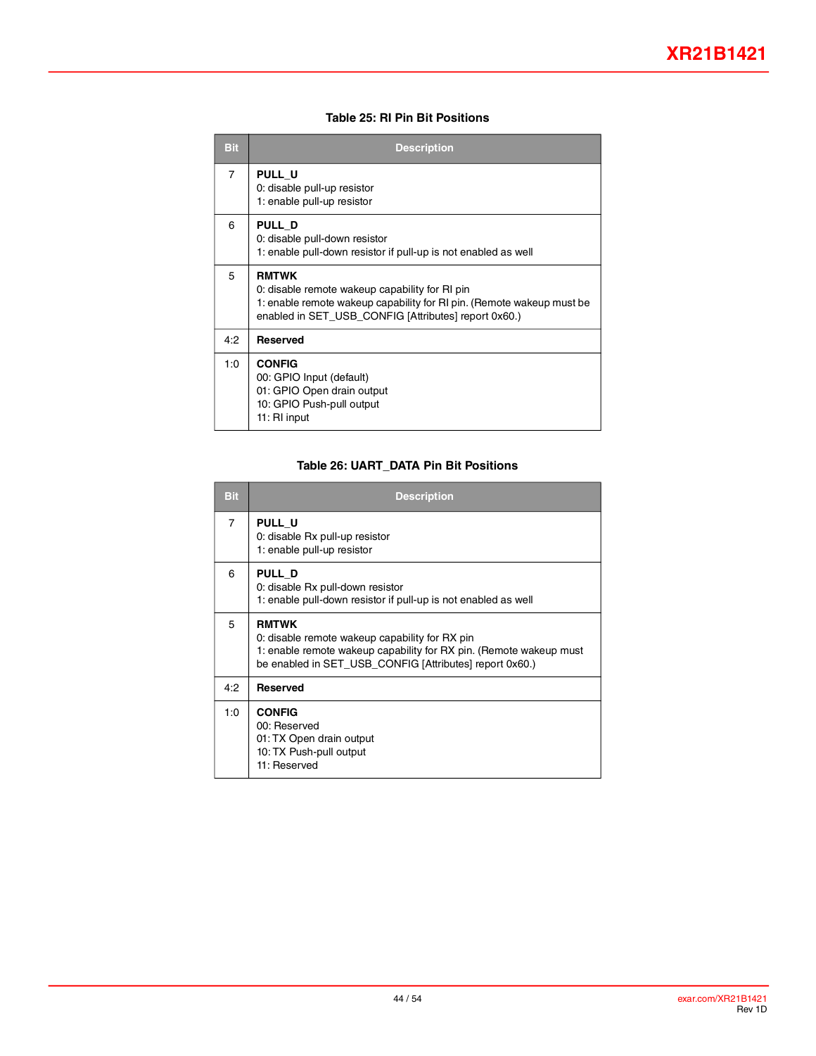#### **Table 25: RI Pin Bit Positions**

<span id="page-43-0"></span>

| <b>Bit</b>     | <b>Description</b>                                                                                                                                                                              |
|----------------|-------------------------------------------------------------------------------------------------------------------------------------------------------------------------------------------------|
| $\overline{7}$ | <b>PULL U</b><br>0: disable pull-up resistor<br>1: enable pull-up resistor                                                                                                                      |
| 6              | <b>PULL D</b><br>0: disable pull-down resistor<br>1: enable pull-down resistor if pull-up is not enabled as well                                                                                |
| 5              | <b>RMTWK</b><br>0: disable remote wakeup capability for RI pin<br>1: enable remote wakeup capability for RI pin. (Remote wakeup must be<br>enabled in SET USB CONFIG [Attributes] report 0x60.) |
| 4:2            | <b>Reserved</b>                                                                                                                                                                                 |
| 1:0            | <b>CONFIG</b><br>00: GPIO Input (default)<br>01: GPIO Open drain output<br>10: GPIO Push-pull output<br>11: RI input                                                                            |

#### **Table 26: UART\_DATA Pin Bit Positions**

<span id="page-43-1"></span>

| <b>Bit</b>     | <b>Description</b>                                                                                                                                                                              |
|----------------|-------------------------------------------------------------------------------------------------------------------------------------------------------------------------------------------------|
| $\overline{7}$ | PULL U<br>0: disable Rx pull-up resistor<br>1: enable pull-up resistor                                                                                                                          |
| 6              | PULL D<br>0: disable Rx pull-down resistor<br>1: enable pull-down resistor if pull-up is not enabled as well                                                                                    |
| 5              | <b>RMTWK</b><br>0: disable remote wakeup capability for RX pin<br>1: enable remote wakeup capability for RX pin. (Remote wakeup must<br>be enabled in SET_USB_CONFIG [Attributes] report 0x60.) |
| 4:2            | <b>Reserved</b>                                                                                                                                                                                 |
| 1:0            | <b>CONFIG</b><br>00: Reserved<br>01: TX Open drain output<br>10: TX Push-pull output<br>11: Reserved                                                                                            |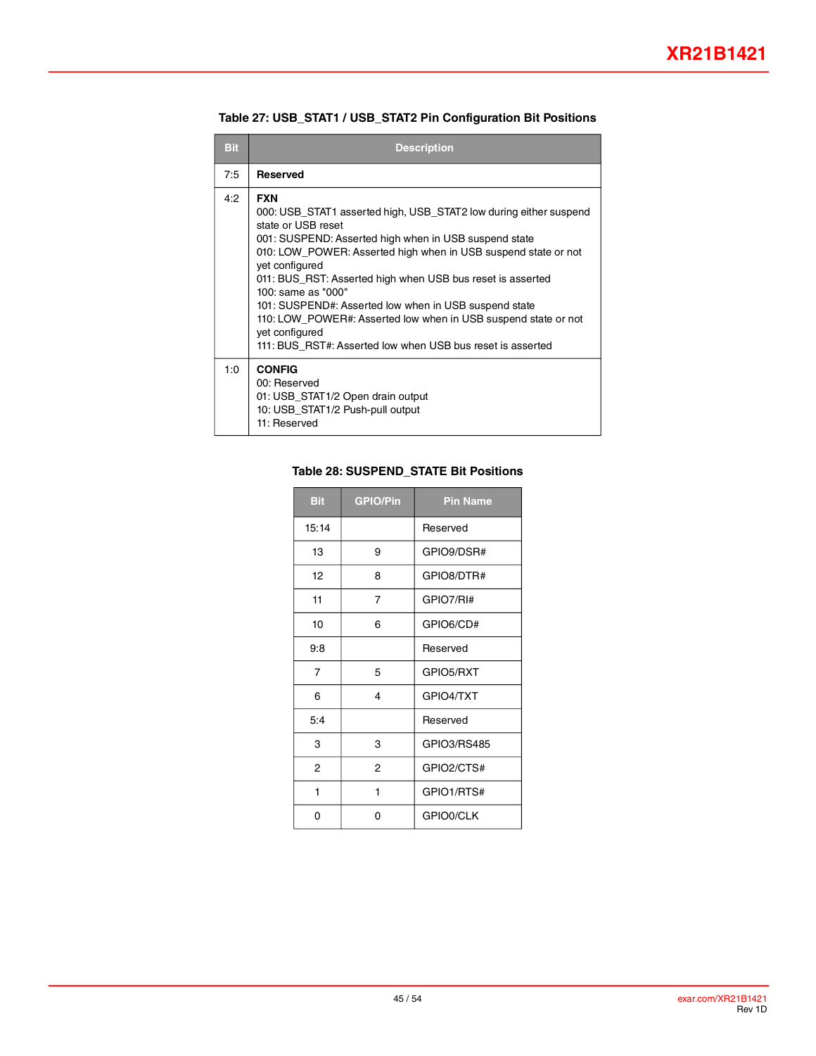<span id="page-44-0"></span>

| <b>Bit</b> | <b>Description</b>                                                                                                                                                                                                                                                                                                                                                                                                                                                                                                                                |
|------------|---------------------------------------------------------------------------------------------------------------------------------------------------------------------------------------------------------------------------------------------------------------------------------------------------------------------------------------------------------------------------------------------------------------------------------------------------------------------------------------------------------------------------------------------------|
| 7:5        | <b>Reserved</b>                                                                                                                                                                                                                                                                                                                                                                                                                                                                                                                                   |
| 4:2        | <b>FXN</b><br>000: USB_STAT1 asserted high, USB_STAT2 low during either suspend<br>state or USB reset<br>001: SUSPEND: Asserted high when in USB suspend state<br>010: LOW_POWER: Asserted high when in USB suspend state or not<br>vet configured<br>011: BUS_RST: Asserted high when USB bus reset is asserted<br>100: same as "000"<br>101: SUSPEND#: Asserted low when in USB suspend state<br>110: LOW POWER#: Asserted low when in USB suspend state or not<br>yet configured<br>111: BUS RST#: Asserted low when USB bus reset is asserted |
| 1:0        | <b>CONFIG</b><br>00: Reserved<br>01: USB_STAT1/2 Open drain output<br>10: USB_STAT1/2 Push-pull output<br>11: Reserved                                                                                                                                                                                                                                                                                                                                                                                                                            |

**Table 27: USB\_STAT1 / USB\_STAT2 Pin Configuration Bit Positions**

#### <span id="page-44-1"></span>**Table 28: SUSPEND\_STATE Bit Positions**

| <b>Bit</b>     | <b>GPIO/Pin</b> | <b>Pin Name</b> |
|----------------|-----------------|-----------------|
| 15:14          |                 | Reserved        |
| 13             | 9               | GPIO9/DSR#      |
| 12             | 8               | GPIO8/DTR#      |
| 11             | 7               | GPIO7/RI#       |
| 10             | 6               | GPIO6/CD#       |
| 9:8            |                 | Reserved        |
| $\overline{7}$ | 5               | GPIO5/RXT       |
| 6              | 4               | GPIO4/TXT       |
| 5:4            |                 | Reserved        |
| 3              | 3               | GPIO3/RS485     |
| 2              | 2               | GPIO2/CTS#      |
| 1              | 1               | GPIO1/RTS#      |
| 0              | 0               | GPIO0/CLK       |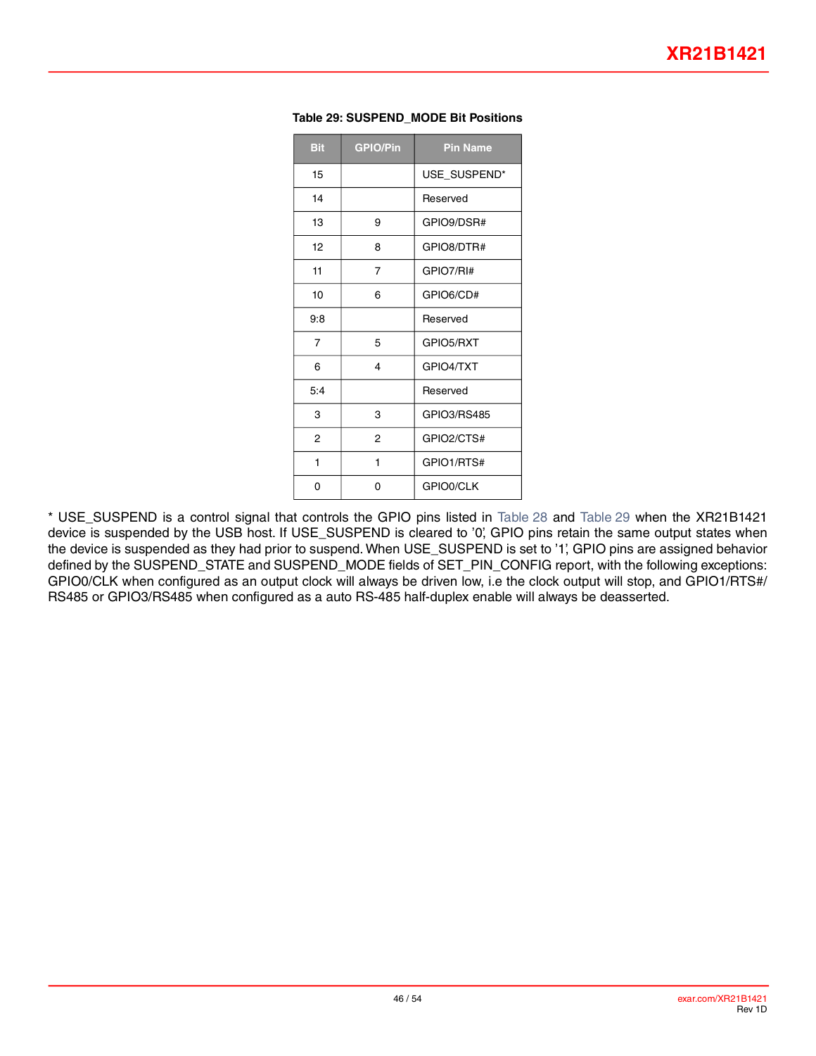| <b>Bit</b> | <b>GPIO/Pin</b> | <b>Pin Name</b> |
|------------|-----------------|-----------------|
| 15         |                 | USE_SUSPEND*    |
| 14         |                 | Reserved        |
| 13         | 9               | GPIO9/DSR#      |
| 12         | 8               | GPIO8/DTR#      |
| 11         | 7               | GPIO7/RI#       |
| 10         | 6               | GPIO6/CD#       |
| 9.8        |                 | Reserved        |
| 7          | 5               | GPIO5/RXT       |
| 6          | 4               | GPIO4/TXT       |
| 5:4        |                 | Reserved        |
| 3          | 3               | GPIO3/RS485     |
| 2          | 2               | GPIO2/CTS#      |
| 1          | 1               | GPIO1/RTS#      |
| 0          | 0               | GPIO0/CLK       |

#### <span id="page-45-0"></span>**Table 29: SUSPEND\_MODE Bit Positions**

\* USE\_SUSPEND is a control signal that controls the GPIO pins listed in [Table](#page-44-1) 28 and [Table](#page-45-0) 29 when the XR21B1421 device is suspended by the USB host. If USE\_SUSPEND is cleared to '0', GPIO pins retain the same output states when the device is suspended as they had prior to suspend. When USE\_SUSPEND is set to '1', GPIO pins are assigned behavior defined by the SUSPEND\_STATE and SUSPEND\_MODE fields of SET\_PIN\_CONFIG report, with the following exceptions: GPIO0/CLK when configured as an output clock will always be driven low, i.e the clock output will stop, and GPIO1/RTS#/ RS485 or GPIO3/RS485 when configured as a auto RS-485 half-duplex enable will always be deasserted.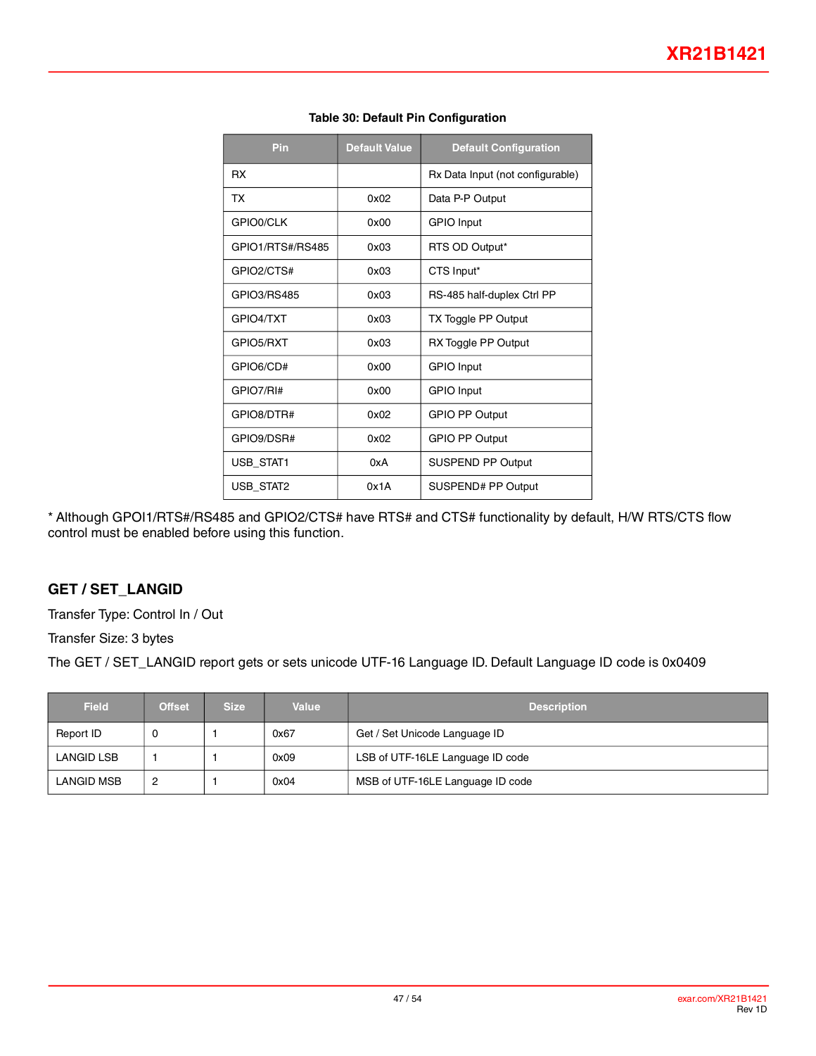<span id="page-46-0"></span>

| Pin              | <b>Default Value</b> | <b>Default Configuration</b>     |
|------------------|----------------------|----------------------------------|
| <b>RX</b>        |                      | Rx Data Input (not configurable) |
| ТX               | 0x02                 | Data P-P Output                  |
| GPIO0/CLK        | 0x00                 | <b>GPIO</b> Input                |
| GPIO1/RTS#/RS485 | 0x03                 | RTS OD Output*                   |
| GPIO2/CTS#       | 0x03                 | CTS Input*                       |
| GPIO3/RS485      | 0x03                 | RS-485 half-duplex Ctrl PP       |
| GPIO4/TXT        | 0x03                 | TX Toggle PP Output              |
| GPIO5/RXT        | 0x03                 | RX Toggle PP Output              |
| GPIO6/CD#        | 0x00                 | <b>GPIO</b> Input                |
| GPIO7/RI#        | 0x00                 | <b>GPIO</b> Input                |
| GPIO8/DTR#       | 0x02                 | <b>GPIO PP Output</b>            |
| GPIO9/DSR#       | 0x02                 | <b>GPIO PP Output</b>            |
| USB_STAT1        | 0xA                  | SUSPEND PP Output                |
| <b>USB STAT2</b> | 0x1A                 | SUSPEND# PP Output               |

#### **Table 30: Default Pin Configuration**

\* Although GPOI1/RTS#/RS485 and GPIO2/CTS# have RTS# and CTS# functionality by default, H/W RTS/CTS flow control must be enabled before using this function.

### **GET / SET\_LANGID**

Transfer Type: Control In / Out

Transfer Size: 3 bytes

The GET / SET\_LANGID report gets or sets unicode UTF-16 Language ID. Default Language ID code is 0x0409

| <b>Field</b> | <b>Offset</b> | <b>Size</b> | Value | <b>Description</b>               |
|--------------|---------------|-------------|-------|----------------------------------|
| Report ID    | v             |             | 0x67  | Get / Set Unicode Language ID    |
| LANGID LSB   |               |             | 0x09  | LSB of UTF-16LE Language ID code |
| LANGID MSB   | 2             |             | 0x04  | MSB of UTF-16LE Language ID code |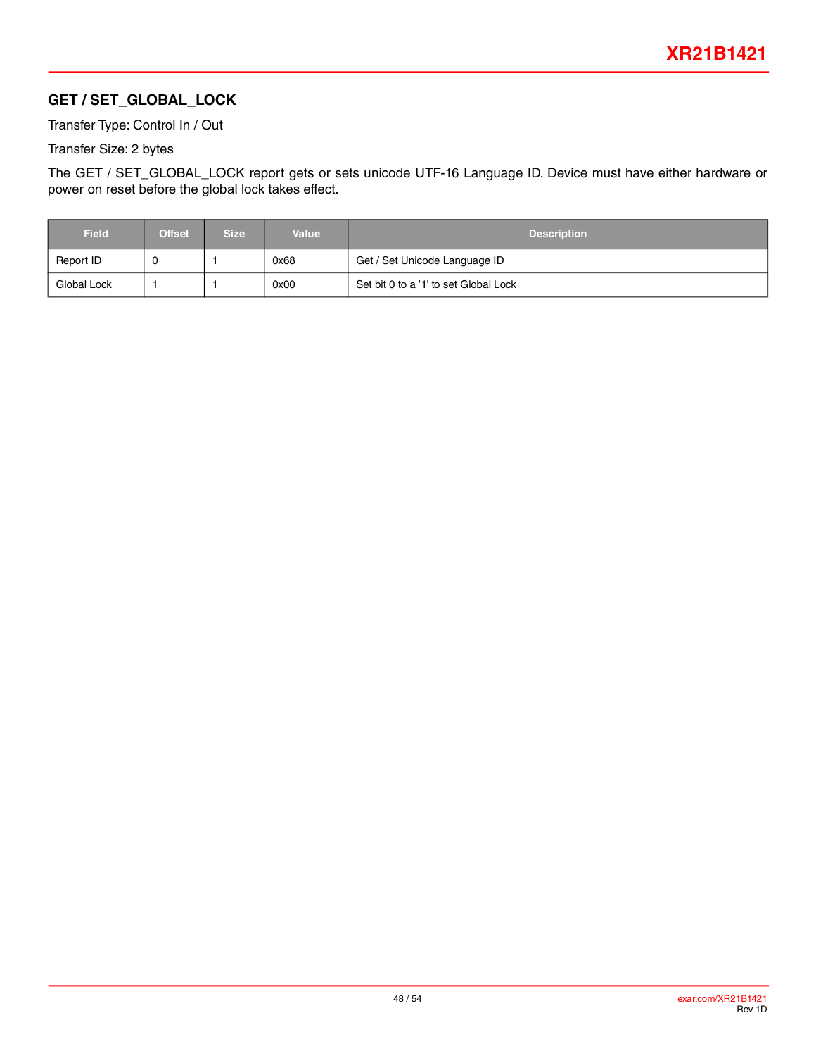## **GET / SET\_GLOBAL\_LOCK**

Transfer Type: Control In / Out

Transfer Size: 2 bytes

The GET / SET\_GLOBAL\_LOCK report gets or sets unicode UTF-16 Language ID. Device must have either hardware or power on reset before the global lock takes effect.

| <b>Field</b> | <b>Offset</b> | Size | <b>Value</b> | <b>Description</b>                    |
|--------------|---------------|------|--------------|---------------------------------------|
| Report ID    |               |      | 0x68         | Get / Set Unicode Language ID         |
| Global Lock  |               |      | 0x00         | Set bit 0 to a '1' to set Global Lock |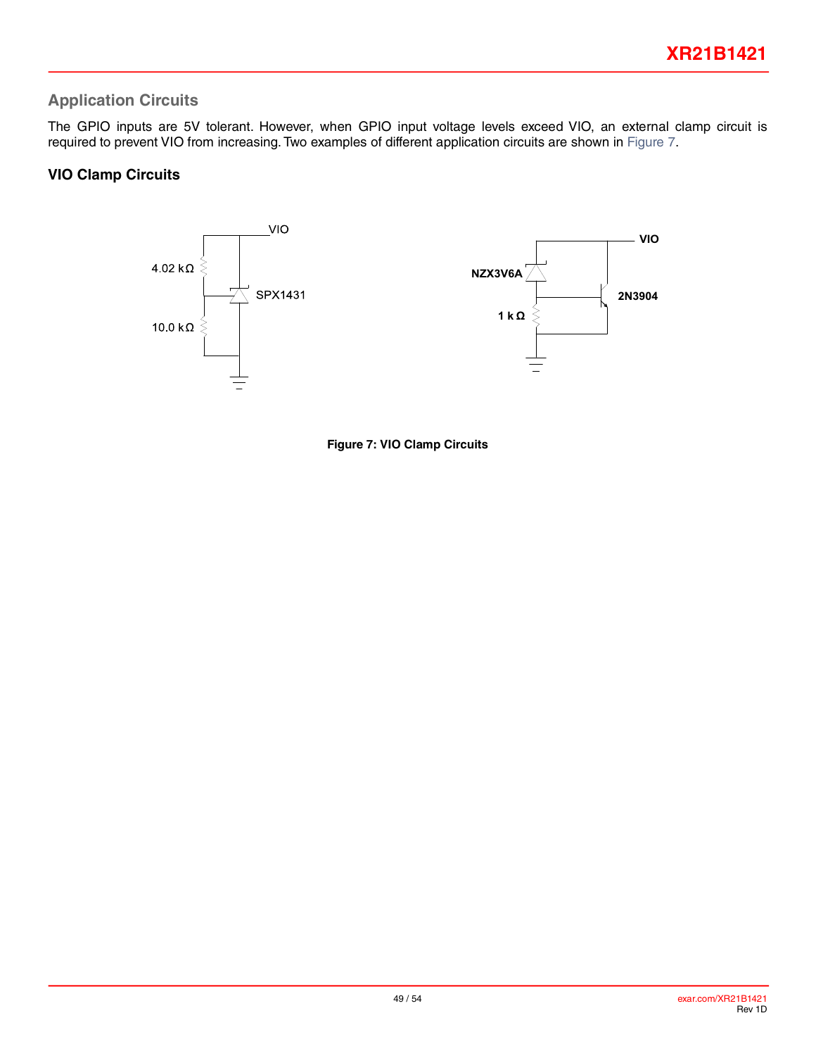## **Application Circuits**

The GPIO inputs are 5V tolerant. However, when GPIO input voltage levels exceed VIO, an external clamp circuit is required to prevent VIO from increasing. Two examples of different application circuits are shown in [Figure](#page-48-0) 7.

### **VIO Clamp Circuits**

<span id="page-48-0"></span>

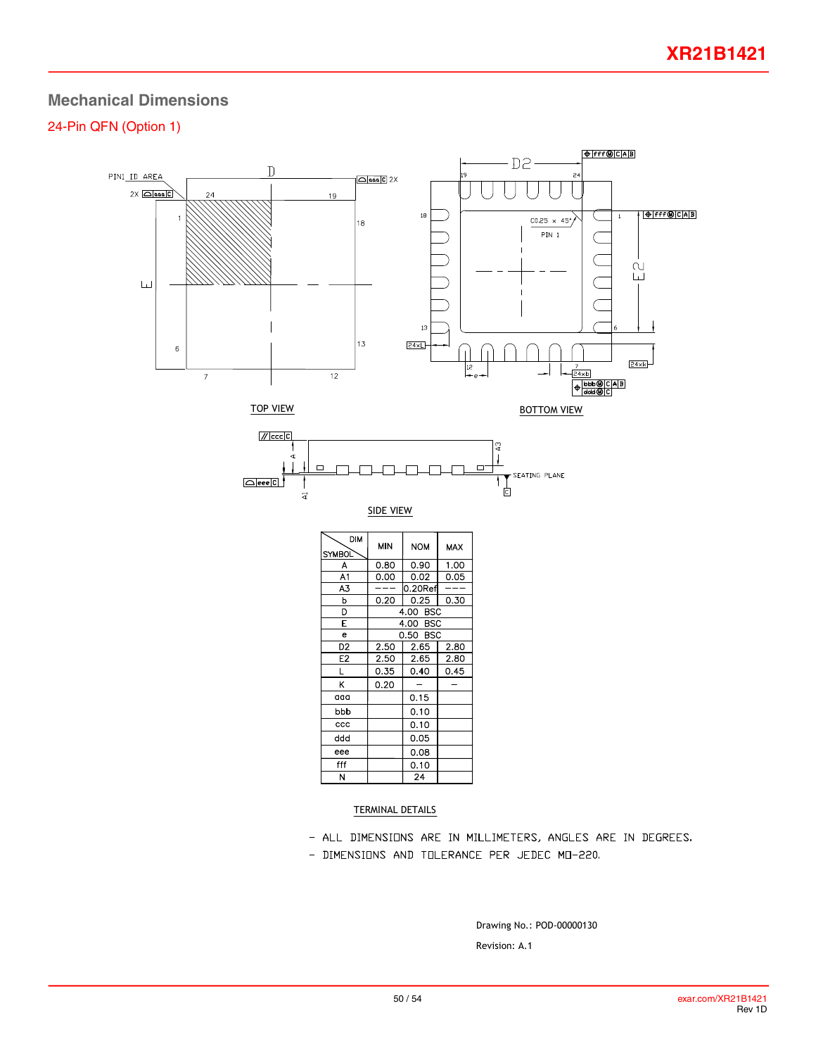## **Mechanical Dimensions**

### 24-Pin QFN (Option 1)



- ALL DIMENSIONS ARE IN MILLIMETERS, ANGLES ARE IN DEGREES.
- DIMENSIONS AND TOLERANCE PER JEDEC MO-220.

Revision: A.1 Drawing No.: POD-00000130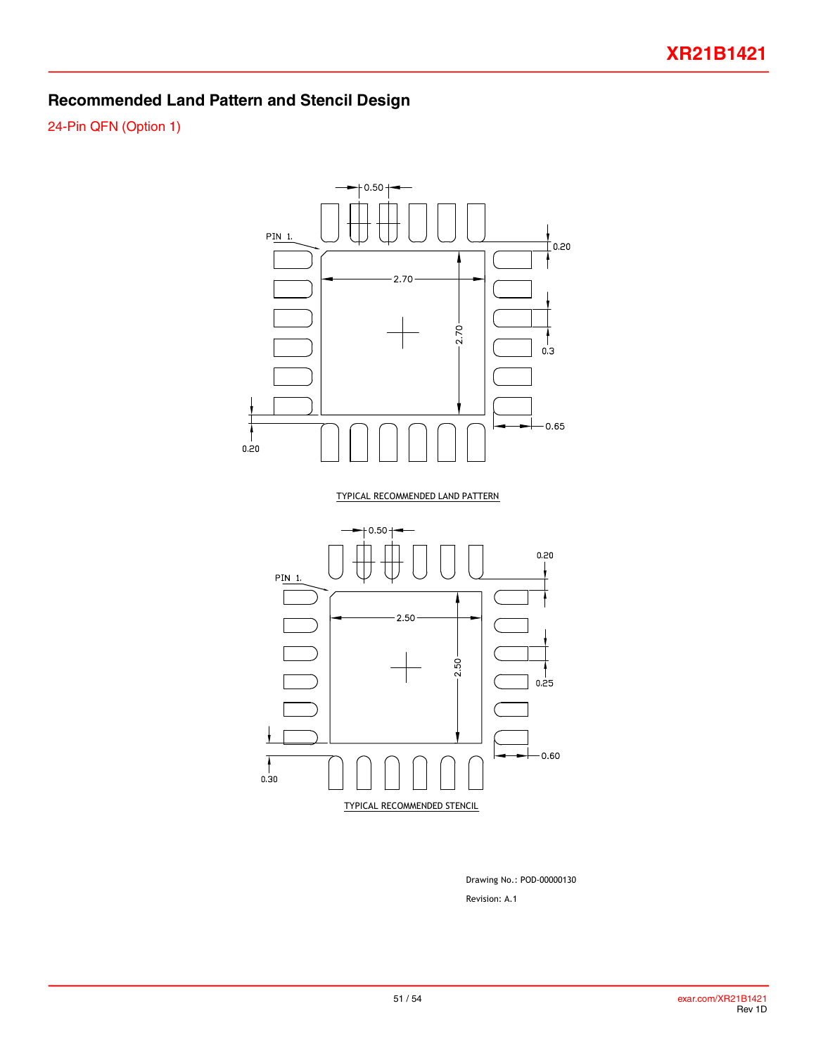## **Recommended Land Pattern and Stencil Design**

24-Pin QFN (Option 1)



Revision: A.1 Drawing No.: POD-00000130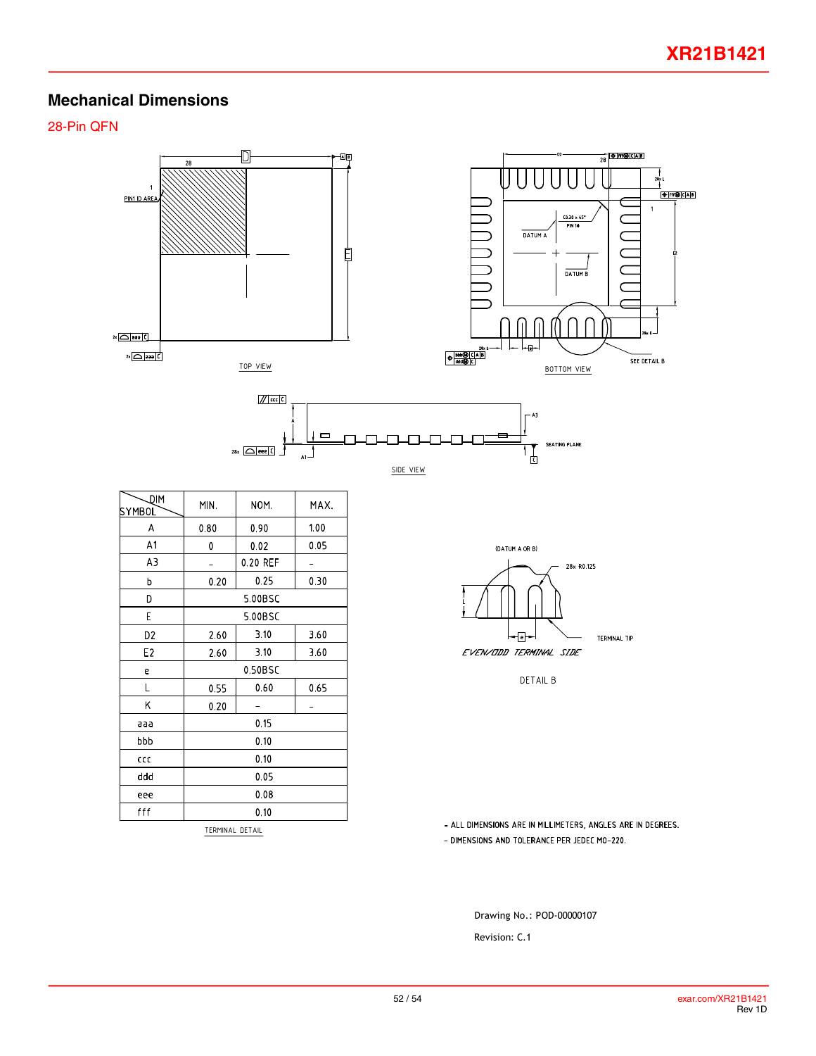## **Mechanical Dimensions**

28-Pin QFN



TERMINAL DETAIL

- ALL DIMENSIONS ARE IN MILLIMETERS, ANGLES ARE IN DEGREES. - DIMENSIONS AND TOLERANCE PER JEDEC MO-220.

Drawing No.: POD-00000107

Revision: C.1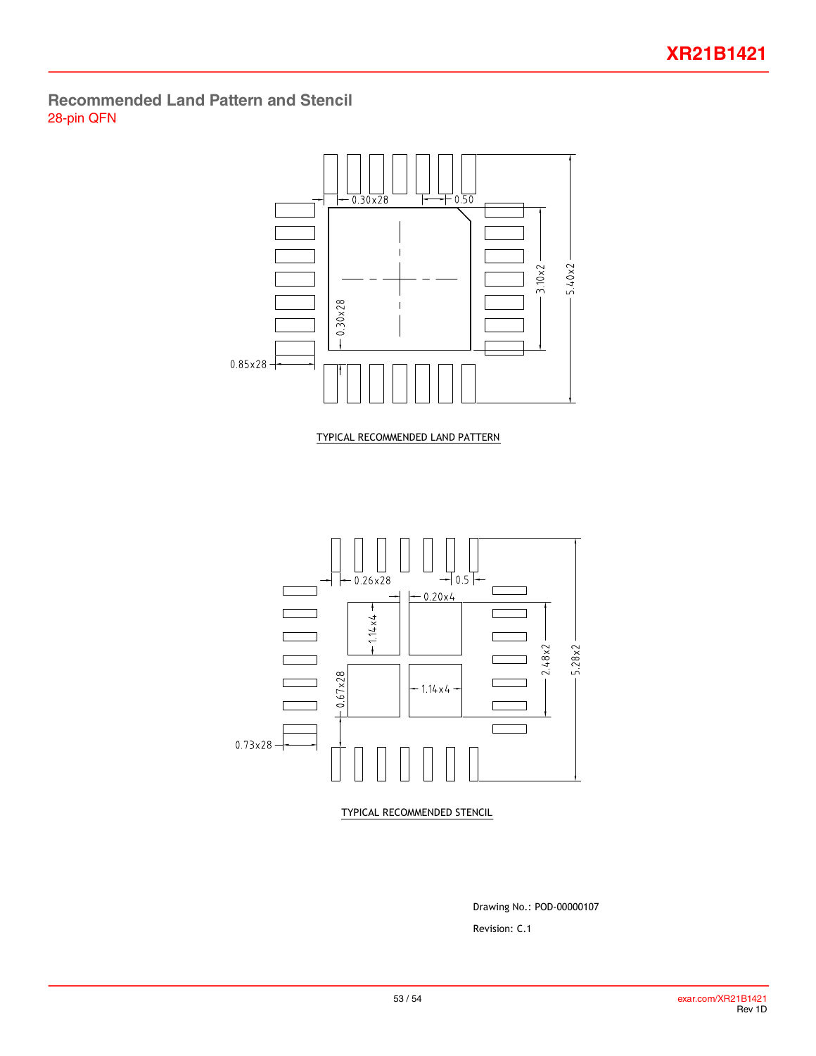## <span id="page-52-0"></span>**Recommended Land Pattern and Stencil** 28-pin QFN



Revision: C.1 Drawing No.: POD-00000107